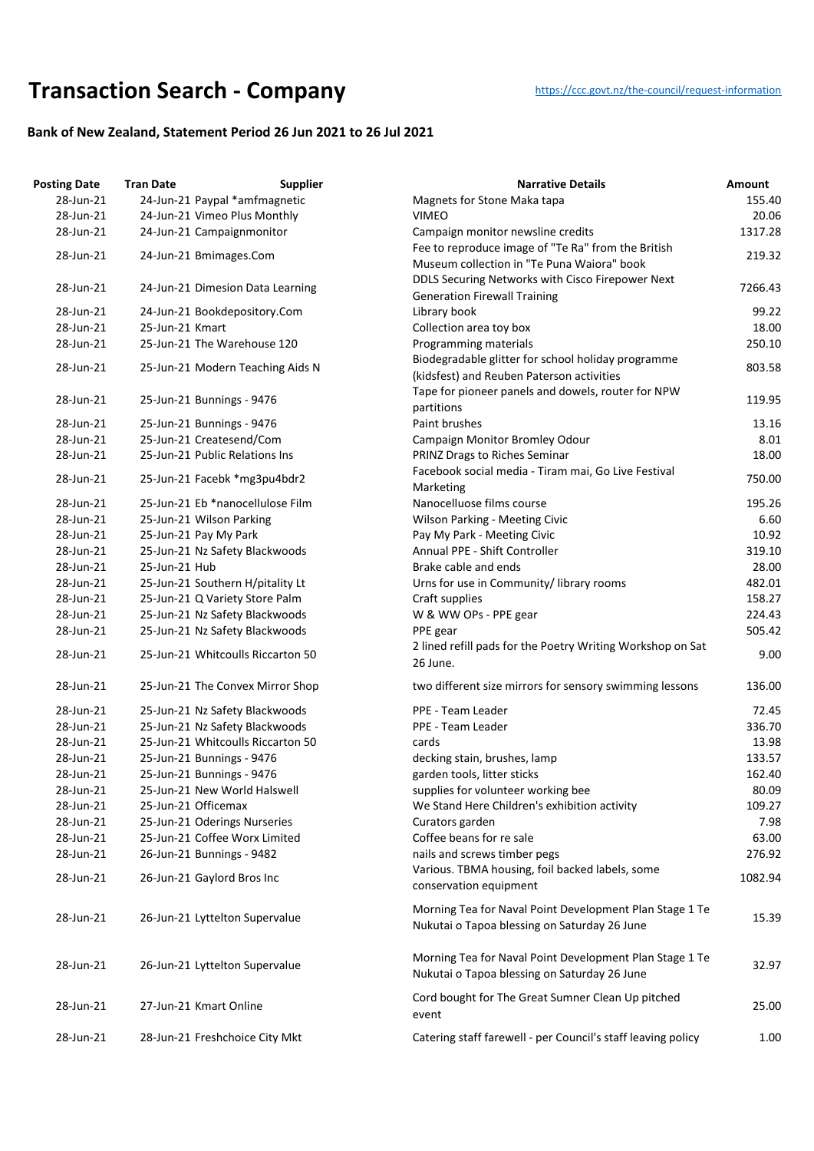## **Transaction Searc[h](https://ccc.govt.nz/the-council/request-information) - Company** https://ccc.govt.nz/the-council/request-information

## **Bank of New Zealand, Statement Period 26 Jun 2021 to 26 Jul 2021**

| <b>Posting Date</b> | <b>Tran Date</b> | <b>Supplier</b>                                         | <b>Narrative Details</b>                                                                                | Amount  |
|---------------------|------------------|---------------------------------------------------------|---------------------------------------------------------------------------------------------------------|---------|
| 28-Jun-21           |                  | 24-Jun-21 Paypal *amfmagnetic                           | Magnets for Stone Maka tapa                                                                             | 155.40  |
| 28-Jun-21           |                  | 24-Jun-21 Vimeo Plus Monthly                            | <b>VIMEO</b>                                                                                            | 20.06   |
| 28-Jun-21           |                  | 24-Jun-21 Campaignmonitor                               | Campaign monitor newsline credits                                                                       | 1317.28 |
|                     |                  |                                                         | Fee to reproduce image of "Te Ra" from the British                                                      |         |
| 28-Jun-21           |                  | 24-Jun-21 Bmimages.Com                                  | Museum collection in "Te Puna Waiora" book                                                              | 219.32  |
|                     |                  |                                                         | DDLS Securing Networks with Cisco Firepower Next                                                        |         |
| 28-Jun-21           |                  | 24-Jun-21 Dimesion Data Learning                        | <b>Generation Firewall Training</b>                                                                     | 7266.43 |
| 28-Jun-21           |                  | 24-Jun-21 Bookdepository.Com                            | Library book                                                                                            | 99.22   |
| 28-Jun-21           | 25-Jun-21 Kmart  |                                                         | Collection area toy box                                                                                 | 18.00   |
| 28-Jun-21           |                  | 25-Jun-21 The Warehouse 120                             | Programming materials                                                                                   | 250.10  |
|                     |                  |                                                         | Biodegradable glitter for school holiday programme                                                      |         |
| 28-Jun-21           |                  | 25-Jun-21 Modern Teaching Aids N                        | (kidsfest) and Reuben Paterson activities                                                               | 803.58  |
|                     |                  |                                                         | Tape for pioneer panels and dowels, router for NPW                                                      |         |
| 28-Jun-21           |                  | 25-Jun-21 Bunnings - 9476                               | partitions                                                                                              | 119.95  |
| 28-Jun-21           |                  | 25-Jun-21 Bunnings - 9476                               | Paint brushes                                                                                           | 13.16   |
| 28-Jun-21           |                  | 25-Jun-21 Createsend/Com                                | Campaign Monitor Bromley Odour                                                                          | 8.01    |
| 28-Jun-21           |                  | 25-Jun-21 Public Relations Ins                          | PRINZ Drags to Riches Seminar                                                                           | 18.00   |
|                     |                  |                                                         | Facebook social media - Tiram mai, Go Live Festival                                                     |         |
| 28-Jun-21           |                  | 25-Jun-21 Facebk *mg3pu4bdr2                            | Marketing                                                                                               | 750.00  |
| 28-Jun-21           |                  | 25-Jun-21 Eb *nanocellulose Film                        | Nanocelluose films course                                                                               | 195.26  |
| 28-Jun-21           |                  | 25-Jun-21 Wilson Parking                                | <b>Wilson Parking - Meeting Civic</b>                                                                   | 6.60    |
| 28-Jun-21           |                  |                                                         | Pay My Park - Meeting Civic                                                                             | 10.92   |
| 28-Jun-21           |                  | 25-Jun-21 Pay My Park<br>25-Jun-21 Nz Safety Blackwoods | Annual PPE - Shift Controller                                                                           | 319.10  |
| 28-Jun-21           | 25-Jun-21 Hub    |                                                         | Brake cable and ends                                                                                    | 28.00   |
|                     |                  |                                                         |                                                                                                         |         |
| 28-Jun-21           |                  | 25-Jun-21 Southern H/pitality Lt                        | Urns for use in Community/ library rooms                                                                | 482.01  |
| 28-Jun-21           |                  | 25-Jun-21 Q Variety Store Palm                          | Craft supplies                                                                                          | 158.27  |
| 28-Jun-21           |                  | 25-Jun-21 Nz Safety Blackwoods                          | W & WW OPs - PPE gear                                                                                   | 224.43  |
| 28-Jun-21           |                  | 25-Jun-21 Nz Safety Blackwoods                          | PPE gear                                                                                                | 505.42  |
| 28-Jun-21           |                  | 25-Jun-21 Whitcoulls Riccarton 50                       | 2 lined refill pads for the Poetry Writing Workshop on Sat                                              | 9.00    |
|                     |                  |                                                         | 26 June.                                                                                                |         |
| 28-Jun-21           |                  | 25-Jun-21 The Convex Mirror Shop                        | two different size mirrors for sensory swimming lessons                                                 | 136.00  |
| 28-Jun-21           |                  | 25-Jun-21 Nz Safety Blackwoods                          | PPE - Team Leader                                                                                       | 72.45   |
| 28-Jun-21           |                  | 25-Jun-21 Nz Safety Blackwoods                          | PPE - Team Leader                                                                                       | 336.70  |
| 28-Jun-21           |                  | 25-Jun-21 Whitcoulls Riccarton 50                       | cards                                                                                                   | 13.98   |
| 28-Jun-21           |                  | 25-Jun-21 Bunnings - 9476                               | decking stain, brushes, lamp                                                                            | 133.57  |
| 28-Jun-21           |                  | 25-Jun-21 Bunnings - 9476                               | garden tools, litter sticks                                                                             | 162.40  |
| 28-Jun-21           |                  | 25-Jun-21 New World Halswell                            | supplies for volunteer working bee                                                                      | 80.09   |
| 28-Jun-21           |                  | 25-Jun-21 Officemax                                     | We Stand Here Children's exhibition activity                                                            | 109.27  |
| 28-Jun-21           |                  | 25-Jun-21 Oderings Nurseries                            | Curators garden                                                                                         | 7.98    |
| 28-Jun-21           |                  | 25-Jun-21 Coffee Worx Limited                           | Coffee beans for re sale                                                                                | 63.00   |
| 28-Jun-21           |                  | 26-Jun-21 Bunnings - 9482                               | nails and screws timber pegs                                                                            | 276.92  |
|                     |                  |                                                         | Various. TBMA housing, foil backed labels, some                                                         |         |
| 28-Jun-21           |                  | 26-Jun-21 Gaylord Bros Inc                              | conservation equipment                                                                                  | 1082.94 |
|                     |                  |                                                         |                                                                                                         |         |
| 28-Jun-21           |                  | 26-Jun-21 Lyttelton Supervalue                          | Morning Tea for Naval Point Development Plan Stage 1 Te<br>Nukutai o Tapoa blessing on Saturday 26 June | 15.39   |
| 28-Jun-21           |                  | 26-Jun-21 Lyttelton Supervalue                          | Morning Tea for Naval Point Development Plan Stage 1 Te<br>Nukutai o Tapoa blessing on Saturday 26 June | 32.97   |
| 28-Jun-21           |                  | 27-Jun-21 Kmart Online                                  | Cord bought for The Great Sumner Clean Up pitched<br>event                                              | 25.00   |
| 28-Jun-21           |                  | 28-Jun-21 Freshchoice City Mkt                          | Catering staff farewell - per Council's staff leaving policy                                            | 1.00    |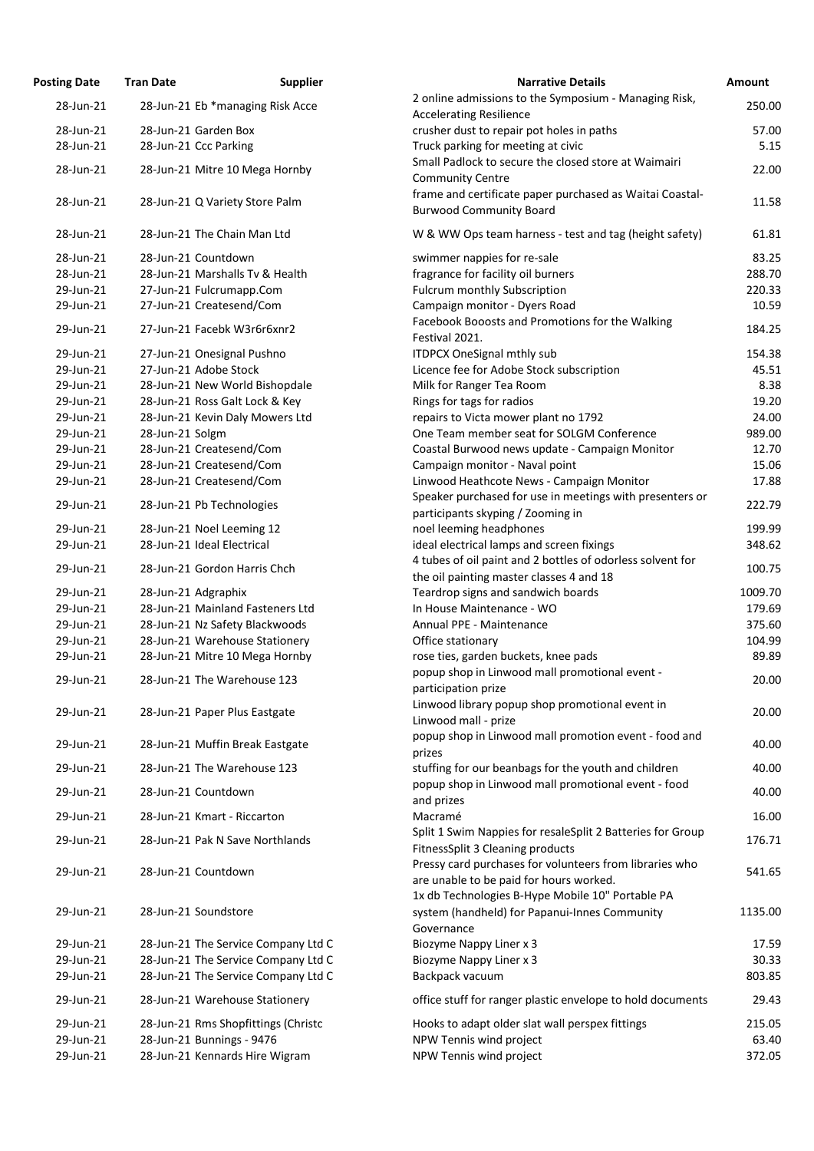| <b>Osting Date</b>     | <b>Tran Date</b>                                               | <b>Supplier</b>                     | <b>Narrative Details</b>                                                                                                                             |
|------------------------|----------------------------------------------------------------|-------------------------------------|------------------------------------------------------------------------------------------------------------------------------------------------------|
| 28-Jun-21              | 28-Jun-21 Eb *managing Risk Acce                               |                                     | 2 online admissions to the Symposium - Managing Ri<br><b>Accelerating Resilience</b>                                                                 |
| 28-Jun-21              | 28-Jun-21 Garden Box                                           |                                     | crusher dust to repair pot holes in paths                                                                                                            |
| 28-Jun-21              | 28-Jun-21 Ccc Parking                                          |                                     | Truck parking for meeting at civic                                                                                                                   |
|                        |                                                                |                                     | Small Padlock to secure the closed store at Waimairi                                                                                                 |
| 28-Jun-21              | 28-Jun-21 Mitre 10 Mega Hornby                                 |                                     | <b>Community Centre</b>                                                                                                                              |
| 28-Jun-21              | 28-Jun-21 Q Variety Store Palm                                 |                                     | frame and certificate paper purchased as Waitai Coas<br><b>Burwood Community Board</b>                                                               |
| 28-Jun-21              | 28-Jun-21 The Chain Man Ltd                                    |                                     | W & WW Ops team harness - test and tag (height saf                                                                                                   |
| 28-Jun-21              | 28-Jun-21 Countdown                                            |                                     | swimmer nappies for re-sale                                                                                                                          |
| 28-Jun-21              | 28-Jun-21 Marshalls Tv & Health                                |                                     | fragrance for facility oil burners                                                                                                                   |
| 29-Jun-21              | 27-Jun-21 Fulcrumapp.Com                                       |                                     | <b>Fulcrum monthly Subscription</b>                                                                                                                  |
| 29-Jun-21              | 27-Jun-21 Createsend/Com                                       |                                     | Campaign monitor - Dyers Road                                                                                                                        |
| 29-Jun-21              | 27-Jun-21 Facebk W3r6r6xnr2                                    |                                     | Facebook Booosts and Promotions for the Walking<br>Festival 2021.                                                                                    |
| 29-Jun-21              | 27-Jun-21 Onesignal Pushno                                     |                                     | <b>ITDPCX OneSignal mthly sub</b>                                                                                                                    |
| 29-Jun-21              | 27-Jun-21 Adobe Stock                                          |                                     | Licence fee for Adobe Stock subscription                                                                                                             |
| 29-Jun-21              | 28-Jun-21 New World Bishopdale                                 |                                     | Milk for Ranger Tea Room                                                                                                                             |
| 29-Jun-21              | 28-Jun-21 Ross Galt Lock & Key                                 |                                     | Rings for tags for radios                                                                                                                            |
| 29-Jun-21              | 28-Jun-21 Kevin Daly Mowers Ltd                                |                                     | repairs to Victa mower plant no 1792                                                                                                                 |
| 29-Jun-21              | 28-Jun-21 Solgm                                                |                                     | One Team member seat for SOLGM Conference                                                                                                            |
| 29-Jun-21              | 28-Jun-21 Createsend/Com                                       |                                     | Coastal Burwood news update - Campaign Monitor                                                                                                       |
| 29-Jun-21              | 28-Jun-21 Createsend/Com                                       |                                     | Campaign monitor - Naval point                                                                                                                       |
| 29-Jun-21              | 28-Jun-21 Createsend/Com                                       |                                     | Linwood Heathcote News - Campaign Monitor                                                                                                            |
| 29-Jun-21              | 28-Jun-21 Pb Technologies                                      |                                     | Speaker purchased for use in meetings with presente<br>participants skyping / Zooming in                                                             |
| 29-Jun-21              | 28-Jun-21 Noel Leeming 12                                      |                                     | noel leeming headphones                                                                                                                              |
| 29-Jun-21              | 28-Jun-21 Ideal Electrical                                     |                                     | ideal electrical lamps and screen fixings                                                                                                            |
| 29-Jun-21              | 28-Jun-21 Gordon Harris Chch                                   |                                     | 4 tubes of oil paint and 2 bottles of odorless solvent t<br>the oil painting master classes 4 and 18                                                 |
| 29-Jun-21              | 28-Jun-21 Adgraphix                                            |                                     | Teardrop signs and sandwich boards                                                                                                                   |
| 29-Jun-21              | 28-Jun-21 Mainland Fasteners Ltd                               |                                     | In House Maintenance - WO                                                                                                                            |
| 29-Jun-21              | 28-Jun-21 Nz Safety Blackwoods                                 |                                     | Annual PPE - Maintenance                                                                                                                             |
| 29-Jun-21              | 28-Jun-21 Warehouse Stationery                                 |                                     | Office stationary                                                                                                                                    |
| 29-Jun-21              | 28-Jun-21 Mitre 10 Mega Hornby                                 |                                     | rose ties, garden buckets, knee pads                                                                                                                 |
| 29-Jun-21              | 28-Jun-21 The Warehouse 123                                    |                                     | popup shop in Linwood mall promotional event -                                                                                                       |
| 29-Jun-21              | 28-Jun-21 Paper Plus Eastgate                                  |                                     | participation prize<br>Linwood library popup shop promotional event in                                                                               |
|                        |                                                                |                                     | Linwood mall - prize<br>popup shop in Linwood mall promotion event - food                                                                            |
| 29-Jun-21              | 28-Jun-21 Muffin Break Eastgate<br>28-Jun-21 The Warehouse 123 |                                     | prizes                                                                                                                                               |
| 29-Jun-21<br>29-Jun-21 | 28-Jun-21 Countdown                                            |                                     | stuffing for our beanbags for the youth and children<br>popup shop in Linwood mall promotional event - foo                                           |
| 29-Jun-21              | 28-Jun-21 Kmart - Riccarton                                    |                                     | and prizes<br>Macramé                                                                                                                                |
| 29-Jun-21              | 28-Jun-21 Pak N Save Northlands                                |                                     | Split 1 Swim Nappies for resaleSplit 2 Batteries for Gr<br>FitnessSplit 3 Cleaning products                                                          |
| 29-Jun-21              | 28-Jun-21 Countdown                                            |                                     | Pressy card purchases for volunteers from libraries w<br>are unable to be paid for hours worked.<br>1x db Technologies B-Hype Mobile 10" Portable PA |
| 29-Jun-21              | 28-Jun-21 Soundstore                                           |                                     | system (handheld) for Papanui-Innes Community<br>Governance                                                                                          |
| 29-Jun-21              |                                                                | 28-Jun-21 The Service Company Ltd C | Biozyme Nappy Liner x 3                                                                                                                              |
| 29-Jun-21              |                                                                | 28-Jun-21 The Service Company Ltd C | Biozyme Nappy Liner x 3                                                                                                                              |
| 29-Jun-21              |                                                                | 28-Jun-21 The Service Company Ltd C | Backpack vacuum                                                                                                                                      |
| 29-Jun-21              | 28-Jun-21 Warehouse Stationery                                 |                                     | office stuff for ranger plastic envelope to hold docum                                                                                               |
| 29-Jun-21              |                                                                | 28-Jun-21 Rms Shopfittings (Christc | Hooks to adapt older slat wall perspex fittings                                                                                                      |
| 29-Jun-21              | 28-Jun-21 Bunnings - 9476                                      |                                     | NPW Tennis wind project                                                                                                                              |
| 29-Jun-21              | 28-Jun-21 Kennards Hire Wigram                                 |                                     | NPW Tennis wind project                                                                                                                              |

| <b>Posting Date</b>    | <b>Tran Date</b> | <b>Supplier</b>                                               | <b>Narrative Details</b>                                                                                                                               | Amount         |
|------------------------|------------------|---------------------------------------------------------------|--------------------------------------------------------------------------------------------------------------------------------------------------------|----------------|
| 28-Jun-21              |                  | 28-Jun-21 Eb *managing Risk Acce                              | 2 online admissions to the Symposium - Managing Risk,                                                                                                  | 250.00         |
|                        |                  |                                                               | <b>Accelerating Resilience</b>                                                                                                                         |                |
| 28-Jun-21              |                  | 28-Jun-21 Garden Box                                          | crusher dust to repair pot holes in paths                                                                                                              | 57.00          |
| 28-Jun-21              |                  | 28-Jun-21 Ccc Parking                                         | Truck parking for meeting at civic                                                                                                                     | 5.15           |
| 28-Jun-21              |                  | 28-Jun-21 Mitre 10 Mega Hornby                                | Small Padlock to secure the closed store at Waimairi<br><b>Community Centre</b>                                                                        | 22.00          |
| 28-Jun-21              |                  | 28-Jun-21 Q Variety Store Palm                                | frame and certificate paper purchased as Waitai Coastal-<br><b>Burwood Community Board</b>                                                             | 11.58          |
| 28-Jun-21              |                  | 28-Jun-21 The Chain Man Ltd                                   | W & WW Ops team harness - test and tag (height safety)                                                                                                 | 61.81          |
| 28-Jun-21              |                  | 28-Jun-21 Countdown                                           | swimmer nappies for re-sale                                                                                                                            | 83.25          |
| 28-Jun-21              |                  | 28-Jun-21 Marshalls Tv & Health                               | fragrance for facility oil burners                                                                                                                     | 288.70         |
| 29-Jun-21              |                  | 27-Jun-21 Fulcrumapp.Com                                      | <b>Fulcrum monthly Subscription</b>                                                                                                                    | 220.33         |
| 29-Jun-21              |                  | 27-Jun-21 Createsend/Com                                      | Campaign monitor - Dyers Road                                                                                                                          | 10.59          |
| 29-Jun-21              |                  | 27-Jun-21 Facebk W3r6r6xnr2                                   | Facebook Booosts and Promotions for the Walking<br>Festival 2021.                                                                                      | 184.25         |
| 29-Jun-21              |                  | 27-Jun-21 Onesignal Pushno                                    | <b>ITDPCX OneSignal mthly sub</b>                                                                                                                      | 154.38         |
| 29-Jun-21              |                  | 27-Jun-21 Adobe Stock                                         | Licence fee for Adobe Stock subscription                                                                                                               | 45.51          |
| 29-Jun-21              |                  | 28-Jun-21 New World Bishopdale                                | Milk for Ranger Tea Room                                                                                                                               | 8.38           |
| 29-Jun-21              |                  | 28-Jun-21 Ross Galt Lock & Key                                | Rings for tags for radios                                                                                                                              | 19.20          |
| 29-Jun-21              |                  | 28-Jun-21 Kevin Daly Mowers Ltd                               | repairs to Victa mower plant no 1792                                                                                                                   | 24.00          |
| 29-Jun-21              | 28-Jun-21 Solgm  |                                                               | One Team member seat for SOLGM Conference                                                                                                              | 989.00         |
| 29-Jun-21              |                  | 28-Jun-21 Createsend/Com                                      | Coastal Burwood news update - Campaign Monitor                                                                                                         | 12.70          |
| 29-Jun-21              |                  | 28-Jun-21 Createsend/Com                                      | Campaign monitor - Naval point                                                                                                                         | 15.06          |
| 29-Jun-21              |                  | 28-Jun-21 Createsend/Com                                      | Linwood Heathcote News - Campaign Monitor                                                                                                              | 17.88          |
| 29-Jun-21              |                  | 28-Jun-21 Pb Technologies                                     | Speaker purchased for use in meetings with presenters or<br>participants skyping / Zooming in                                                          | 222.79         |
| 29-Jun-21              |                  | 28-Jun-21 Noel Leeming 12                                     | noel leeming headphones                                                                                                                                | 199.99         |
| 29-Jun-21              |                  | 28-Jun-21 Ideal Electrical                                    | ideal electrical lamps and screen fixings                                                                                                              | 348.62         |
| 29-Jun-21              |                  | 28-Jun-21 Gordon Harris Chch                                  | 4 tubes of oil paint and 2 bottles of odorless solvent for                                                                                             | 100.75         |
| 29-Jun-21              |                  | 28-Jun-21 Adgraphix                                           | the oil painting master classes 4 and 18<br>Teardrop signs and sandwich boards                                                                         | 1009.70        |
| 29-Jun-21              |                  | 28-Jun-21 Mainland Fasteners Ltd                              | In House Maintenance - WO                                                                                                                              | 179.69         |
|                        |                  |                                                               |                                                                                                                                                        |                |
| 29-Jun-21              |                  | 28-Jun-21 Nz Safety Blackwoods                                | Annual PPE - Maintenance                                                                                                                               | 375.60         |
| 29-Jun-21              |                  | 28-Jun-21 Warehouse Stationery                                | Office stationary                                                                                                                                      | 104.99         |
| 29-Jun-21<br>29-Jun-21 |                  | 28-Jun-21 Mitre 10 Mega Hornby<br>28-Jun-21 The Warehouse 123 | rose ties, garden buckets, knee pads<br>popup shop in Linwood mall promotional event -                                                                 | 89.89<br>20.00 |
| 29-Jun-21              |                  | 28-Jun-21 Paper Plus Eastgate                                 | participation prize<br>Linwood library popup shop promotional event in                                                                                 | 20.00          |
|                        |                  |                                                               | Linwood mall - prize                                                                                                                                   |                |
| 29-Jun-21              |                  | 28-Jun-21 Muffin Break Eastgate                               | popup shop in Linwood mall promotion event - food and<br>prizes                                                                                        | 40.00          |
| 29-Jun-21              |                  | 28-Jun-21 The Warehouse 123                                   | stuffing for our beanbags for the youth and children                                                                                                   | 40.00          |
| 29-Jun-21              |                  | 28-Jun-21 Countdown                                           | popup shop in Linwood mall promotional event - food<br>and prizes                                                                                      | 40.00          |
| 29-Jun-21              |                  | 28-Jun-21 Kmart - Riccarton                                   | Macramé                                                                                                                                                | 16.00          |
| 29-Jun-21              |                  | 28-Jun-21 Pak N Save Northlands                               | Split 1 Swim Nappies for resaleSplit 2 Batteries for Group<br>FitnessSplit 3 Cleaning products                                                         | 176.71         |
| 29-Jun-21              |                  | 28-Jun-21 Countdown                                           | Pressy card purchases for volunteers from libraries who<br>are unable to be paid for hours worked.<br>1x db Technologies B-Hype Mobile 10" Portable PA | 541.65         |
| 29-Jun-21              |                  | 28-Jun-21 Soundstore                                          | system (handheld) for Papanui-Innes Community<br>Governance                                                                                            | 1135.00        |
| 29-Jun-21              |                  | 28-Jun-21 The Service Company Ltd C                           | Biozyme Nappy Liner x 3                                                                                                                                | 17.59          |
| 29-Jun-21              |                  | 28-Jun-21 The Service Company Ltd C                           | Biozyme Nappy Liner x 3                                                                                                                                | 30.33          |
| 29-Jun-21              |                  | 28-Jun-21 The Service Company Ltd C                           | Backpack vacuum                                                                                                                                        | 803.85         |
| 29-Jun-21              |                  | 28-Jun-21 Warehouse Stationery                                | office stuff for ranger plastic envelope to hold documents                                                                                             | 29.43          |
| 29-Jun-21              |                  | 28-Jun-21 Rms Shopfittings (Christc                           | Hooks to adapt older slat wall perspex fittings                                                                                                        | 215.05         |
| 29-Jun-21              |                  | 28-Jun-21 Bunnings - 9476                                     | NPW Tennis wind project                                                                                                                                | 63.40          |
| 29-Jun-21              |                  | 28-Jun-21 Kennards Hire Wigram                                | NPW Tennis wind project                                                                                                                                | 372.05         |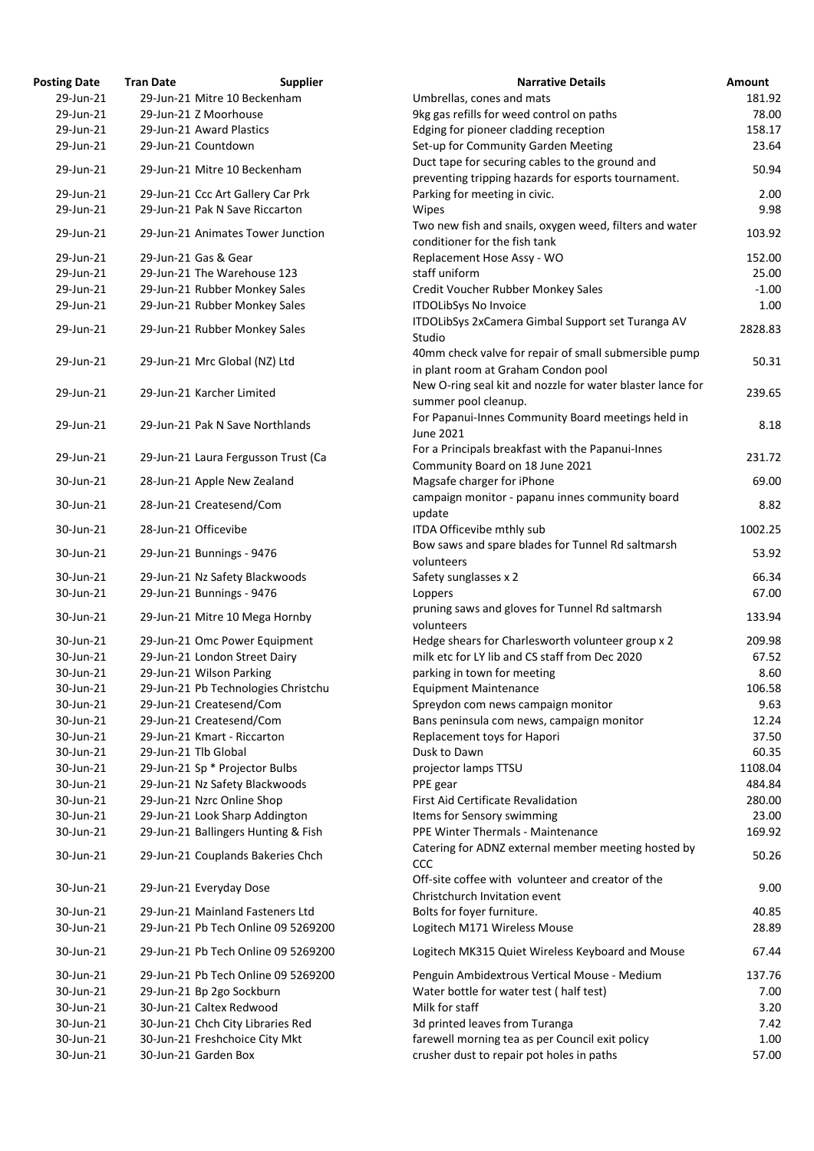| osting Date            | <b>Tran Date</b> | <b>Supplier</b>                                           | <b>Narrative Details</b>                                                                            |
|------------------------|------------------|-----------------------------------------------------------|-----------------------------------------------------------------------------------------------------|
| 29-Jun-21              |                  | 29-Jun-21 Mitre 10 Beckenham                              | Umbrellas, cones and mats                                                                           |
| 29-Jun-21              |                  | 29-Jun-21 Z Moorhouse                                     | 9kg gas refills for weed control on paths                                                           |
| 29-Jun-21              |                  | 29-Jun-21 Award Plastics                                  | Edging for pioneer cladding reception                                                               |
| 29-Jun-21              |                  | 29-Jun-21 Countdown                                       | Set-up for Community Garden Meeting                                                                 |
| 29-Jun-21              |                  | 29-Jun-21 Mitre 10 Beckenham                              | Duct tape for securing cables to the ground and                                                     |
|                        |                  |                                                           | preventing tripping hazards for esports tournament.                                                 |
| 29-Jun-21              |                  | 29-Jun-21 Ccc Art Gallery Car Prk                         | Parking for meeting in civic.                                                                       |
| 29-Jun-21              |                  | 29-Jun-21 Pak N Save Riccarton                            | Wipes                                                                                               |
| 29-Jun-21              |                  | 29-Jun-21 Animates Tower Junction                         | Two new fish and snails, oxygen weed, filters and water                                             |
|                        |                  |                                                           | conditioner for the fish tank                                                                       |
| 29-Jun-21              |                  | 29-Jun-21 Gas & Gear                                      | Replacement Hose Assy - WO                                                                          |
| 29-Jun-21              |                  | 29-Jun-21 The Warehouse 123                               | staff uniform                                                                                       |
| 29-Jun-21              |                  | 29-Jun-21 Rubber Monkey Sales                             | Credit Voucher Rubber Monkey Sales                                                                  |
| 29-Jun-21              |                  | 29-Jun-21 Rubber Monkey Sales                             | <b>ITDOLibSys No Invoice</b>                                                                        |
| 29-Jun-21              |                  | 29-Jun-21 Rubber Monkey Sales                             | ITDOLibSys 2xCamera Gimbal Support set Turanga AV                                                   |
|                        |                  |                                                           | Studio                                                                                              |
| 29-Jun-21              |                  | 29-Jun-21 Mrc Global (NZ) Ltd                             | 40mm check valve for repair of small submersible pump                                               |
|                        |                  |                                                           | in plant room at Graham Condon pool                                                                 |
| 29-Jun-21              |                  | 29-Jun-21 Karcher Limited                                 | New O-ring seal kit and nozzle for water blaster lance for                                          |
|                        |                  |                                                           | summer pool cleanup.                                                                                |
| 29-Jun-21              |                  | 29-Jun-21 Pak N Save Northlands                           | For Papanui-Innes Community Board meetings held in                                                  |
|                        |                  |                                                           | <b>June 2021</b>                                                                                    |
| 29-Jun-21              |                  | 29-Jun-21 Laura Fergusson Trust (Ca                       | For a Principals breakfast with the Papanui-Innes                                                   |
|                        |                  |                                                           | Community Board on 18 June 2021                                                                     |
| 30-Jun-21              |                  | 28-Jun-21 Apple New Zealand                               | Magsafe charger for iPhone                                                                          |
| 30-Jun-21              |                  | 28-Jun-21 Createsend/Com                                  | campaign monitor - papanu innes community board                                                     |
|                        |                  |                                                           | update                                                                                              |
| 30-Jun-21              |                  | 28-Jun-21 Officevibe                                      | ITDA Officevibe mthly sub                                                                           |
| 30-Jun-21              |                  | 29-Jun-21 Bunnings - 9476                                 | Bow saws and spare blades for Tunnel Rd saltmarsh                                                   |
|                        |                  |                                                           | volunteers                                                                                          |
| 30-Jun-21              |                  | 29-Jun-21 Nz Safety Blackwoods                            | Safety sunglasses x 2                                                                               |
| 30-Jun-21              |                  | 29-Jun-21 Bunnings - 9476                                 | Loppers                                                                                             |
| 30-Jun-21              |                  | 29-Jun-21 Mitre 10 Mega Hornby                            | pruning saws and gloves for Tunnel Rd saltmarsh                                                     |
|                        |                  |                                                           | volunteers                                                                                          |
| 30-Jun-21<br>30-Jun-21 |                  | 29-Jun-21 Omc Power Equipment                             | Hedge shears for Charlesworth volunteer group x 2<br>milk etc for LY lib and CS staff from Dec 2020 |
| 30-Jun-21              |                  | 29-Jun-21 London Street Dairy<br>29-Jun-21 Wilson Parking | parking in town for meeting                                                                         |
| 30-Jun-21              |                  | 29-Jun-21 Pb Technologies Christchu                       | <b>Equipment Maintenance</b>                                                                        |
| 30-Jun-21              |                  | 29-Jun-21 Createsend/Com                                  | Spreydon com news campaign monitor                                                                  |
| 30-Jun-21              |                  | 29-Jun-21 Createsend/Com                                  | Bans peninsula com news, campaign monitor                                                           |
| 30-Jun-21              |                  | 29-Jun-21 Kmart - Riccarton                               | Replacement toys for Hapori                                                                         |
| 30-Jun-21              |                  | 29-Jun-21 Tlb Global                                      | Dusk to Dawn                                                                                        |
| 30-Jun-21              |                  | 29-Jun-21 Sp * Projector Bulbs                            | projector lamps TTSU                                                                                |
| 30-Jun-21              |                  | 29-Jun-21 Nz Safety Blackwoods                            | PPE gear                                                                                            |
| 30-Jun-21              |                  | 29-Jun-21 Nzrc Online Shop                                | <b>First Aid Certificate Revalidation</b>                                                           |
| 30-Jun-21              |                  | 29-Jun-21 Look Sharp Addington                            | Items for Sensory swimming                                                                          |
| 30-Jun-21              |                  | 29-Jun-21 Ballingers Hunting & Fish                       | PPE Winter Thermals - Maintenance                                                                   |
|                        |                  |                                                           | Catering for ADNZ external member meeting hosted by                                                 |
| 30-Jun-21              |                  | 29-Jun-21 Couplands Bakeries Chch                         | <b>CCC</b>                                                                                          |
|                        |                  |                                                           | Off-site coffee with volunteer and creator of the                                                   |
| 30-Jun-21              |                  | 29-Jun-21 Everyday Dose                                   | Christchurch Invitation event                                                                       |
| 30-Jun-21              |                  | 29-Jun-21 Mainland Fasteners Ltd                          | Bolts for foyer furniture.                                                                          |
| 30-Jun-21              |                  | 29-Jun-21 Pb Tech Online 09 5269200                       | Logitech M171 Wireless Mouse                                                                        |
|                        |                  |                                                           |                                                                                                     |
| 30-Jun-21              |                  | 29-Jun-21 Pb Tech Online 09 5269200                       | Logitech MK315 Quiet Wireless Keyboard and Mouse                                                    |
| 30-Jun-21              |                  | 29-Jun-21 Pb Tech Online 09 5269200                       | Penguin Ambidextrous Vertical Mouse - Medium                                                        |
| 30-Jun-21              |                  | 29-Jun-21 Bp 2go Sockburn                                 | Water bottle for water test (half test)                                                             |
| 30-Jun-21              |                  | 30-Jun-21 Caltex Redwood                                  | Milk for staff                                                                                      |
| 30-Jun-21              |                  | 30-Jun-21 Chch City Libraries Red                         | 3d printed leaves from Turanga                                                                      |
| 30-Jun-21              |                  | 30-Jun-21 Freshchoice City Mkt                            | farewell morning tea as per Council exit policy                                                     |
| 30-Jun-21              |                  | 30-Jun-21 Garden Box                                      | crusher dust to repair pot holes in paths                                                           |

| <b>Posting Date</b> | <b>Tran Date</b> | <b>Supplier</b>                     | <b>Narrative Details</b>                                   | <b>Amount</b> |
|---------------------|------------------|-------------------------------------|------------------------------------------------------------|---------------|
| 29-Jun-21           |                  | 29-Jun-21 Mitre 10 Beckenham        | Umbrellas, cones and mats                                  | 181.92        |
| 29-Jun-21           |                  | 29-Jun-21 Z Moorhouse               | 9kg gas refills for weed control on paths                  | 78.00         |
| 29-Jun-21           |                  | 29-Jun-21 Award Plastics            | Edging for pioneer cladding reception                      | 158.17        |
| 29-Jun-21           |                  | 29-Jun-21 Countdown                 | Set-up for Community Garden Meeting                        | 23.64         |
|                     |                  |                                     | Duct tape for securing cables to the ground and            |               |
| 29-Jun-21           |                  | 29-Jun-21 Mitre 10 Beckenham        | preventing tripping hazards for esports tournament.        | 50.94         |
| 29-Jun-21           |                  | 29-Jun-21 Ccc Art Gallery Car Prk   | Parking for meeting in civic.                              | 2.00          |
| 29-Jun-21           |                  | 29-Jun-21 Pak N Save Riccarton      | Wipes                                                      | 9.98          |
|                     |                  |                                     |                                                            |               |
| 29-Jun-21           |                  | 29-Jun-21 Animates Tower Junction   | Two new fish and snails, oxygen weed, filters and water    | 103.92        |
|                     |                  |                                     | conditioner for the fish tank                              |               |
| 29-Jun-21           |                  | 29-Jun-21 Gas & Gear                | Replacement Hose Assy - WO                                 | 152.00        |
| 29-Jun-21           |                  | 29-Jun-21 The Warehouse 123         | staff uniform                                              | 25.00         |
| 29-Jun-21           |                  | 29-Jun-21 Rubber Monkey Sales       | Credit Voucher Rubber Monkey Sales                         | $-1.00$       |
| 29-Jun-21           |                  | 29-Jun-21 Rubber Monkey Sales       | <b>ITDOLibSys No Invoice</b>                               | 1.00          |
| 29-Jun-21           |                  |                                     | ITDOLIbSys 2xCamera Gimbal Support set Turanga AV          | 2828.83       |
|                     |                  | 29-Jun-21 Rubber Monkey Sales       | Studio                                                     |               |
|                     |                  |                                     | 40mm check valve for repair of small submersible pump      |               |
| 29-Jun-21           |                  | 29-Jun-21 Mrc Global (NZ) Ltd       | in plant room at Graham Condon pool                        | 50.31         |
|                     |                  |                                     | New O-ring seal kit and nozzle for water blaster lance for |               |
| 29-Jun-21           |                  | 29-Jun-21 Karcher Limited           | summer pool cleanup.                                       | 239.65        |
|                     |                  |                                     | For Papanui-Innes Community Board meetings held in         |               |
| 29-Jun-21           |                  | 29-Jun-21 Pak N Save Northlands     |                                                            | 8.18          |
|                     |                  |                                     | June 2021                                                  |               |
| 29-Jun-21           |                  | 29-Jun-21 Laura Fergusson Trust (Ca | For a Principals breakfast with the Papanui-Innes          | 231.72        |
|                     |                  |                                     | Community Board on 18 June 2021                            |               |
| 30-Jun-21           |                  | 28-Jun-21 Apple New Zealand         | Magsafe charger for iPhone                                 | 69.00         |
| 30-Jun-21           |                  | 28-Jun-21 Createsend/Com            | campaign monitor - papanu innes community board            | 8.82          |
|                     |                  |                                     | update                                                     |               |
| 30-Jun-21           |                  | 28-Jun-21 Officevibe                | ITDA Officevibe mthly sub                                  | 1002.25       |
|                     |                  |                                     | Bow saws and spare blades for Tunnel Rd saltmarsh          |               |
| 30-Jun-21           |                  | 29-Jun-21 Bunnings - 9476           | volunteers                                                 | 53.92         |
| 30-Jun-21           |                  | 29-Jun-21 Nz Safety Blackwoods      | Safety sunglasses x 2                                      | 66.34         |
| 30-Jun-21           |                  | 29-Jun-21 Bunnings - 9476           | Loppers                                                    | 67.00         |
|                     |                  |                                     |                                                            |               |
| 30-Jun-21           |                  | 29-Jun-21 Mitre 10 Mega Hornby      | pruning saws and gloves for Tunnel Rd saltmarsh            | 133.94        |
|                     |                  |                                     | volunteers                                                 |               |
| 30-Jun-21           |                  | 29-Jun-21 Omc Power Equipment       | Hedge shears for Charlesworth volunteer group x 2          | 209.98        |
| 30-Jun-21           |                  | 29-Jun-21 London Street Dairy       | milk etc for LY lib and CS staff from Dec 2020             | 67.52         |
| 30-Jun-21           |                  | 29-Jun-21 Wilson Parking            | parking in town for meeting                                | 8.60          |
| 30-Jun-21           |                  | 29-Jun-21 Pb Technologies Christchu | <b>Equipment Maintenance</b>                               | 106.58        |
| 30-Jun-21           |                  | 29-Jun-21 Createsend/Com            | Spreydon com news campaign monitor                         | 9.63          |
| 30-Jun-21           |                  | 29-Jun-21 Createsend/Com            | Bans peninsula com news, campaign monitor                  | 12.24         |
| 30-Jun-21           |                  | 29-Jun-21 Kmart - Riccarton         | Replacement toys for Hapori                                | 37.50         |
| 30-Jun-21           |                  | 29-Jun-21 Tlb Global                | Dusk to Dawn                                               | 60.35         |
| 30-Jun-21           |                  | 29-Jun-21 Sp * Projector Bulbs      | projector lamps TTSU                                       | 1108.04       |
| 30-Jun-21           |                  | 29-Jun-21 Nz Safety Blackwoods      | PPE gear                                                   | 484.84        |
| 30-Jun-21           |                  | 29-Jun-21 Nzrc Online Shop          | First Aid Certificate Revalidation                         | 280.00        |
|                     |                  |                                     |                                                            |               |
| 30-Jun-21           |                  | 29-Jun-21 Look Sharp Addington      | Items for Sensory swimming                                 | 23.00         |
| 30-Jun-21           |                  | 29-Jun-21 Ballingers Hunting & Fish | PPE Winter Thermals - Maintenance                          | 169.92        |
| 30-Jun-21           |                  | 29-Jun-21 Couplands Bakeries Chch   | Catering for ADNZ external member meeting hosted by<br>CCC | 50.26         |
|                     |                  |                                     | Off-site coffee with volunteer and creator of the          |               |
| 30-Jun-21           |                  | 29-Jun-21 Everyday Dose             | Christchurch Invitation event                              | 9.00          |
| 30-Jun-21           |                  | 29-Jun-21 Mainland Fasteners Ltd    | Bolts for foyer furniture.                                 | 40.85         |
| 30-Jun-21           |                  | 29-Jun-21 Pb Tech Online 09 5269200 | Logitech M171 Wireless Mouse                               | 28.89         |
|                     |                  |                                     |                                                            |               |
| 30-Jun-21           |                  | 29-Jun-21 Pb Tech Online 09 5269200 | Logitech MK315 Quiet Wireless Keyboard and Mouse           | 67.44         |
| 30-Jun-21           |                  | 29-Jun-21 Pb Tech Online 09 5269200 | Penguin Ambidextrous Vertical Mouse - Medium               | 137.76        |
| 30-Jun-21           |                  | 29-Jun-21 Bp 2go Sockburn           | Water bottle for water test (half test)                    | 7.00          |
| 30-Jun-21           |                  | 30-Jun-21 Caltex Redwood            | Milk for staff                                             | 3.20          |
| 30-Jun-21           |                  | 30-Jun-21 Chch City Libraries Red   | 3d printed leaves from Turanga                             | 7.42          |
| 30-Jun-21           |                  | 30-Jun-21 Freshchoice City Mkt      | farewell morning tea as per Council exit policy            | 1.00          |
| 30-Jun-21           |                  | 30-Jun-21 Garden Box                | crusher dust to repair pot holes in paths                  | 57.00         |
|                     |                  |                                     |                                                            |               |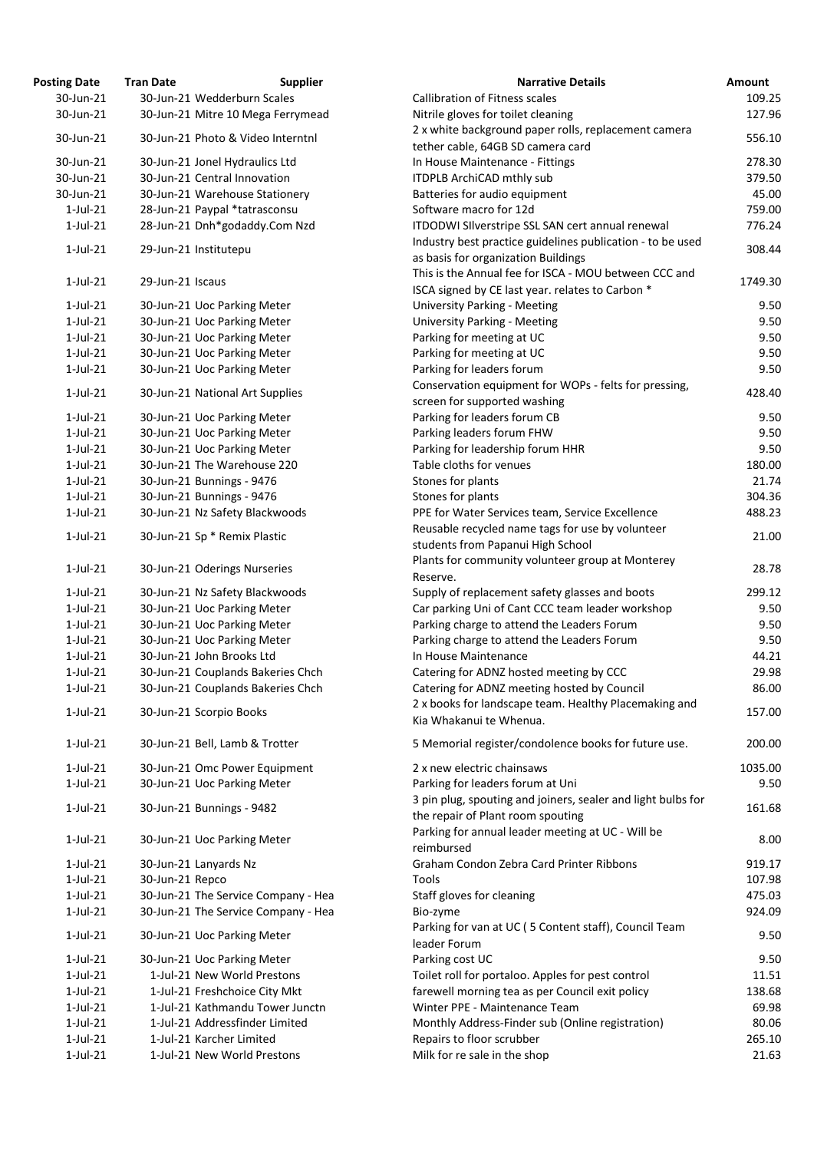| osting Date | <b>Tran Date</b> | <b>Supplier</b>                     | <b>Narrative Details</b>                                                                     |
|-------------|------------------|-------------------------------------|----------------------------------------------------------------------------------------------|
| 30-Jun-21   |                  | 30-Jun-21 Wedderburn Scales         | <b>Callibration of Fitness scales</b>                                                        |
| 30-Jun-21   |                  | 30-Jun-21 Mitre 10 Mega Ferrymead   | Nitrile gloves for toilet cleaning                                                           |
| 30-Jun-21   |                  | 30-Jun-21 Photo & Video Interntnl   | 2 x white background paper rolls, replacement came                                           |
|             |                  |                                     | tether cable, 64GB SD camera card                                                            |
| 30-Jun-21   |                  | 30-Jun-21 Jonel Hydraulics Ltd      | In House Maintenance - Fittings                                                              |
| 30-Jun-21   |                  | 30-Jun-21 Central Innovation        | <b>ITDPLB ArchiCAD mthly sub</b>                                                             |
| 30-Jun-21   |                  | 30-Jun-21 Warehouse Stationery      | Batteries for audio equipment                                                                |
| $1$ -Jul-21 |                  | 28-Jun-21 Paypal *tatrasconsu       | Software macro for 12d                                                                       |
| $1$ -Jul-21 |                  | 28-Jun-21 Dnh*godaddy.Com Nzd       | ITDODWI SIlverstripe SSL SAN cert annual renewal                                             |
| $1$ -Jul-21 |                  | 29-Jun-21 Institutepu               | Industry best practice guidelines publication - to be<br>as basis for organization Buildings |
| $1$ -Jul-21 | 29-Jun-21 Iscaus |                                     | This is the Annual fee for ISCA - MOU between CCC                                            |
|             |                  |                                     | ISCA signed by CE last year. relates to Carbon *                                             |
| $1$ -Jul-21 |                  | 30-Jun-21 Uoc Parking Meter         | <b>University Parking - Meeting</b>                                                          |
| $1$ -Jul-21 |                  | 30-Jun-21 Uoc Parking Meter         | <b>University Parking - Meeting</b>                                                          |
| $1$ -Jul-21 |                  | 30-Jun-21 Uoc Parking Meter         | Parking for meeting at UC                                                                    |
| $1$ -Jul-21 |                  | 30-Jun-21 Uoc Parking Meter         | Parking for meeting at UC                                                                    |
| $1$ -Jul-21 |                  | 30-Jun-21 Uoc Parking Meter         | Parking for leaders forum                                                                    |
| $1$ -Jul-21 |                  | 30-Jun-21 National Art Supplies     | Conservation equipment for WOPs - felts for pressir                                          |
|             |                  |                                     | screen for supported washing                                                                 |
| $1$ -Jul-21 |                  | 30-Jun-21 Uoc Parking Meter         | Parking for leaders forum CB                                                                 |
| $1$ -Jul-21 |                  | 30-Jun-21 Uoc Parking Meter         | Parking leaders forum FHW                                                                    |
| $1$ -Jul-21 |                  | 30-Jun-21 Uoc Parking Meter         | Parking for leadership forum HHR                                                             |
| $1$ -Jul-21 |                  | 30-Jun-21 The Warehouse 220         | Table cloths for venues                                                                      |
| $1$ -Jul-21 |                  | 30-Jun-21 Bunnings - 9476           | Stones for plants                                                                            |
| $1$ -Jul-21 |                  | 30-Jun-21 Bunnings - 9476           | Stones for plants                                                                            |
| $1$ -Jul-21 |                  | 30-Jun-21 Nz Safety Blackwoods      | PPE for Water Services team, Service Excellence                                              |
| $1$ -Jul-21 |                  | 30-Jun-21 Sp * Remix Plastic        | Reusable recycled name tags for use by volunteer                                             |
|             |                  |                                     | students from Papanui High School                                                            |
| $1$ -Jul-21 |                  | 30-Jun-21 Oderings Nurseries        | Plants for community volunteer group at Monterey                                             |
|             |                  |                                     | Reserve.                                                                                     |
| $1$ -Jul-21 |                  | 30-Jun-21 Nz Safety Blackwoods      | Supply of replacement safety glasses and boots                                               |
| $1$ -Jul-21 |                  | 30-Jun-21 Uoc Parking Meter         | Car parking Uni of Cant CCC team leader workshop                                             |
| $1$ -Jul-21 |                  | 30-Jun-21 Uoc Parking Meter         | Parking charge to attend the Leaders Forum                                                   |
| $1$ -Jul-21 |                  | 30-Jun-21 Uoc Parking Meter         | Parking charge to attend the Leaders Forum                                                   |
| $1$ -Jul-21 |                  | 30-Jun-21 John Brooks Ltd           | In House Maintenance                                                                         |
| $1$ -Jul-21 |                  | 30-Jun-21 Couplands Bakeries Chch   | Catering for ADNZ hosted meeting by CCC                                                      |
| $1$ -Jul-21 |                  | 30-Jun-21 Couplands Bakeries Chch   | Catering for ADNZ meeting hosted by Council                                                  |
| $1$ -Jul-21 |                  | 30-Jun-21 Scorpio Books             | 2 x books for landscape team. Healthy Placemaking<br>Kia Whakanui te Whenua.                 |
| $1$ -Jul-21 |                  | 30-Jun-21 Bell, Lamb & Trotter      | 5 Memorial register/condolence books for future us                                           |
| $1$ -Jul-21 |                  | 30-Jun-21 Omc Power Equipment       | 2 x new electric chainsaws                                                                   |
| $1$ -Jul-21 |                  | 30-Jun-21 Uoc Parking Meter         | Parking for leaders forum at Uni                                                             |
|             |                  |                                     | 3 pin plug, spouting and joiners, sealer and light bull                                      |
| $1$ -Jul-21 |                  | 30-Jun-21 Bunnings - 9482           | the repair of Plant room spouting                                                            |
| $1$ -Jul-21 |                  | 30-Jun-21 Uoc Parking Meter         | Parking for annual leader meeting at UC - Will be<br>reimbursed                              |
| $1$ -Jul-21 |                  | 30-Jun-21 Lanyards Nz               | Graham Condon Zebra Card Printer Ribbons                                                     |
| $1$ -Jul-21 | 30-Jun-21 Repco  |                                     | Tools                                                                                        |
| $1$ -Jul-21 |                  | 30-Jun-21 The Service Company - Hea | Staff gloves for cleaning                                                                    |
| $1$ -Jul-21 |                  | 30-Jun-21 The Service Company - Hea | Bio-zyme                                                                                     |
| $1$ -Jul-21 |                  | 30-Jun-21 Uoc Parking Meter         | Parking for van at UC (5 Content staff), Council Tear<br>leader Forum                        |
| $1$ -Jul-21 |                  | 30-Jun-21 Uoc Parking Meter         | Parking cost UC                                                                              |
| $1$ -Jul-21 |                  | 1-Jul-21 New World Prestons         | Toilet roll for portaloo. Apples for pest control                                            |
| $1$ -Jul-21 |                  | 1-Jul-21 Freshchoice City Mkt       | farewell morning tea as per Council exit policy                                              |
| $1$ -Jul-21 |                  | 1-Jul-21 Kathmandu Tower Junctn     | Winter PPE - Maintenance Team                                                                |
| $1$ -Jul-21 |                  | 1-Jul-21 Addressfinder Limited      | Monthly Address-Finder sub (Online registration)                                             |
| $1$ -Jul-21 |                  | 1-Jul-21 Karcher Limited            | Repairs to floor scrubber                                                                    |
| $1$ -Jul-21 |                  | 1-Jul-21 New World Prestons         | Milk for re sale in the shop                                                                 |
|             |                  |                                     |                                                                                              |

| <b>Posting Date</b>        | <b>Tran Date</b> | <b>Supplier</b>                                                 | <b>Narrative Details</b>                                                                                       | Amount            |
|----------------------------|------------------|-----------------------------------------------------------------|----------------------------------------------------------------------------------------------------------------|-------------------|
| 30-Jun-21                  |                  | 30-Jun-21 Wedderburn Scales                                     | <b>Callibration of Fitness scales</b>                                                                          | 109.25            |
| 30-Jun-21                  |                  | 30-Jun-21 Mitre 10 Mega Ferrymead                               | Nitrile gloves for toilet cleaning                                                                             | 127.96            |
| 30-Jun-21                  |                  | 30-Jun-21 Photo & Video Interntnl                               | 2 x white background paper rolls, replacement camera<br>tether cable, 64GB SD camera card                      | 556.10            |
| 30-Jun-21                  |                  | 30-Jun-21 Jonel Hydraulics Ltd                                  | In House Maintenance - Fittings                                                                                | 278.30            |
| 30-Jun-21                  |                  | 30-Jun-21 Central Innovation                                    | <b>ITDPLB ArchiCAD mthly sub</b>                                                                               | 379.50            |
| 30-Jun-21                  |                  | 30-Jun-21 Warehouse Stationery                                  | Batteries for audio equipment                                                                                  | 45.00             |
| $1$ -Jul-21                |                  | 28-Jun-21 Paypal *tatrasconsu                                   | Software macro for 12d                                                                                         | 759.00            |
| $1$ -Jul-21                |                  | 28-Jun-21 Dnh*godaddy.Com Nzd                                   | ITDODWI SIlverstripe SSL SAN cert annual renewal<br>Industry best practice guidelines publication - to be used | 776.24            |
| $1$ -Jul-21                |                  | 29-Jun-21 Institutepu                                           | as basis for organization Buildings                                                                            | 308.44            |
| $1$ -Jul-21                | 29-Jun-21 Iscaus |                                                                 | This is the Annual fee for ISCA - MOU between CCC and<br>ISCA signed by CE last year. relates to Carbon *      | 1749.30           |
| $1$ -Jul-21                |                  | 30-Jun-21 Uoc Parking Meter                                     | <b>University Parking - Meeting</b>                                                                            | 9.50              |
| $1$ -Jul-21                |                  | 30-Jun-21 Uoc Parking Meter                                     | <b>University Parking - Meeting</b>                                                                            | 9.50              |
| $1$ -Jul-21                |                  | 30-Jun-21 Uoc Parking Meter                                     | Parking for meeting at UC                                                                                      | 9.50              |
| $1$ -Jul-21                |                  | 30-Jun-21 Uoc Parking Meter                                     | Parking for meeting at UC                                                                                      | 9.50              |
| $1$ -Jul-21                |                  | 30-Jun-21 Uoc Parking Meter                                     | Parking for leaders forum                                                                                      | 9.50              |
| $1$ -Jul-21                |                  | 30-Jun-21 National Art Supplies                                 | Conservation equipment for WOPs - felts for pressing,                                                          | 428.40            |
|                            |                  |                                                                 | screen for supported washing                                                                                   |                   |
| $1$ -Jul-21                |                  | 30-Jun-21 Uoc Parking Meter                                     | Parking for leaders forum CB                                                                                   | 9.50              |
| $1$ -Jul-21                |                  | 30-Jun-21 Uoc Parking Meter                                     | Parking leaders forum FHW                                                                                      | 9.50              |
| $1$ -Jul-21                |                  | 30-Jun-21 Uoc Parking Meter                                     | Parking for leadership forum HHR                                                                               | 9.50              |
| $1$ -Jul-21                |                  | 30-Jun-21 The Warehouse 220                                     | Table cloths for venues                                                                                        | 180.00            |
| $1$ -Jul-21                |                  | 30-Jun-21 Bunnings - 9476                                       | Stones for plants                                                                                              | 21.74             |
| $1$ -Jul-21                |                  | 30-Jun-21 Bunnings - 9476                                       | Stones for plants                                                                                              | 304.36            |
| $1$ -Jul-21                |                  | 30-Jun-21 Nz Safety Blackwoods                                  | PPE for Water Services team, Service Excellence                                                                | 488.23            |
| $1$ -Jul-21                |                  | 30-Jun-21 Sp * Remix Plastic                                    | Reusable recycled name tags for use by volunteer<br>students from Papanui High School                          | 21.00             |
| $1$ -Jul-21                |                  | 30-Jun-21 Oderings Nurseries                                    | Plants for community volunteer group at Monterey<br>Reserve.                                                   | 28.78             |
| $1$ -Jul-21                |                  | 30-Jun-21 Nz Safety Blackwoods                                  | Supply of replacement safety glasses and boots                                                                 | 299.12            |
| $1$ -Jul-21                |                  | 30-Jun-21 Uoc Parking Meter                                     | Car parking Uni of Cant CCC team leader workshop                                                               | 9.50              |
| $1$ -Jul-21                |                  | 30-Jun-21 Uoc Parking Meter                                     | Parking charge to attend the Leaders Forum                                                                     | 9.50              |
| $1$ -Jul-21                |                  | 30-Jun-21 Uoc Parking Meter                                     | Parking charge to attend the Leaders Forum                                                                     | 9.50              |
| $1$ -Jul-21                |                  | 30-Jun-21 John Brooks Ltd                                       | In House Maintenance                                                                                           | 44.21             |
| $1$ -Jul-21                |                  | 30-Jun-21 Couplands Bakeries Chch                               | Catering for ADNZ hosted meeting by CCC                                                                        | 29.98             |
| $1$ -Jul-21                |                  | 30-Jun-21 Couplands Bakeries Chch                               | Catering for ADNZ meeting hosted by Council                                                                    | 86.00             |
| $1$ -Jul-21                |                  | 30-Jun-21 Scorpio Books                                         | 2 x books for landscape team. Healthy Placemaking and<br>Kia Whakanui te Whenua.                               | 157.00            |
|                            |                  |                                                                 |                                                                                                                |                   |
| $1$ -Jul-21<br>$1$ -Jul-21 |                  | 30-Jun-21 Bell, Lamb & Trotter<br>30-Jun-21 Omc Power Equipment | 5 Memorial register/condolence books for future use.<br>2 x new electric chainsaws                             | 200.00<br>1035.00 |
| $1$ -Jul-21                |                  | 30-Jun-21 Uoc Parking Meter                                     | Parking for leaders forum at Uni                                                                               | 9.50              |
| $1$ -Jul-21                |                  | 30-Jun-21 Bunnings - 9482                                       | 3 pin plug, spouting and joiners, sealer and light bulbs for                                                   | 161.68            |
| $1$ -Jul-21                |                  | 30-Jun-21 Uoc Parking Meter                                     | the repair of Plant room spouting<br>Parking for annual leader meeting at UC - Will be                         | 8.00              |
|                            |                  |                                                                 | reimbursed                                                                                                     |                   |
| $1$ -Jul-21                |                  | 30-Jun-21 Lanyards Nz                                           | Graham Condon Zebra Card Printer Ribbons                                                                       | 919.17            |
| $1$ -Jul-21                | 30-Jun-21 Repco  |                                                                 | Tools                                                                                                          | 107.98            |
| $1$ -Jul-21                |                  | 30-Jun-21 The Service Company - Hea                             | Staff gloves for cleaning                                                                                      | 475.03            |
| $1$ -Jul-21                |                  | 30-Jun-21 The Service Company - Hea                             | Bio-zyme<br>Parking for van at UC (5 Content staff), Council Team                                              | 924.09            |
| $1$ -Jul-21                |                  | 30-Jun-21 Uoc Parking Meter                                     | leader Forum                                                                                                   | 9.50              |
| $1$ -Jul-21                |                  | 30-Jun-21 Uoc Parking Meter                                     | Parking cost UC                                                                                                | 9.50              |
| $1$ -Jul-21                |                  | 1-Jul-21 New World Prestons                                     | Toilet roll for portaloo. Apples for pest control                                                              | 11.51             |
| $1$ -Jul-21                |                  | 1-Jul-21 Freshchoice City Mkt                                   | farewell morning tea as per Council exit policy                                                                | 138.68            |
| $1$ -Jul-21                |                  | 1-Jul-21 Kathmandu Tower Junctn                                 | Winter PPE - Maintenance Team                                                                                  | 69.98             |
| $1$ -Jul-21                |                  | 1-Jul-21 Addressfinder Limited                                  | Monthly Address-Finder sub (Online registration)                                                               | 80.06             |
| $1$ -Jul-21                |                  | 1-Jul-21 Karcher Limited                                        | Repairs to floor scrubber                                                                                      | 265.10            |
| $1$ -Jul-21                |                  | 1-Jul-21 New World Prestons                                     | Milk for re sale in the shop                                                                                   | 21.63             |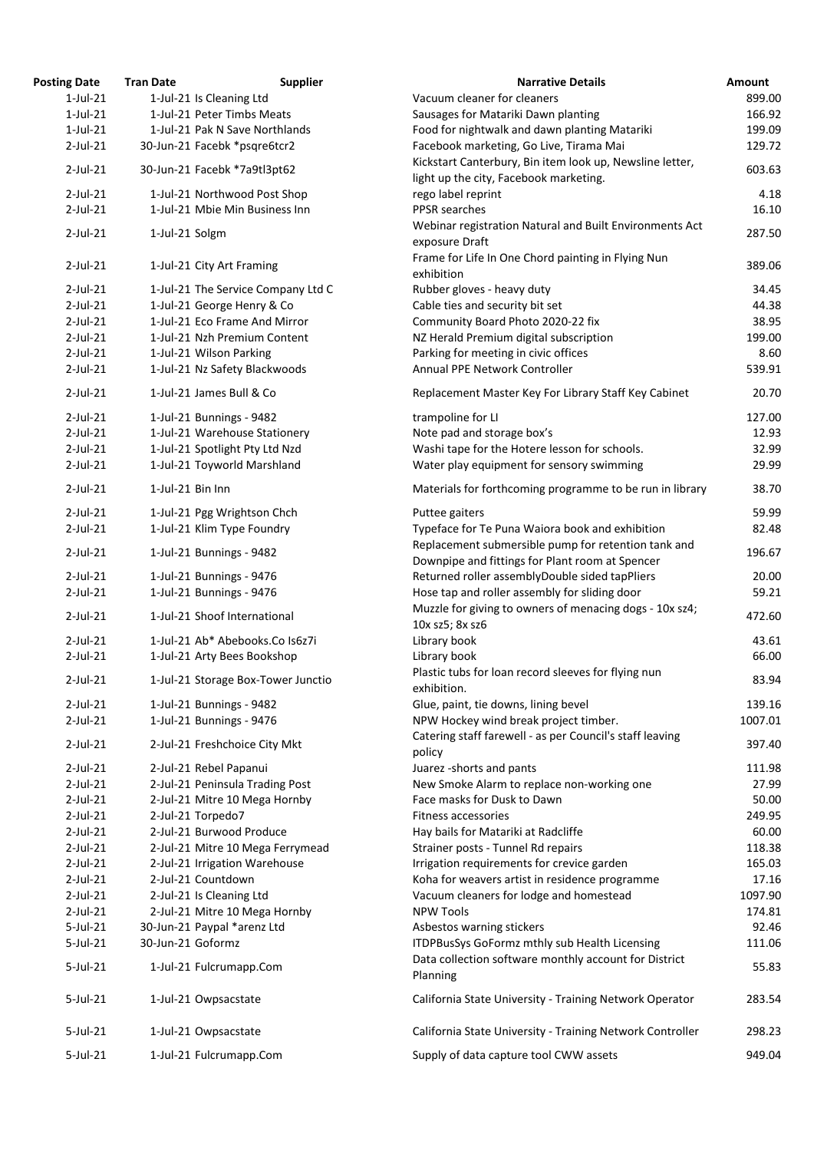| <b>Posting Date</b> | <b>Tran Date</b>  | <b>Supplier</b>                    | <b>Narrative Details</b>                                          | <b>Amount</b> |
|---------------------|-------------------|------------------------------------|-------------------------------------------------------------------|---------------|
| $1$ -Jul-21         |                   | 1-Jul-21 Is Cleaning Ltd           | Vacuum cleaner for cleaners                                       | 899.00        |
| $1$ -Jul-21         |                   | 1-Jul-21 Peter Timbs Meats         | Sausages for Matariki Dawn planting                               | 166.92        |
| $1$ -Jul-21         |                   | 1-Jul-21 Pak N Save Northlands     | Food for nightwalk and dawn planting Matariki                     | 199.09        |
| $2$ -Jul-21         |                   | 30-Jun-21 Facebk *psqre6tcr2       | Facebook marketing, Go Live, Tirama Mai                           | 129.72        |
| $2$ -Jul-21         |                   |                                    | Kickstart Canterbury, Bin item look up, Newsline letter,          | 603.63        |
|                     |                   | 30-Jun-21 Facebk *7a9tl3pt62       | light up the city, Facebook marketing.                            |               |
| $2$ -Jul-21         |                   | 1-Jul-21 Northwood Post Shop       | rego label reprint                                                | 4.18          |
| $2$ -Jul-21         |                   | 1-Jul-21 Mbie Min Business Inn     | PPSR searches                                                     | 16.10         |
|                     |                   |                                    | Webinar registration Natural and Built Environments Act           |               |
| $2$ -Jul-21         | 1-Jul-21 Solgm    |                                    | exposure Draft                                                    | 287.50        |
|                     |                   |                                    | Frame for Life In One Chord painting in Flying Nun                |               |
| $2$ -Jul-21         |                   | 1-Jul-21 City Art Framing          | exhibition                                                        | 389.06        |
| $2$ -Jul-21         |                   | 1-Jul-21 The Service Company Ltd C | Rubber gloves - heavy duty                                        | 34.45         |
| $2$ -Jul-21         |                   | 1-Jul-21 George Henry & Co         | Cable ties and security bit set                                   | 44.38         |
| $2$ -Jul-21         |                   | 1-Jul-21 Eco Frame And Mirror      | Community Board Photo 2020-22 fix                                 | 38.95         |
| $2$ -Jul-21         |                   | 1-Jul-21 Nzh Premium Content       | NZ Herald Premium digital subscription                            | 199.00        |
| $2$ -Jul-21         |                   | 1-Jul-21 Wilson Parking            | Parking for meeting in civic offices                              | 8.60          |
| $2$ -Jul-21         |                   | 1-Jul-21 Nz Safety Blackwoods      | Annual PPE Network Controller                                     | 539.91        |
|                     |                   |                                    |                                                                   |               |
| $2$ -Jul-21         |                   | 1-Jul-21 James Bull & Co           | Replacement Master Key For Library Staff Key Cabinet              | 20.70         |
| $2$ -Jul-21         |                   | 1-Jul-21 Bunnings - 9482           | trampoline for LI                                                 | 127.00        |
| $2$ -Jul-21         |                   | 1-Jul-21 Warehouse Stationery      | Note pad and storage box's                                        | 12.93         |
| $2$ -Jul-21         |                   | 1-Jul-21 Spotlight Pty Ltd Nzd     | Washi tape for the Hotere lesson for schools.                     | 32.99         |
| $2$ -Jul-21         |                   | 1-Jul-21 Toyworld Marshland        | Water play equipment for sensory swimming                         | 29.99         |
| $2$ -Jul-21         | 1-Jul-21 Bin Inn  |                                    | Materials for forthcoming programme to be run in library          | 38.70         |
| $2$ -Jul-21         |                   | 1-Jul-21 Pgg Wrightson Chch        | Puttee gaiters                                                    | 59.99         |
| $2$ -Jul-21         |                   | 1-Jul-21 Klim Type Foundry         | Typeface for Te Puna Waiora book and exhibition                   | 82.48         |
|                     |                   |                                    | Replacement submersible pump for retention tank and               |               |
| $2$ -Jul-21         |                   | 1-Jul-21 Bunnings - 9482           | Downpipe and fittings for Plant room at Spencer                   | 196.67        |
| $2$ -Jul-21         |                   | 1-Jul-21 Bunnings - 9476           | Returned roller assemblyDouble sided tapPliers                    | 20.00         |
| $2$ -Jul-21         |                   | 1-Jul-21 Bunnings - 9476           | Hose tap and roller assembly for sliding door                     | 59.21         |
|                     |                   |                                    | Muzzle for giving to owners of menacing dogs - 10x sz4;           |               |
| $2$ -Jul-21         |                   | 1-Jul-21 Shoof International       | 10x sz5; 8x sz6                                                   | 472.60        |
| $2$ -Jul-21         |                   | 1-Jul-21 Ab* Abebooks.Co Is6z7i    | Library book                                                      | 43.61         |
| $2$ -Jul-21         |                   | 1-Jul-21 Arty Bees Bookshop        | Library book                                                      | 66.00         |
|                     |                   |                                    | Plastic tubs for loan record sleeves for flying nun               |               |
| $2$ -Jul-21         |                   | 1-Jul-21 Storage Box-Tower Junctio | exhibition.                                                       | 83.94         |
| $2$ -Jul-21         |                   | 1-Jul-21 Bunnings - 9482           | Glue, paint, tie downs, lining bevel                              | 139.16        |
| $2$ -Jul-21         |                   | 1-Jul-21 Bunnings - 9476           | NPW Hockey wind break project timber.                             | 1007.01       |
|                     |                   |                                    | Catering staff farewell - as per Council's staff leaving          |               |
| $2$ -Jul-21         |                   | 2-Jul-21 Freshchoice City Mkt      | policy                                                            | 397.40        |
| $2$ -Jul-21         |                   | 2-Jul-21 Rebel Papanui             | Juarez - shorts and pants                                         | 111.98        |
| $2$ -Jul-21         |                   | 2-Jul-21 Peninsula Trading Post    | New Smoke Alarm to replace non-working one                        | 27.99         |
| $2$ -Jul-21         |                   | 2-Jul-21 Mitre 10 Mega Hornby      | Face masks for Dusk to Dawn                                       | 50.00         |
| $2$ -Jul-21         |                   | 2-Jul-21 Torpedo7                  | <b>Fitness accessories</b>                                        | 249.95        |
| $2$ -Jul-21         |                   | 2-Jul-21 Burwood Produce           | Hay bails for Matariki at Radcliffe                               | 60.00         |
| $2$ -Jul-21         |                   | 2-Jul-21 Mitre 10 Mega Ferrymead   | Strainer posts - Tunnel Rd repairs                                | 118.38        |
| $2$ -Jul-21         |                   | 2-Jul-21 Irrigation Warehouse      | Irrigation requirements for crevice garden                        | 165.03        |
| $2$ -Jul-21         |                   | 2-Jul-21 Countdown                 | Koha for weavers artist in residence programme                    | 17.16         |
| $2$ -Jul-21         |                   | 2-Jul-21 Is Cleaning Ltd           |                                                                   | 1097.90       |
| $2$ -Jul-21         |                   | 2-Jul-21 Mitre 10 Mega Hornby      | Vacuum cleaners for lodge and homestead<br><b>NPW Tools</b>       | 174.81        |
|                     |                   |                                    |                                                                   |               |
| $5$ -Jul-21         |                   | 30-Jun-21 Paypal *arenz Ltd        | Asbestos warning stickers                                         | 92.46         |
| $5$ -Jul-21         | 30-Jun-21 Goformz |                                    | ITDPBusSys GoFormz mthly sub Health Licensing                     | 111.06        |
| $5$ -Jul-21         |                   | 1-Jul-21 Fulcrumapp.Com            | Data collection software monthly account for District<br>Planning | 55.83         |
| $5$ -Jul-21         |                   | 1-Jul-21 Owpsacstate               | California State University - Training Network Operator           | 283.54        |
| $5$ -Jul-21         |                   | 1-Jul-21 Owpsacstate               | California State University - Training Network Controller         | 298.23        |
| $5$ -Jul-21         |                   | 1-Jul-21 Fulcrumapp.Com            | Supply of data capture tool CWW assets                            | 949.04        |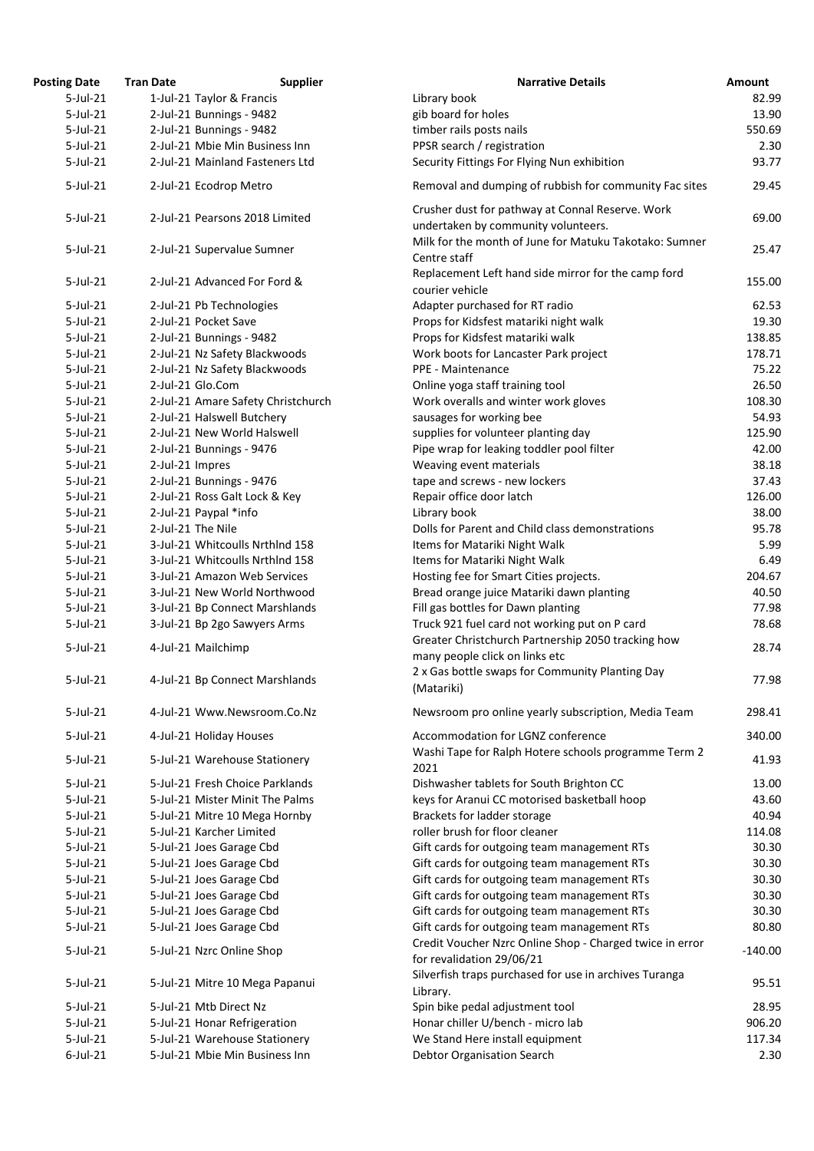| <b>Posting Date</b> | <b>Tran Date</b>                | <b>Supplier</b>                    | <b>Narrative Details</b>                                                                | Amount    |
|---------------------|---------------------------------|------------------------------------|-----------------------------------------------------------------------------------------|-----------|
| $5$ -Jul-21         | 1-Jul-21 Taylor & Francis       |                                    | Library book                                                                            | 82.99     |
| $5$ -Jul-21         | 2-Jul-21 Bunnings - 9482        |                                    | gib board for holes                                                                     | 13.90     |
| $5$ -Jul-21         | 2-Jul-21 Bunnings - 9482        |                                    | timber rails posts nails                                                                | 550.69    |
| $5$ -Jul-21         | 2-Jul-21 Mbie Min Business Inn  |                                    | PPSR search / registration                                                              | 2.30      |
| $5$ -Jul-21         |                                 | 2-Jul-21 Mainland Fasteners Ltd    | Security Fittings For Flying Nun exhibition                                             | 93.77     |
| $5$ -Jul-21         | 2-Jul-21 Ecodrop Metro          |                                    | Removal and dumping of rubbish for community Fac sites                                  | 29.45     |
| $5$ -Jul-21         | 2-Jul-21 Pearsons 2018 Limited  |                                    | Crusher dust for pathway at Connal Reserve. Work<br>undertaken by community volunteers. | 69.00     |
| $5$ -Jul-21         | 2-Jul-21 Supervalue Sumner      |                                    | Milk for the month of June for Matuku Takotako: Sumner<br>Centre staff                  | 25.47     |
| $5$ -Jul-21         | 2-Jul-21 Advanced For Ford &    |                                    | Replacement Left hand side mirror for the camp ford<br>courier vehicle                  | 155.00    |
| $5$ -Jul-21         | 2-Jul-21 Pb Technologies        |                                    | Adapter purchased for RT radio                                                          | 62.53     |
| $5$ -Jul-21         | 2-Jul-21 Pocket Save            |                                    | Props for Kidsfest matariki night walk                                                  | 19.30     |
| $5$ -Jul-21         | 2-Jul-21 Bunnings - 9482        |                                    | Props for Kidsfest matariki walk                                                        | 138.85    |
| $5$ -Jul-21         | 2-Jul-21 Nz Safety Blackwoods   |                                    | Work boots for Lancaster Park project                                                   | 178.71    |
| $5$ -Jul-21         | 2-Jul-21 Nz Safety Blackwoods   |                                    | PPE - Maintenance                                                                       | 75.22     |
| $5$ -Jul-21         | 2-Jul-21 Glo.Com                |                                    | Online yoga staff training tool                                                         | 26.50     |
| $5$ -Jul-21         |                                 | 2-Jul-21 Amare Safety Christchurch | Work overalls and winter work gloves                                                    | 108.30    |
| $5$ -Jul-21         | 2-Jul-21 Halswell Butchery      |                                    | sausages for working bee                                                                | 54.93     |
| $5$ -Jul-21         | 2-Jul-21 New World Halswell     |                                    | supplies for volunteer planting day                                                     | 125.90    |
| $5$ -Jul-21         | 2-Jul-21 Bunnings - 9476        |                                    | Pipe wrap for leaking toddler pool filter                                               | 42.00     |
| $5$ -Jul-21         | 2-Jul-21 Impres                 |                                    | Weaving event materials                                                                 | 38.18     |
| $5$ -Jul-21         | 2-Jul-21 Bunnings - 9476        |                                    | tape and screws - new lockers                                                           | 37.43     |
| $5$ -Jul-21         | 2-Jul-21 Ross Galt Lock & Key   |                                    | Repair office door latch                                                                | 126.00    |
| $5$ -Jul-21         | 2-Jul-21 Paypal *info           |                                    | Library book                                                                            | 38.00     |
| $5$ -Jul-21         | 2-Jul-21 The Nile               |                                    | Dolls for Parent and Child class demonstrations                                         | 95.78     |
| $5$ -Jul-21         |                                 | 3-Jul-21 Whitcoulls Nrthlnd 158    | Items for Matariki Night Walk                                                           | 5.99      |
| $5$ -Jul-21         |                                 | 3-Jul-21 Whitcoulls Nrthlnd 158    | Items for Matariki Night Walk                                                           | 6.49      |
| $5$ -Jul-21         | 3-Jul-21 Amazon Web Services    |                                    | Hosting fee for Smart Cities projects.                                                  | 204.67    |
| $5$ -Jul-21         |                                 | 3-Jul-21 New World Northwood       | Bread orange juice Matariki dawn planting                                               | 40.50     |
| $5$ -Jul-21         |                                 | 3-Jul-21 Bp Connect Marshlands     | Fill gas bottles for Dawn planting                                                      | 77.98     |
| $5$ -Jul-21         | 3-Jul-21 Bp 2go Sawyers Arms    |                                    | Truck 921 fuel card not working put on P card                                           | 78.68     |
|                     |                                 |                                    | Greater Christchurch Partnership 2050 tracking how                                      |           |
| $5$ -Jul-21         | 4-Jul-21 Mailchimp              |                                    | many people click on links etc<br>2 x Gas bottle swaps for Community Planting Day       | 28.74     |
| $5$ -Jul-21         |                                 | 4-Jul-21 Bp Connect Marshlands     | (Matariki)                                                                              | 77.98     |
| $5$ -Jul-21         |                                 | 4-Jul-21 Www.Newsroom.Co.Nz        | Newsroom pro online yearly subscription, Media Team                                     | 298.41    |
| $5$ -Jul-21         | 4-Jul-21 Holiday Houses         |                                    | Accommodation for LGNZ conference                                                       | 340.00    |
| $5$ -Jul-21         | 5-Jul-21 Warehouse Stationery   |                                    | Washi Tape for Ralph Hotere schools programme Term 2<br>2021                            | 41.93     |
| $5$ -Jul-21         | 5-Jul-21 Fresh Choice Parklands |                                    | Dishwasher tablets for South Brighton CC                                                | 13.00     |
| $5$ -Jul-21         |                                 | 5-Jul-21 Mister Minit The Palms    | keys for Aranui CC motorised basketball hoop                                            | 43.60     |
| $5$ -Jul-21         | 5-Jul-21 Mitre 10 Mega Hornby   |                                    | Brackets for ladder storage                                                             | 40.94     |
| $5$ -Jul-21         | 5-Jul-21 Karcher Limited        |                                    | roller brush for floor cleaner                                                          | 114.08    |
| $5$ -Jul-21         | 5-Jul-21 Joes Garage Cbd        |                                    | Gift cards for outgoing team management RTs                                             | 30.30     |
| $5$ -Jul-21         | 5-Jul-21 Joes Garage Cbd        |                                    | Gift cards for outgoing team management RTs                                             | 30.30     |
| $5$ -Jul-21         | 5-Jul-21 Joes Garage Cbd        |                                    | Gift cards for outgoing team management RTs                                             | 30.30     |
| $5$ -Jul-21         | 5-Jul-21 Joes Garage Cbd        |                                    | Gift cards for outgoing team management RTs                                             | 30.30     |
| $5$ -Jul-21         | 5-Jul-21 Joes Garage Cbd        |                                    | Gift cards for outgoing team management RTs                                             | 30.30     |
| $5$ -Jul-21         | 5-Jul-21 Joes Garage Cbd        |                                    | Gift cards for outgoing team management RTs                                             | 80.80     |
| $5$ -Jul-21         | 5-Jul-21 Nzrc Online Shop       |                                    | Credit Voucher Nzrc Online Shop - Charged twice in error<br>for revalidation 29/06/21   | $-140.00$ |
| $5$ -Jul-21         |                                 | 5-Jul-21 Mitre 10 Mega Papanui     | Silverfish traps purchased for use in archives Turanga<br>Library.                      | 95.51     |
| $5$ -Jul-21         | 5-Jul-21 Mtb Direct Nz          |                                    | Spin bike pedal adjustment tool                                                         | 28.95     |
| 5-Jul-21            | 5-Jul-21 Honar Refrigeration    |                                    | Honar chiller U/bench - micro lab                                                       | 906.20    |
| $5$ -Jul-21         | 5-Jul-21 Warehouse Stationery   |                                    | We Stand Here install equipment                                                         | 117.34    |
| $6$ -Jul-21         | 5-Jul-21 Mbie Min Business Inn  |                                    | <b>Debtor Organisation Search</b>                                                       | 2.30      |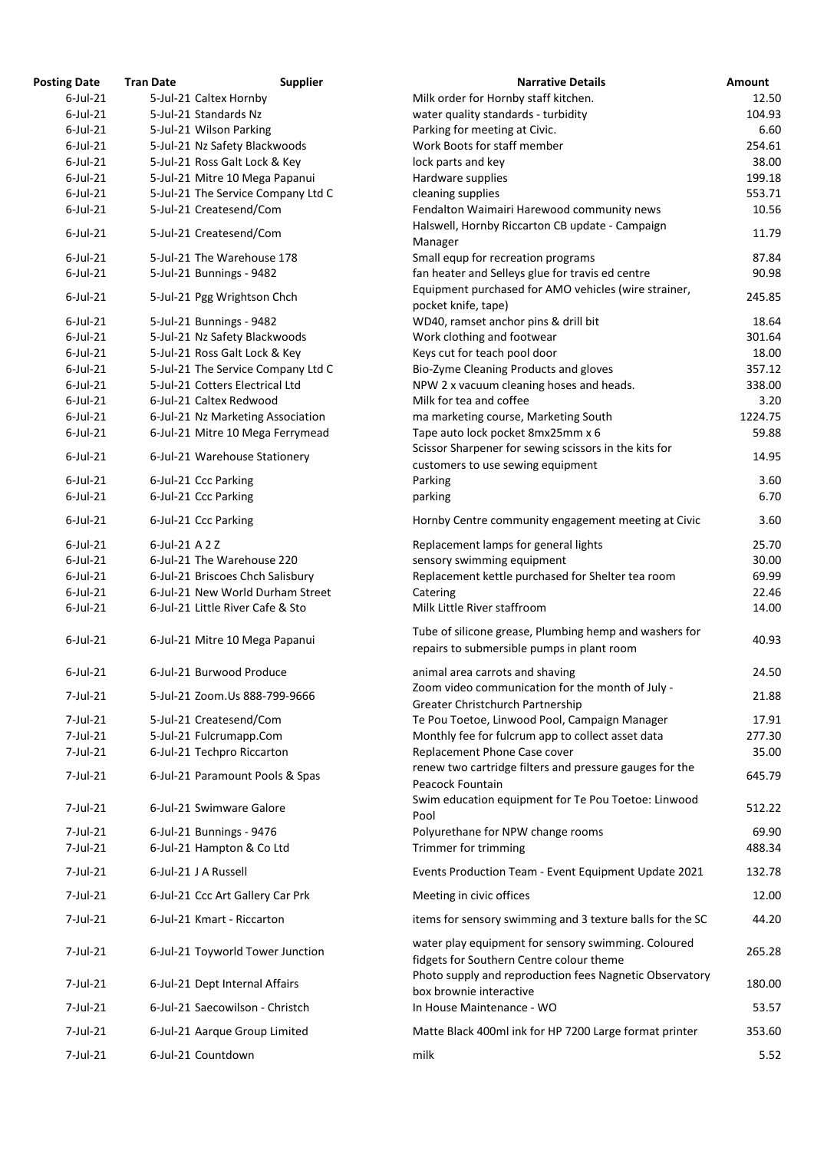| <b>Posting Date</b> | <b>Tran Date</b> | <b>Supplier</b>                    | <b>Narrative Details</b>                                                                             | Amount  |
|---------------------|------------------|------------------------------------|------------------------------------------------------------------------------------------------------|---------|
| $6$ -Jul-21         |                  | 5-Jul-21 Caltex Hornby             | Milk order for Hornby staff kitchen.                                                                 | 12.50   |
| $6$ -Jul-21         |                  | 5-Jul-21 Standards Nz              | water quality standards - turbidity                                                                  | 104.93  |
| $6$ -Jul-21         |                  | 5-Jul-21 Wilson Parking            | Parking for meeting at Civic.                                                                        | 6.60    |
| $6$ -Jul-21         |                  | 5-Jul-21 Nz Safety Blackwoods      | Work Boots for staff member                                                                          | 254.61  |
| $6$ -Jul-21         |                  | 5-Jul-21 Ross Galt Lock & Key      | lock parts and key                                                                                   | 38.00   |
| $6$ -Jul-21         |                  | 5-Jul-21 Mitre 10 Mega Papanui     | Hardware supplies                                                                                    | 199.18  |
| $6$ -Jul-21         |                  | 5-Jul-21 The Service Company Ltd C | cleaning supplies                                                                                    | 553.71  |
| $6$ -Jul-21         |                  | 5-Jul-21 Createsend/Com            | Fendalton Waimairi Harewood community news                                                           | 10.56   |
| $6$ -Jul-21         |                  | 5-Jul-21 Createsend/Com            | Halswell, Hornby Riccarton CB update - Campaign<br>Manager                                           | 11.79   |
| $6$ -Jul-21         |                  | 5-Jul-21 The Warehouse 178         | Small equp for recreation programs                                                                   | 87.84   |
| $6$ -Jul-21         |                  | 5-Jul-21 Bunnings - 9482           | fan heater and Selleys glue for travis ed centre                                                     | 90.98   |
| $6$ -Jul-21         |                  | 5-Jul-21 Pgg Wrightson Chch        | Equipment purchased for AMO vehicles (wire strainer,<br>pocket knife, tape)                          | 245.85  |
| $6$ -Jul-21         |                  | 5-Jul-21 Bunnings - 9482           | WD40, ramset anchor pins & drill bit                                                                 | 18.64   |
| $6$ -Jul-21         |                  | 5-Jul-21 Nz Safety Blackwoods      | Work clothing and footwear                                                                           | 301.64  |
| $6$ -Jul-21         |                  | 5-Jul-21 Ross Galt Lock & Key      | Keys cut for teach pool door                                                                         | 18.00   |
| $6$ -Jul-21         |                  | 5-Jul-21 The Service Company Ltd C | Bio-Zyme Cleaning Products and gloves                                                                | 357.12  |
| $6$ -Jul-21         |                  | 5-Jul-21 Cotters Electrical Ltd    | NPW 2 x vacuum cleaning hoses and heads.                                                             | 338.00  |
| $6$ -Jul-21         |                  | 6-Jul-21 Caltex Redwood            | Milk for tea and coffee                                                                              | 3.20    |
| $6$ -Jul-21         |                  | 6-Jul-21 Nz Marketing Association  | ma marketing course, Marketing South                                                                 | 1224.75 |
| $6$ -Jul-21         |                  | 6-Jul-21 Mitre 10 Mega Ferrymead   | Tape auto lock pocket 8mx25mm x 6<br>Scissor Sharpener for sewing scissors in the kits for           | 59.88   |
| $6$ -Jul-21         |                  | 6-Jul-21 Warehouse Stationery      | customers to use sewing equipment                                                                    | 14.95   |
| $6$ -Jul-21         |                  | 6-Jul-21 Ccc Parking               | Parking                                                                                              | 3.60    |
| $6$ -Jul-21         |                  | 6-Jul-21 Ccc Parking               | parking                                                                                              | 6.70    |
| $6$ -Jul-21         |                  | 6-Jul-21 Ccc Parking               | Hornby Centre community engagement meeting at Civic                                                  | 3.60    |
| $6$ -Jul-21         | 6-Jul-21 A 2 Z   |                                    | Replacement lamps for general lights                                                                 | 25.70   |
| $6$ -Jul-21         |                  | 6-Jul-21 The Warehouse 220         | sensory swimming equipment                                                                           | 30.00   |
| $6$ -Jul-21         |                  | 6-Jul-21 Briscoes Chch Salisbury   | Replacement kettle purchased for Shelter tea room                                                    | 69.99   |
| $6$ -Jul-21         |                  | 6-Jul-21 New World Durham Street   | Catering                                                                                             | 22.46   |
| $6$ -Jul-21         |                  | 6-Jul-21 Little River Cafe & Sto   | Milk Little River staffroom                                                                          | 14.00   |
| $6$ -Jul-21         |                  | 6-Jul-21 Mitre 10 Mega Papanui     | Tube of silicone grease, Plumbing hemp and washers for<br>repairs to submersible pumps in plant room | 40.93   |
| $6$ -Jul-21         |                  | 6-Jul-21 Burwood Produce           | animal area carrots and shaving                                                                      | 24.50   |
| 7-Jul-21            |                  | 5-Jul-21 Zoom.Us 888-799-9666      | Zoom video communication for the month of July -<br>Greater Christchurch Partnership                 | 21.88   |
| $7$ -Jul-21         |                  | 5-Jul-21 Createsend/Com            | Te Pou Toetoe, Linwood Pool, Campaign Manager                                                        | 17.91   |
| 7-Jul-21            |                  | 5-Jul-21 Fulcrumapp.Com            | Monthly fee for fulcrum app to collect asset data                                                    | 277.30  |
| 7-Jul-21            |                  | 6-Jul-21 Techpro Riccarton         | Replacement Phone Case cover                                                                         | 35.00   |
| 7-Jul-21            |                  | 6-Jul-21 Paramount Pools & Spas    | renew two cartridge filters and pressure gauges for the<br>Peacock Fountain                          | 645.79  |
| 7-Jul-21            |                  | 6-Jul-21 Swimware Galore           | Swim education equipment for Te Pou Toetoe: Linwood<br>Pool                                          | 512.22  |
| $7$ -Jul-21         |                  | 6-Jul-21 Bunnings - 9476           | Polyurethane for NPW change rooms                                                                    | 69.90   |
| 7-Jul-21            |                  | 6-Jul-21 Hampton & Co Ltd          | Trimmer for trimming                                                                                 | 488.34  |
| 7-Jul-21            |                  | 6-Jul-21 J A Russell               | Events Production Team - Event Equipment Update 2021                                                 | 132.78  |
| 7-Jul-21            |                  | 6-Jul-21 Ccc Art Gallery Car Prk   | Meeting in civic offices                                                                             | 12.00   |
| 7-Jul-21            |                  | 6-Jul-21 Kmart - Riccarton         | items for sensory swimming and 3 texture balls for the SC                                            | 44.20   |
| 7-Jul-21            |                  | 6-Jul-21 Toyworld Tower Junction   | water play equipment for sensory swimming. Coloured<br>fidgets for Southern Centre colour theme      | 265.28  |
| 7-Jul-21            |                  | 6-Jul-21 Dept Internal Affairs     | Photo supply and reproduction fees Nagnetic Observatory<br>box brownie interactive                   | 180.00  |
| 7-Jul-21            |                  | 6-Jul-21 Saecowilson - Christch    | In House Maintenance - WO                                                                            | 53.57   |
| 7-Jul-21            |                  | 6-Jul-21 Aarque Group Limited      | Matte Black 400ml ink for HP 7200 Large format printer                                               | 353.60  |
| 7-Jul-21            |                  | 6-Jul-21 Countdown                 | milk                                                                                                 | 5.52    |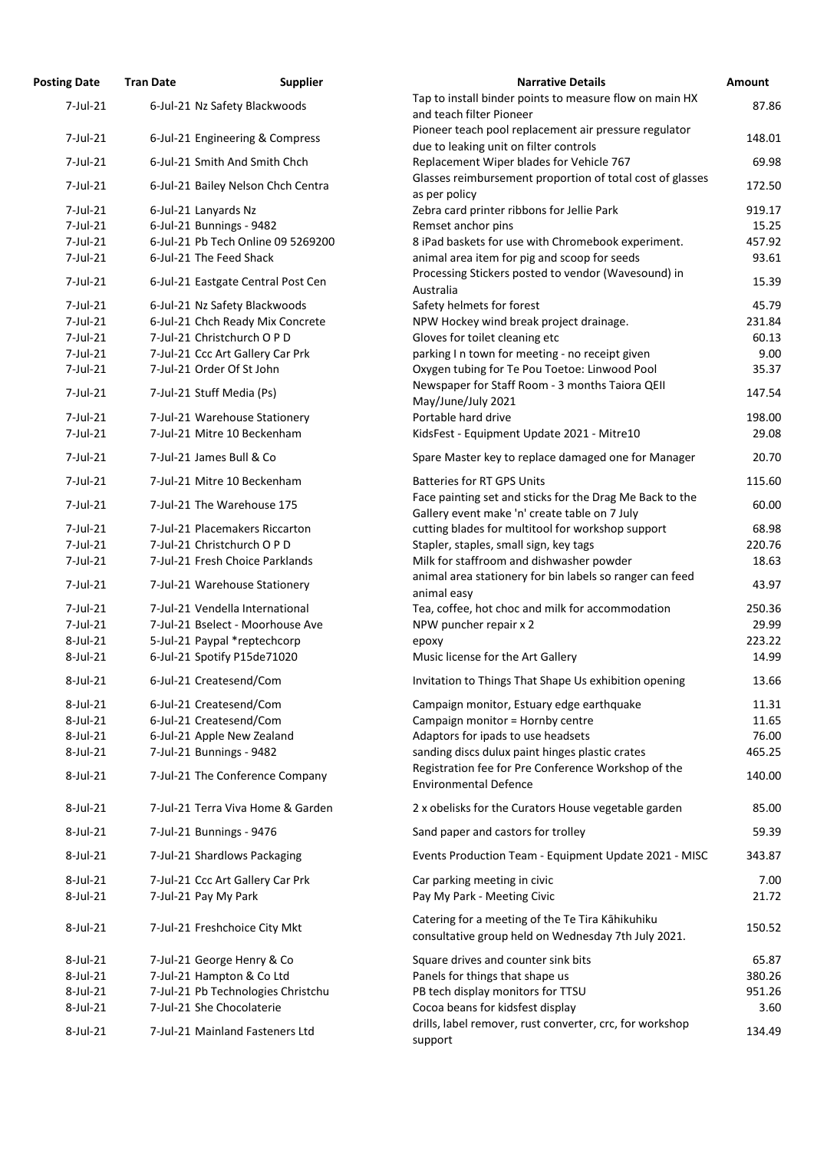| <b>Posting Date</b>  | <b>Tran Date</b>     | <b>Supplier</b>                    | <b>Narrative Details</b>                                                                                | Amount         |
|----------------------|----------------------|------------------------------------|---------------------------------------------------------------------------------------------------------|----------------|
| 7-Jul-21             |                      | 6-Jul-21 Nz Safety Blackwoods      | Tap to install binder points to measure flow on main HX<br>and teach filter Pioneer                     | 87.86          |
| 7-Jul-21             |                      | 6-Jul-21 Engineering & Compress    | Pioneer teach pool replacement air pressure regulator<br>due to leaking unit on filter controls         | 148.01         |
| 7-Jul-21             |                      | 6-Jul-21 Smith And Smith Chch      | Replacement Wiper blades for Vehicle 767                                                                | 69.98          |
| 7-Jul-21             |                      | 6-Jul-21 Bailey Nelson Chch Centra | Glasses reimbursement proportion of total cost of glasses<br>as per policy                              | 172.50         |
| $7$ -Jul-21          | 6-Jul-21 Lanyards Nz |                                    | Zebra card printer ribbons for Jellie Park                                                              | 919.17         |
| $7$ -Jul-21          |                      | 6-Jul-21 Bunnings - 9482           | Remset anchor pins                                                                                      | 15.25          |
| 7-Jul-21             |                      | 6-Jul-21 Pb Tech Online 09 5269200 | 8 iPad baskets for use with Chromebook experiment.                                                      | 457.92         |
| 7-Jul-21             |                      | 6-Jul-21 The Feed Shack            | animal area item for pig and scoop for seeds                                                            | 93.61          |
| 7-Jul-21             |                      | 6-Jul-21 Eastgate Central Post Cen | Processing Stickers posted to vendor (Wavesound) in<br>Australia                                        | 15.39          |
| 7-Jul-21             |                      | 6-Jul-21 Nz Safety Blackwoods      | Safety helmets for forest                                                                               | 45.79          |
| $7$ -Jul-21          |                      | 6-Jul-21 Chch Ready Mix Concrete   | NPW Hockey wind break project drainage.                                                                 | 231.84         |
| 7-Jul-21             |                      | 7-Jul-21 Christchurch O P D        | Gloves for toilet cleaning etc                                                                          | 60.13          |
| 7-Jul-21             |                      | 7-Jul-21 Ccc Art Gallery Car Prk   | parking I n town for meeting - no receipt given                                                         | 9.00           |
| 7-Jul-21             |                      | 7-Jul-21 Order Of St John          | Oxygen tubing for Te Pou Toetoe: Linwood Pool                                                           | 35.37          |
| 7-Jul-21             |                      | 7-Jul-21 Stuff Media (Ps)          | Newspaper for Staff Room - 3 months Taiora QEII<br>May/June/July 2021                                   | 147.54         |
| 7-Jul-21             |                      | 7-Jul-21 Warehouse Stationery      | Portable hard drive                                                                                     | 198.00         |
| 7-Jul-21             |                      | 7-Jul-21 Mitre 10 Beckenham        | KidsFest - Equipment Update 2021 - Mitre10                                                              | 29.08          |
| 7-Jul-21             |                      | 7-Jul-21 James Bull & Co           | Spare Master key to replace damaged one for Manager                                                     | 20.70          |
| 7-Jul-21             |                      | 7-Jul-21 Mitre 10 Beckenham        | <b>Batteries for RT GPS Units</b><br>Face painting set and sticks for the Drag Me Back to the           | 115.60         |
| 7-Jul-21             |                      | 7-Jul-21 The Warehouse 175         | Gallery event make 'n' create table on 7 July                                                           | 60.00          |
| 7-Jul-21             |                      | 7-Jul-21 Placemakers Riccarton     | cutting blades for multitool for workshop support                                                       | 68.98          |
| 7-Jul-21             |                      | 7-Jul-21 Christchurch O P D        | Stapler, staples, small sign, key tags                                                                  | 220.76         |
| 7-Jul-21             |                      | 7-Jul-21 Fresh Choice Parklands    | Milk for staffroom and dishwasher powder                                                                | 18.63          |
| 7-Jul-21             |                      | 7-Jul-21 Warehouse Stationery      | animal area stationery for bin labels so ranger can feed<br>animal easy                                 | 43.97          |
| 7-Jul-21             |                      | 7-Jul-21 Vendella International    | Tea, coffee, hot choc and milk for accommodation                                                        | 250.36         |
| 7-Jul-21             |                      | 7-Jul-21 Bselect - Moorhouse Ave   | NPW puncher repair x 2                                                                                  | 29.99          |
| 8-Jul-21             |                      | 5-Jul-21 Paypal *reptechcorp       | ероху                                                                                                   | 223.22         |
| $8$ -Jul-21          |                      | 6-Jul-21 Spotify P15de71020        | Music license for the Art Gallery                                                                       | 14.99          |
| 8-Jul-21             |                      | 6-Jul-21 Createsend/Com            | Invitation to Things That Shape Us exhibition opening                                                   | 13.66          |
| 8-Jul-21             |                      | 6-Jul-21 Createsend/Com            | Campaign monitor, Estuary edge earthquake                                                               | 11.31          |
| 8-Jul-21             |                      | 6-Jul-21 Createsend/Com            | Campaign monitor = Hornby centre                                                                        | 11.65          |
| 8-Jul-21             |                      | 6-Jul-21 Apple New Zealand         | Adaptors for ipads to use headsets                                                                      | 76.00          |
| 8-Jul-21             |                      | 7-Jul-21 Bunnings - 9482           | sanding discs dulux paint hinges plastic crates                                                         | 465.25         |
| 8-Jul-21             |                      | 7-Jul-21 The Conference Company    | Registration fee for Pre Conference Workshop of the                                                     | 140.00         |
| 8-Jul-21             |                      | 7-Jul-21 Terra Viva Home & Garden  | <b>Environmental Defence</b><br>2 x obelisks for the Curators House vegetable garden                    | 85.00          |
| 8-Jul-21             |                      | 7-Jul-21 Bunnings - 9476           | Sand paper and castors for trolley                                                                      | 59.39          |
| 8-Jul-21             |                      | 7-Jul-21 Shardlows Packaging       | Events Production Team - Equipment Update 2021 - MISC                                                   | 343.87         |
| 8-Jul-21             |                      | 7-Jul-21 Ccc Art Gallery Car Prk   | Car parking meeting in civic                                                                            | 7.00           |
| 8-Jul-21             | 7-Jul-21 Pay My Park |                                    | Pay My Park - Meeting Civic                                                                             | 21.72          |
|                      |                      |                                    |                                                                                                         |                |
| 8-Jul-21             |                      | 7-Jul-21 Freshchoice City Mkt      | Catering for a meeting of the Te Tira Kāhikuhiku<br>consultative group held on Wednesday 7th July 2021. | 150.52         |
| 8-Jul-21             |                      | 7-Jul-21 George Henry & Co         | Square drives and counter sink bits                                                                     | 65.87          |
| 8-Jul-21             |                      | 7-Jul-21 Hampton & Co Ltd          | Panels for things that shape us                                                                         | 380.26         |
| 8-Jul-21             |                      | 7-Jul-21 Pb Technologies Christchu | PB tech display monitors for TTSU                                                                       | 951.26         |
|                      |                      | 7-Jul-21 She Chocolaterie          | Cocoa beans for kidsfest display                                                                        |                |
| 8-Jul-21<br>8-Jul-21 |                      | 7-Jul-21 Mainland Fasteners Ltd    | drills, label remover, rust converter, crc, for workshop<br>support                                     | 3.60<br>134.49 |
|                      |                      |                                    |                                                                                                         |                |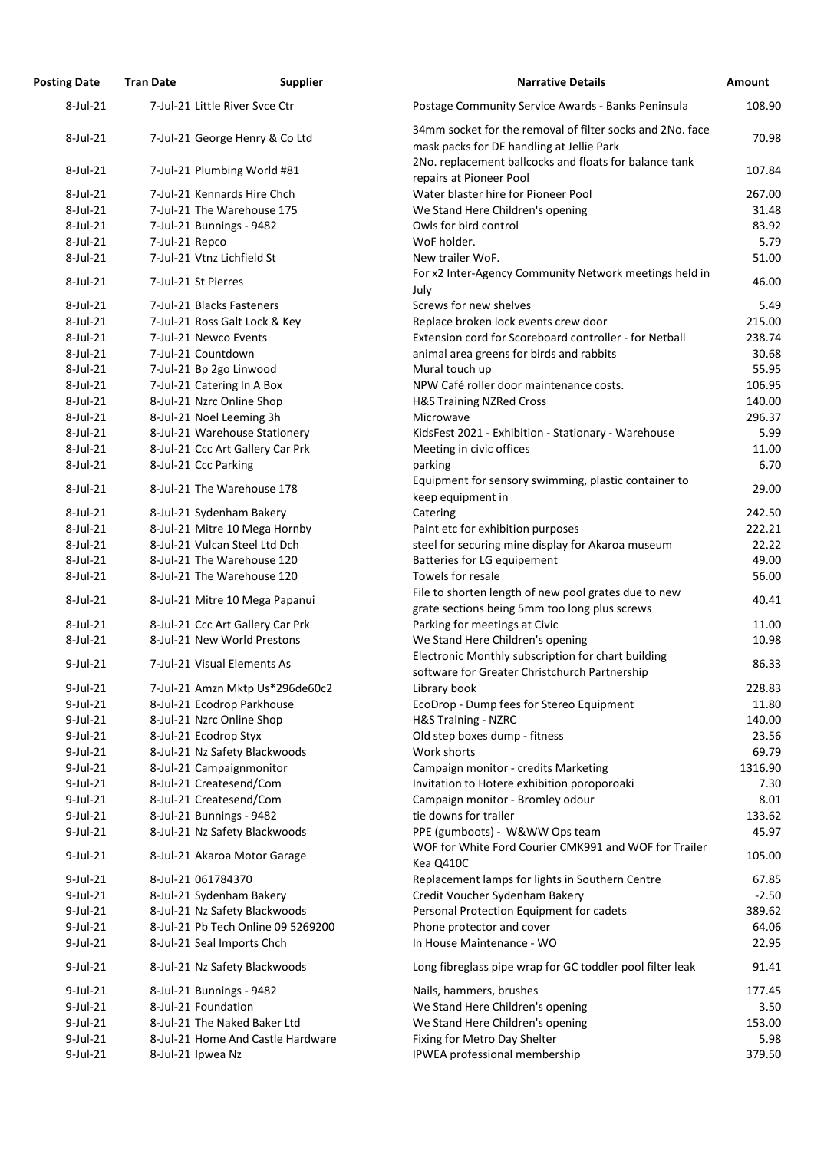| <b>Posting Date</b> | <b>Tran Date</b>    | <b>Supplier</b>                    | <b>Narrative Details</b>                                                                               | Amount  |
|---------------------|---------------------|------------------------------------|--------------------------------------------------------------------------------------------------------|---------|
| 8-Jul-21            |                     | 7-Jul-21 Little River Svce Ctr     | Postage Community Service Awards - Banks Peninsula                                                     | 108.90  |
| 8-Jul-21            |                     | 7-Jul-21 George Henry & Co Ltd     | 34mm socket for the removal of filter socks and 2No. face<br>mask packs for DE handling at Jellie Park | 70.98   |
| 8-Jul-21            |                     | 7-Jul-21 Plumbing World #81        | 2No. replacement ballcocks and floats for balance tank<br>repairs at Pioneer Pool                      | 107.84  |
| 8-Jul-21            |                     | 7-Jul-21 Kennards Hire Chch        | Water blaster hire for Pioneer Pool                                                                    | 267.00  |
| 8-Jul-21            |                     | 7-Jul-21 The Warehouse 175         | We Stand Here Children's opening                                                                       | 31.48   |
| 8-Jul-21            |                     | 7-Jul-21 Bunnings - 9482           | Owls for bird control                                                                                  | 83.92   |
| 8-Jul-21            | 7-Jul-21 Repco      |                                    | WoF holder.                                                                                            | 5.79    |
| 8-Jul-21            |                     | 7-Jul-21 Vtnz Lichfield St         | New trailer WoF.                                                                                       | 51.00   |
| 8-Jul-21            | 7-Jul-21 St Pierres |                                    | For x2 Inter-Agency Community Network meetings held in<br>July                                         | 46.00   |
| 8-Jul-21            |                     | 7-Jul-21 Blacks Fasteners          | Screws for new shelves                                                                                 | 5.49    |
| 8-Jul-21            |                     | 7-Jul-21 Ross Galt Lock & Key      | Replace broken lock events crew door                                                                   | 215.00  |
| 8-Jul-21            |                     | 7-Jul-21 Newco Events              | Extension cord for Scoreboard controller - for Netball                                                 | 238.74  |
| 8-Jul-21            |                     | 7-Jul-21 Countdown                 | animal area greens for birds and rabbits                                                               | 30.68   |
| 8-Jul-21            |                     | 7-Jul-21 Bp 2go Linwood            | Mural touch up                                                                                         | 55.95   |
| 8-Jul-21            |                     | 7-Jul-21 Catering In A Box         | NPW Café roller door maintenance costs.                                                                | 106.95  |
| 8-Jul-21            |                     | 8-Jul-21 Nzrc Online Shop          | <b>H&amp;S Training NZRed Cross</b>                                                                    | 140.00  |
| 8-Jul-21            |                     | 8-Jul-21 Noel Leeming 3h           | Microwave                                                                                              | 296.37  |
| 8-Jul-21            |                     | 8-Jul-21 Warehouse Stationery      | KidsFest 2021 - Exhibition - Stationary - Warehouse                                                    | 5.99    |
| 8-Jul-21            |                     | 8-Jul-21 Ccc Art Gallery Car Prk   | Meeting in civic offices                                                                               | 11.00   |
| 8-Jul-21            |                     | 8-Jul-21 Ccc Parking               | parking                                                                                                | 6.70    |
| 8-Jul-21            |                     | 8-Jul-21 The Warehouse 178         | Equipment for sensory swimming, plastic container to<br>keep equipment in                              | 29.00   |
| 8-Jul-21            |                     | 8-Jul-21 Sydenham Bakery           | Catering                                                                                               | 242.50  |
| 8-Jul-21            |                     | 8-Jul-21 Mitre 10 Mega Hornby      | Paint etc for exhibition purposes                                                                      | 222.21  |
| 8-Jul-21            |                     | 8-Jul-21 Vulcan Steel Ltd Dch      | steel for securing mine display for Akaroa museum                                                      | 22.22   |
| 8-Jul-21            |                     | 8-Jul-21 The Warehouse 120         | Batteries for LG equipement                                                                            | 49.00   |
| 8-Jul-21            |                     | 8-Jul-21 The Warehouse 120         | Towels for resale                                                                                      | 56.00   |
|                     |                     |                                    | File to shorten length of new pool grates due to new                                                   |         |
| 8-Jul-21            |                     | 8-Jul-21 Mitre 10 Mega Papanui     | grate sections being 5mm too long plus screws                                                          | 40.41   |
| 8-Jul-21            |                     | 8-Jul-21 Ccc Art Gallery Car Prk   | Parking for meetings at Civic                                                                          | 11.00   |
| 8-Jul-21            |                     | 8-Jul-21 New World Prestons        | We Stand Here Children's opening                                                                       | 10.98   |
| $9$ -Jul-21         |                     | 7-Jul-21 Visual Elements As        | Electronic Monthly subscription for chart building<br>software for Greater Christchurch Partnership    | 86.33   |
| $9$ -Jul-21         |                     | 7-Jul-21 Amzn Mktp Us*296de60c2    | Library book                                                                                           | 228.83  |
| $9$ -Jul-21         |                     | 8-Jul-21 Ecodrop Parkhouse         | EcoDrop - Dump fees for Stereo Equipment                                                               | 11.80   |
| $9$ -Jul-21         |                     | 8-Jul-21 Nzrc Online Shop          | H&S Training - NZRC                                                                                    | 140.00  |
| $9$ -Jul-21         |                     | 8-Jul-21 Ecodrop Styx              | Old step boxes dump - fitness                                                                          | 23.56   |
| $9$ -Jul-21         |                     | 8-Jul-21 Nz Safety Blackwoods      | Work shorts                                                                                            | 69.79   |
| 9-Jul-21            |                     | 8-Jul-21 Campaignmonitor           | Campaign monitor - credits Marketing                                                                   | 1316.90 |
| $9$ -Jul-21         |                     | 8-Jul-21 Createsend/Com            | Invitation to Hotere exhibition poroporoaki                                                            | 7.30    |
| $9$ -Jul-21         |                     | 8-Jul-21 Createsend/Com            | Campaign monitor - Bromley odour                                                                       | 8.01    |
| $9$ -Jul-21         |                     | 8-Jul-21 Bunnings - 9482           | tie downs for trailer                                                                                  | 133.62  |
| $9$ -Jul-21         |                     | 8-Jul-21 Nz Safety Blackwoods      | PPE (gumboots) - W&WW Ops team                                                                         | 45.97   |
| $9$ -Jul-21         |                     | 8-Jul-21 Akaroa Motor Garage       | WOF for White Ford Courier CMK991 and WOF for Trailer<br>Kea Q410C                                     | 105.00  |
| $9$ -Jul-21         |                     | 8-Jul-21 061784370                 | Replacement lamps for lights in Southern Centre                                                        | 67.85   |
| $9$ -Jul-21         |                     | 8-Jul-21 Sydenham Bakery           | Credit Voucher Sydenham Bakery                                                                         | $-2.50$ |
| $9$ -Jul-21         |                     | 8-Jul-21 Nz Safety Blackwoods      | Personal Protection Equipment for cadets                                                               | 389.62  |
| 9-Jul-21            |                     | 8-Jul-21 Pb Tech Online 09 5269200 | Phone protector and cover                                                                              | 64.06   |
| $9$ -Jul-21         |                     | 8-Jul-21 Seal Imports Chch         | In House Maintenance - WO                                                                              | 22.95   |
| $9$ -Jul-21         |                     | 8-Jul-21 Nz Safety Blackwoods      | Long fibreglass pipe wrap for GC toddler pool filter leak                                              | 91.41   |
| $9$ -Jul-21         |                     | 8-Jul-21 Bunnings - 9482           | Nails, hammers, brushes                                                                                | 177.45  |
| $9$ -Jul-21         |                     | 8-Jul-21 Foundation                | We Stand Here Children's opening                                                                       | 3.50    |
| $9$ -Jul-21         |                     | 8-Jul-21 The Naked Baker Ltd       | We Stand Here Children's opening                                                                       | 153.00  |
| $9$ -Jul-21         |                     | 8-Jul-21 Home And Castle Hardware  | Fixing for Metro Day Shelter                                                                           | 5.98    |
| 9-Jul-21            | 8-Jul-21 Ipwea Nz   |                                    | IPWEA professional membership                                                                          | 379.50  |
|                     |                     |                                    |                                                                                                        |         |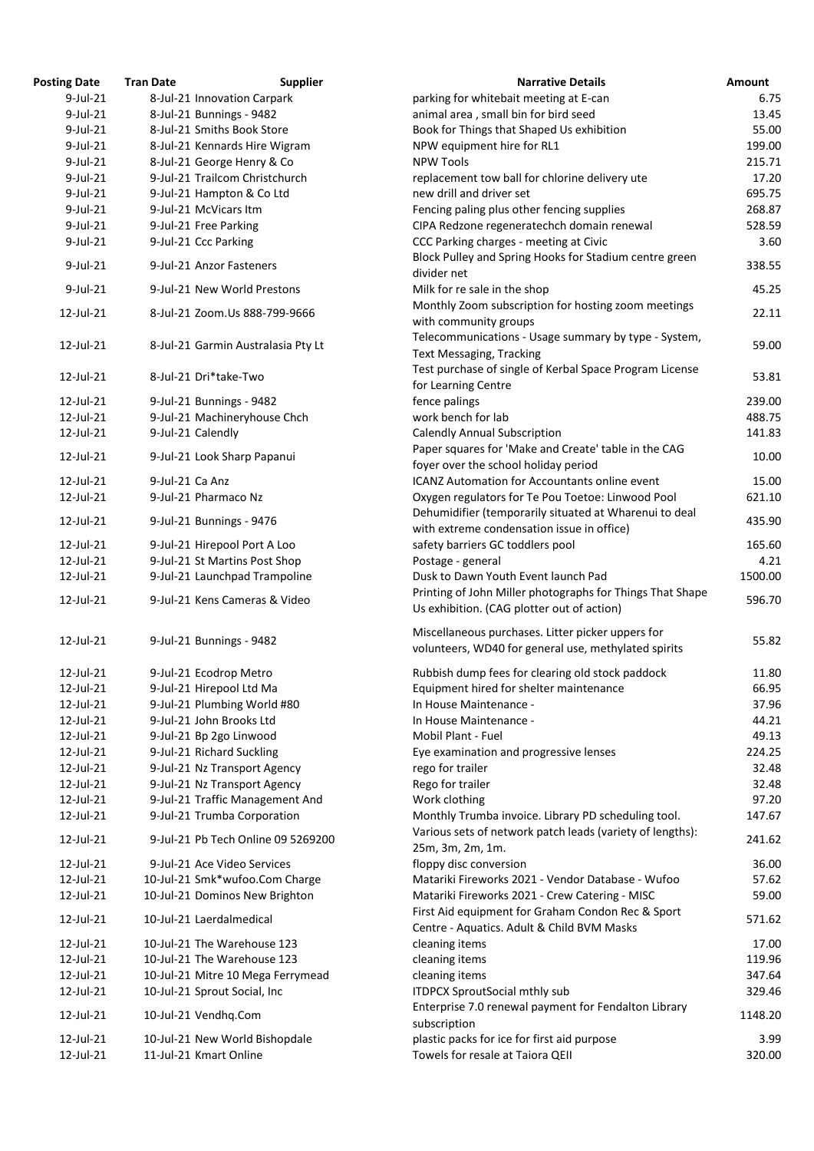| <b>Posting Date</b> | <b>Tran Date</b> | <b>Supplier</b>                    | <b>Narrative Details</b>                                  | <b>Amount</b> |
|---------------------|------------------|------------------------------------|-----------------------------------------------------------|---------------|
| $9$ -Jul-21         |                  | 8-Jul-21 Innovation Carpark        | parking for whitebait meeting at E-can                    | 6.75          |
| $9$ -Jul-21         |                  | 8-Jul-21 Bunnings - 9482           | animal area, small bin for bird seed                      | 13.45         |
| $9$ -Jul-21         |                  | 8-Jul-21 Smiths Book Store         | Book for Things that Shaped Us exhibition                 | 55.00         |
| $9$ -Jul-21         |                  | 8-Jul-21 Kennards Hire Wigram      | NPW equipment hire for RL1                                | 199.00        |
| $9$ -Jul-21         |                  | 8-Jul-21 George Henry & Co         | <b>NPW Tools</b>                                          | 215.71        |
| $9$ -Jul-21         |                  | 9-Jul-21 Trailcom Christchurch     | replacement tow ball for chlorine delivery ute            | 17.20         |
| $9$ -Jul-21         |                  |                                    | new drill and driver set                                  | 695.75        |
|                     |                  | 9-Jul-21 Hampton & Co Ltd          |                                                           |               |
| $9$ -Jul-21         |                  | 9-Jul-21 McVicars Itm              | Fencing paling plus other fencing supplies                | 268.87        |
| 9-Jul-21            |                  | 9-Jul-21 Free Parking              | CIPA Redzone regeneratechch domain renewal                | 528.59        |
| $9$ -Jul-21         |                  | 9-Jul-21 Ccc Parking               | CCC Parking charges - meeting at Civic                    | 3.60          |
| $9$ -Jul-21         |                  | 9-Jul-21 Anzor Fasteners           | Block Pulley and Spring Hooks for Stadium centre green    | 338.55        |
|                     |                  |                                    | divider net                                               |               |
| $9$ -Jul-21         |                  | 9-Jul-21 New World Prestons        | Milk for re sale in the shop                              | 45.25         |
|                     |                  |                                    | Monthly Zoom subscription for hosting zoom meetings       |               |
| 12-Jul-21           |                  | 8-Jul-21 Zoom.Us 888-799-9666      | with community groups                                     | 22.11         |
|                     |                  |                                    | Telecommunications - Usage summary by type - System,      |               |
| 12-Jul-21           |                  | 8-Jul-21 Garmin Australasia Pty Lt | <b>Text Messaging, Tracking</b>                           | 59.00         |
|                     |                  |                                    | Test purchase of single of Kerbal Space Program License   |               |
| $12$ -Jul-21        |                  | 8-Jul-21 Dri*take-Two              |                                                           | 53.81         |
|                     |                  |                                    | for Learning Centre                                       |               |
| 12-Jul-21           |                  | 9-Jul-21 Bunnings - 9482           | fence palings                                             | 239.00        |
| 12-Jul-21           |                  | 9-Jul-21 Machineryhouse Chch       | work bench for lab                                        | 488.75        |
| 12-Jul-21           |                  | 9-Jul-21 Calendly                  | <b>Calendly Annual Subscription</b>                       | 141.83        |
| 12-Jul-21           |                  | 9-Jul-21 Look Sharp Papanui        | Paper squares for 'Make and Create' table in the CAG      | 10.00         |
|                     |                  |                                    | foyer over the school holiday period                      |               |
| 12-Jul-21           | 9-Jul-21 Ca Anz  |                                    | <b>ICANZ Automation for Accountants online event</b>      | 15.00         |
| 12-Jul-21           |                  | 9-Jul-21 Pharmaco Nz               | Oxygen regulators for Te Pou Toetoe: Linwood Pool         | 621.10        |
|                     |                  |                                    | Dehumidifier (temporarily situated at Wharenui to deal    |               |
| 12-Jul-21           |                  | 9-Jul-21 Bunnings - 9476           | with extreme condensation issue in office)                | 435.90        |
| 12-Jul-21           |                  | 9-Jul-21 Hirepool Port A Loo       | safety barriers GC toddlers pool                          | 165.60        |
| $12$ -Jul-21        |                  | 9-Jul-21 St Martins Post Shop      | Postage - general                                         | 4.21          |
| 12-Jul-21           |                  | 9-Jul-21 Launchpad Trampoline      | Dusk to Dawn Youth Event launch Pad                       | 1500.00       |
|                     |                  |                                    | Printing of John Miller photographs for Things That Shape |               |
| 12-Jul-21           |                  | 9-Jul-21 Kens Cameras & Video      |                                                           | 596.70        |
|                     |                  |                                    | Us exhibition. (CAG plotter out of action)                |               |
|                     |                  |                                    | Miscellaneous purchases. Litter picker uppers for         |               |
| 12-Jul-21           |                  | 9-Jul-21 Bunnings - 9482           | volunteers, WD40 for general use, methylated spirits      | 55.82         |
|                     |                  |                                    |                                                           |               |
| $12$ -Jul-21        |                  | 9-Jul-21 Ecodrop Metro             | Rubbish dump fees for clearing old stock paddock          | 11.80         |
| 12-Jul-21           |                  | 9-Jul-21 Hirepool Ltd Ma           | Equipment hired for shelter maintenance                   | 66.95         |
| 12-Jul-21           |                  | 9-Jul-21 Plumbing World #80        | In House Maintenance -                                    | 37.96         |
| 12-Jul-21           |                  | 9-Jul-21 John Brooks Ltd           | In House Maintenance -                                    | 44.21         |
| 12-Jul-21           |                  | 9-Jul-21 Bp 2go Linwood            | Mobil Plant - Fuel                                        | 49.13         |
| 12-Jul-21           |                  | 9-Jul-21 Richard Suckling          | Eye examination and progressive lenses                    | 224.25        |
| 12-Jul-21           |                  | 9-Jul-21 Nz Transport Agency       | rego for trailer                                          | 32.48         |
| 12-Jul-21           |                  | 9-Jul-21 Nz Transport Agency       | Rego for trailer                                          | 32.48         |
| 12-Jul-21           |                  | 9-Jul-21 Traffic Management And    | Work clothing                                             | 97.20         |
| 12-Jul-21           |                  |                                    |                                                           |               |
|                     |                  | 9-Jul-21 Trumba Corporation        | Monthly Trumba invoice. Library PD scheduling tool.       | 147.67        |
| 12-Jul-21           |                  | 9-Jul-21 Pb Tech Online 09 5269200 | Various sets of network patch leads (variety of lengths): | 241.62        |
|                     |                  |                                    | 25m, 3m, 2m, 1m.                                          |               |
| 12-Jul-21           |                  | 9-Jul-21 Ace Video Services        | floppy disc conversion                                    | 36.00         |
| 12-Jul-21           |                  | 10-Jul-21 Smk*wufoo.Com Charge     | Matariki Fireworks 2021 - Vendor Database - Wufoo         | 57.62         |
| 12-Jul-21           |                  | 10-Jul-21 Dominos New Brighton     | Matariki Fireworks 2021 - Crew Catering - MISC            | 59.00         |
|                     |                  |                                    | First Aid equipment for Graham Condon Rec & Sport         |               |
| 12-Jul-21           |                  | 10-Jul-21 Laerdalmedical           | Centre - Aquatics. Adult & Child BVM Masks                | 571.62        |
| 12-Jul-21           |                  | 10-Jul-21 The Warehouse 123        | cleaning items                                            | 17.00         |
| 12-Jul-21           |                  | 10-Jul-21 The Warehouse 123        | cleaning items                                            | 119.96        |
| 12-Jul-21           |                  | 10-Jul-21 Mitre 10 Mega Ferrymead  | cleaning items                                            | 347.64        |
| 12-Jul-21           |                  | 10-Jul-21 Sprout Social, Inc       | <b>ITDPCX SproutSocial mthly sub</b>                      | 329.46        |
|                     |                  |                                    |                                                           |               |
| 12-Jul-21           |                  | 10-Jul-21 Vendhq.Com               | Enterprise 7.0 renewal payment for Fendalton Library      | 1148.20       |
|                     |                  |                                    | subscription                                              |               |
| 12-Jul-21           |                  | 10-Jul-21 New World Bishopdale     | plastic packs for ice for first aid purpose               | 3.99          |
| 12-Jul-21           |                  | 11-Jul-21 Kmart Online             | Towels for resale at Taiora QEII                          | 320.00        |
|                     |                  |                                    |                                                           |               |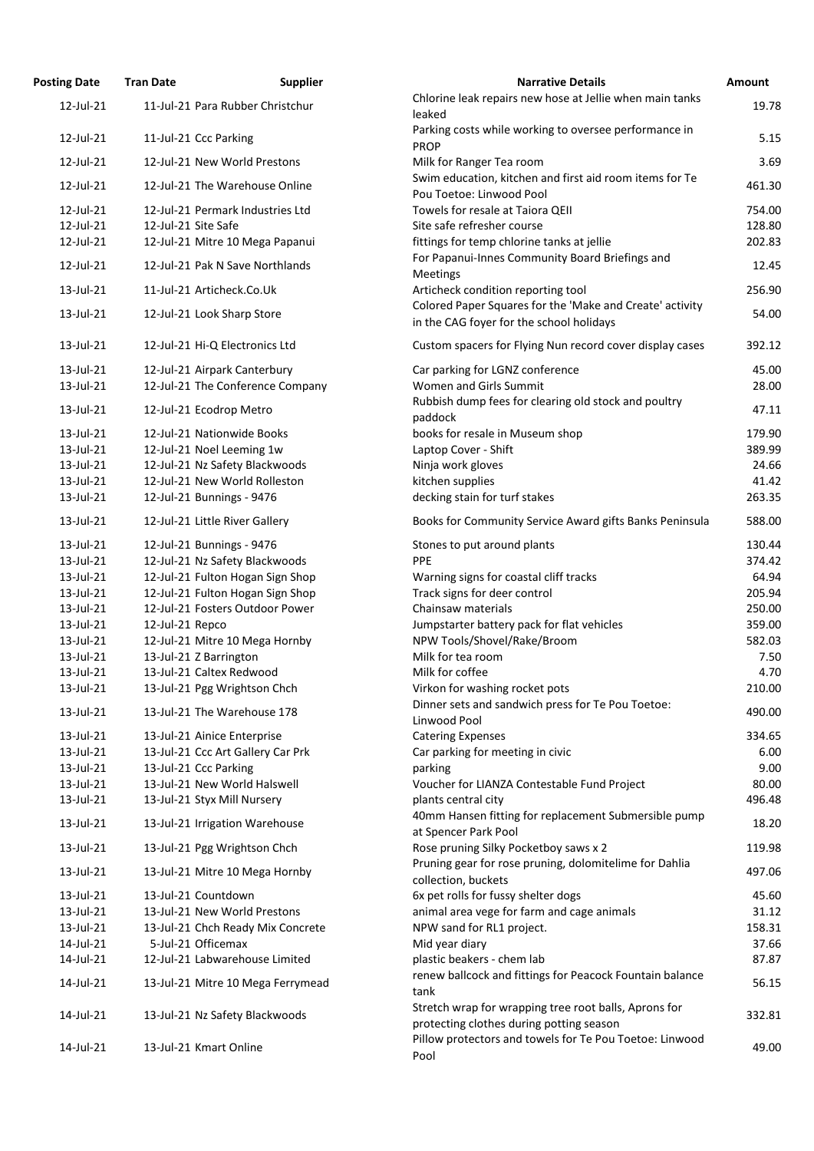| osting Date  | <b>Tran Date</b>    | <b>Supplier</b>                   | <b>Narrative Details</b>                                                                             |
|--------------|---------------------|-----------------------------------|------------------------------------------------------------------------------------------------------|
| 12-Jul-21    |                     | 11-Jul-21 Para Rubber Christchur  | Chlorine leak repairs new hose at Jellie when main tanks<br>leaked                                   |
| 12-Jul-21    |                     | 11-Jul-21 Ccc Parking             | Parking costs while working to oversee performance in<br><b>PROP</b>                                 |
| 12-Jul-21    |                     | 12-Jul-21 New World Prestons      | Milk for Ranger Tea room                                                                             |
| 12-Jul-21    |                     | 12-Jul-21 The Warehouse Online    | Swim education, kitchen and first aid room items for Te<br>Pou Toetoe: Linwood Pool                  |
| 12-Jul-21    |                     | 12-Jul-21 Permark Industries Ltd  | Towels for resale at Taiora QEII                                                                     |
| 12-Jul-21    | 12-Jul-21 Site Safe |                                   | Site safe refresher course                                                                           |
| 12-Jul-21    |                     | 12-Jul-21 Mitre 10 Mega Papanui   | fittings for temp chlorine tanks at jellie                                                           |
| 12-Jul-21    |                     | 12-Jul-21 Pak N Save Northlands   | For Papanui-Innes Community Board Briefings and<br>Meetings                                          |
| 13-Jul-21    |                     | 11-Jul-21 Articheck.Co.Uk         | Articheck condition reporting tool                                                                   |
| 13-Jul-21    |                     | 12-Jul-21 Look Sharp Store        | Colored Paper Squares for the 'Make and Create' activity<br>in the CAG foyer for the school holidays |
| 13-Jul-21    |                     | 12-Jul-21 Hi-Q Electronics Ltd    | Custom spacers for Flying Nun record cover display cases                                             |
| 13-Jul-21    |                     | 12-Jul-21 Airpark Canterbury      | Car parking for LGNZ conference                                                                      |
| 13-Jul-21    |                     | 12-Jul-21 The Conference Company  | Women and Girls Summit                                                                               |
| 13-Jul-21    |                     | 12-Jul-21 Ecodrop Metro           | Rubbish dump fees for clearing old stock and poultry<br>paddock                                      |
| 13-Jul-21    |                     | 12-Jul-21 Nationwide Books        | books for resale in Museum shop                                                                      |
| 13-Jul-21    |                     | 12-Jul-21 Noel Leeming 1w         | Laptop Cover - Shift                                                                                 |
| 13-Jul-21    |                     | 12-Jul-21 Nz Safety Blackwoods    | Ninja work gloves                                                                                    |
| 13-Jul-21    |                     | 12-Jul-21 New World Rolleston     | kitchen supplies                                                                                     |
| 13-Jul-21    |                     | 12-Jul-21 Bunnings - 9476         | decking stain for turf stakes                                                                        |
| 13-Jul-21    |                     | 12-Jul-21 Little River Gallery    | Books for Community Service Award gifts Banks Peninsula                                              |
| $13$ -Jul-21 |                     | 12-Jul-21 Bunnings - 9476         | Stones to put around plants                                                                          |
| 13-Jul-21    |                     | 12-Jul-21 Nz Safety Blackwoods    | <b>PPE</b>                                                                                           |
| 13-Jul-21    |                     | 12-Jul-21 Fulton Hogan Sign Shop  | Warning signs for coastal cliff tracks                                                               |
| 13-Jul-21    |                     | 12-Jul-21 Fulton Hogan Sign Shop  | Track signs for deer control                                                                         |
| 13-Jul-21    |                     | 12-Jul-21 Fosters Outdoor Power   | Chainsaw materials                                                                                   |
| 13-Jul-21    | 12-Jul-21 Repco     |                                   | Jumpstarter battery pack for flat vehicles                                                           |
| 13-Jul-21    |                     | 12-Jul-21 Mitre 10 Mega Hornby    | NPW Tools/Shovel/Rake/Broom                                                                          |
| 13-Jul-21    |                     | 13-Jul-21 Z Barrington            | Milk for tea room                                                                                    |
| 13-Jul-21    |                     | 13-Jul-21 Caltex Redwood          | Milk for coffee                                                                                      |
| 13-Jul-21    |                     | 13-Jul-21 Pgg Wrightson Chch      | Virkon for washing rocket pots                                                                       |
| 13-Jul-21    |                     | 13-Jul-21 The Warehouse 178       | Dinner sets and sandwich press for Te Pou Toetoe:                                                    |
|              |                     |                                   | Linwood Pool                                                                                         |
| 13-Jul-21    |                     | 13-Jul-21 Ainice Enterprise       | <b>Catering Expenses</b>                                                                             |
| 13-Jul-21    |                     | 13-Jul-21 Ccc Art Gallery Car Prk | Car parking for meeting in civic                                                                     |
| 13-Jul-21    |                     | 13-Jul-21 Ccc Parking             | parking                                                                                              |
| 13-Jul-21    |                     | 13-Jul-21 New World Halswell      | Voucher for LIANZA Contestable Fund Project                                                          |
| 13-Jul-21    |                     | 13-Jul-21 Styx Mill Nursery       | plants central city                                                                                  |
| 13-Jul-21    |                     | 13-Jul-21 Irrigation Warehouse    | 40mm Hansen fitting for replacement Submersible pump<br>at Spencer Park Pool                         |
| 13-Jul-21    |                     | 13-Jul-21 Pgg Wrightson Chch      | Rose pruning Silky Pocketboy saws x 2                                                                |
| 13-Jul-21    |                     | 13-Jul-21 Mitre 10 Mega Hornby    | Pruning gear for rose pruning, dolomitelime for Dahlia<br>collection, buckets                        |
| 13-Jul-21    |                     | 13-Jul-21 Countdown               | 6x pet rolls for fussy shelter dogs                                                                  |
| 13-Jul-21    |                     | 13-Jul-21 New World Prestons      | animal area vege for farm and cage animals                                                           |
| 13-Jul-21    |                     | 13-Jul-21 Chch Ready Mix Concrete | NPW sand for RL1 project.                                                                            |
| 14-Jul-21    |                     | 5-Jul-21 Officemax                | Mid year diary                                                                                       |
| 14-Jul-21    |                     | 12-Jul-21 Labwarehouse Limited    | plastic beakers - chem lab                                                                           |
| 14-Jul-21    |                     | 13-Jul-21 Mitre 10 Mega Ferrymead | renew ballcock and fittings for Peacock Fountain balance<br>tank                                     |
| 14-Jul-21    |                     | 13-Jul-21 Nz Safety Blackwoods    | Stretch wrap for wrapping tree root balls, Aprons for<br>protecting clothes during potting season    |
| 14-Jul-21    |                     | 13-Jul-21 Kmart Online            | Pillow protectors and towels for Te Pou Toetoe: Linwood                                              |
|              |                     |                                   | $D = 1$                                                                                              |

| <b>Posting Date</b> | <b>Tran Date</b>    | <b>Supplier</b>                   | <b>Narrative Details</b>                                                                          | <b>Amount</b> |
|---------------------|---------------------|-----------------------------------|---------------------------------------------------------------------------------------------------|---------------|
| 12-Jul-21           |                     | 11-Jul-21 Para Rubber Christchur  | Chlorine leak repairs new hose at Jellie when main tanks<br>leaked                                | 19.78         |
| 12-Jul-21           |                     | 11-Jul-21 Ccc Parking             | Parking costs while working to oversee performance in<br><b>PROP</b>                              | 5.15          |
| 12-Jul-21           |                     | 12-Jul-21 New World Prestons      | Milk for Ranger Tea room                                                                          | 3.69          |
| 12-Jul-21           |                     | 12-Jul-21 The Warehouse Online    | Swim education, kitchen and first aid room items for Te<br>Pou Toetoe: Linwood Pool               | 461.30        |
| 12-Jul-21           |                     | 12-Jul-21 Permark Industries Ltd  | Towels for resale at Taiora QEII                                                                  | 754.00        |
| 12-Jul-21           | 12-Jul-21 Site Safe |                                   | Site safe refresher course                                                                        | 128.80        |
| 12-Jul-21           |                     | 12-Jul-21 Mitre 10 Mega Papanui   | fittings for temp chlorine tanks at jellie                                                        | 202.83        |
| 12-Jul-21           |                     | 12-Jul-21 Pak N Save Northlands   | For Papanui-Innes Community Board Briefings and                                                   | 12.45         |
| 13-Jul-21           |                     | 11-Jul-21 Articheck.Co.Uk         | <b>Meetings</b><br>Articheck condition reporting tool                                             | 256.90        |
|                     |                     |                                   | Colored Paper Squares for the 'Make and Create' activity                                          |               |
| 13-Jul-21           |                     | 12-Jul-21 Look Sharp Store        | in the CAG foyer for the school holidays                                                          | 54.00         |
| 13-Jul-21           |                     | 12-Jul-21 Hi-Q Electronics Ltd    | Custom spacers for Flying Nun record cover display cases                                          | 392.12        |
| 13-Jul-21           |                     | 12-Jul-21 Airpark Canterbury      | Car parking for LGNZ conference                                                                   | 45.00         |
| 13-Jul-21           |                     | 12-Jul-21 The Conference Company  | Women and Girls Summit                                                                            | 28.00         |
| 13-Jul-21           |                     | 12-Jul-21 Ecodrop Metro           | Rubbish dump fees for clearing old stock and poultry<br>paddock                                   | 47.11         |
| 13-Jul-21           |                     | 12-Jul-21 Nationwide Books        | books for resale in Museum shop                                                                   | 179.90        |
| 13-Jul-21           |                     | 12-Jul-21 Noel Leeming 1w         | Laptop Cover - Shift                                                                              | 389.99        |
| 13-Jul-21           |                     | 12-Jul-21 Nz Safety Blackwoods    | Ninja work gloves                                                                                 | 24.66         |
| 13-Jul-21           |                     | 12-Jul-21 New World Rolleston     | kitchen supplies                                                                                  | 41.42         |
| 13-Jul-21           |                     | 12-Jul-21 Bunnings - 9476         | decking stain for turf stakes                                                                     | 263.35        |
| 13-Jul-21           |                     | 12-Jul-21 Little River Gallery    | Books for Community Service Award gifts Banks Peninsula                                           | 588.00        |
| $13$ -Jul-21        |                     | 12-Jul-21 Bunnings - 9476         | Stones to put around plants                                                                       | 130.44        |
| 13-Jul-21           |                     | 12-Jul-21 Nz Safety Blackwoods    | <b>PPE</b>                                                                                        | 374.42        |
| 13-Jul-21           |                     | 12-Jul-21 Fulton Hogan Sign Shop  | Warning signs for coastal cliff tracks                                                            | 64.94         |
| 13-Jul-21           |                     | 12-Jul-21 Fulton Hogan Sign Shop  | Track signs for deer control                                                                      | 205.94        |
| 13-Jul-21           |                     | 12-Jul-21 Fosters Outdoor Power   | Chainsaw materials                                                                                | 250.00        |
| 13-Jul-21           | 12-Jul-21 Repco     |                                   | Jumpstarter battery pack for flat vehicles                                                        | 359.00        |
| 13-Jul-21           |                     | 12-Jul-21 Mitre 10 Mega Hornby    | NPW Tools/Shovel/Rake/Broom                                                                       | 582.03        |
| 13-Jul-21           |                     | 13-Jul-21 Z Barrington            | Milk for tea room                                                                                 | 7.50          |
| 13-Jul-21           |                     | 13-Jul-21 Caltex Redwood          | Milk for coffee                                                                                   | 4.70          |
| 13-Jul-21           |                     | 13-Jul-21 Pgg Wrightson Chch      | Virkon for washing rocket pots                                                                    | 210.00        |
| 13-Jul-21           |                     | 13-Jul-21 The Warehouse 178       | Dinner sets and sandwich press for Te Pou Toetoe:<br>Linwood Pool                                 | 490.00        |
| 13-Jul-21           |                     | 13-Jul-21 Ainice Enterprise       | <b>Catering Expenses</b>                                                                          | 334.65        |
| 13-Jul-21           |                     | 13-Jul-21 Ccc Art Gallery Car Prk | Car parking for meeting in civic                                                                  | 6.00          |
| 13-Jul-21           |                     | 13-Jul-21 Ccc Parking             | parking                                                                                           | 9.00          |
| 13-Jul-21           |                     | 13-Jul-21 New World Halswell      | Voucher for LIANZA Contestable Fund Project                                                       | 80.00         |
| 13-Jul-21           |                     | 13-Jul-21 Styx Mill Nursery       | plants central city                                                                               | 496.48        |
| 13-Jul-21           |                     | 13-Jul-21 Irrigation Warehouse    | 40mm Hansen fitting for replacement Submersible pump                                              | 18.20         |
| 13-Jul-21           |                     | 13-Jul-21 Pgg Wrightson Chch      | at Spencer Park Pool<br>Rose pruning Silky Pocketboy saws x 2                                     | 119.98        |
| 13-Jul-21           |                     | 13-Jul-21 Mitre 10 Mega Hornby    | Pruning gear for rose pruning, dolomitelime for Dahlia<br>collection, buckets                     | 497.06        |
| 13-Jul-21           |                     | 13-Jul-21 Countdown               | 6x pet rolls for fussy shelter dogs                                                               | 45.60         |
| 13-Jul-21           |                     | 13-Jul-21 New World Prestons      | animal area vege for farm and cage animals                                                        | 31.12         |
| 13-Jul-21           |                     | 13-Jul-21 Chch Ready Mix Concrete | NPW sand for RL1 project.                                                                         | 158.31        |
| 14-Jul-21           |                     | 5-Jul-21 Officemax                | Mid year diary                                                                                    | 37.66         |
| 14-Jul-21           |                     | 12-Jul-21 Labwarehouse Limited    | plastic beakers - chem lab                                                                        | 87.87         |
| 14-Jul-21           |                     | 13-Jul-21 Mitre 10 Mega Ferrymead | renew ballcock and fittings for Peacock Fountain balance                                          | 56.15         |
|                     |                     |                                   | tank                                                                                              |               |
| 14-Jul-21           |                     | 13-Jul-21 Nz Safety Blackwoods    | Stretch wrap for wrapping tree root balls, Aprons for<br>protecting clothes during potting season | 332.81        |
| 14-Jul-21           |                     | 13-Jul-21 Kmart Online            | Pillow protectors and towels for Te Pou Toetoe: Linwood<br>Pool                                   | 49.00         |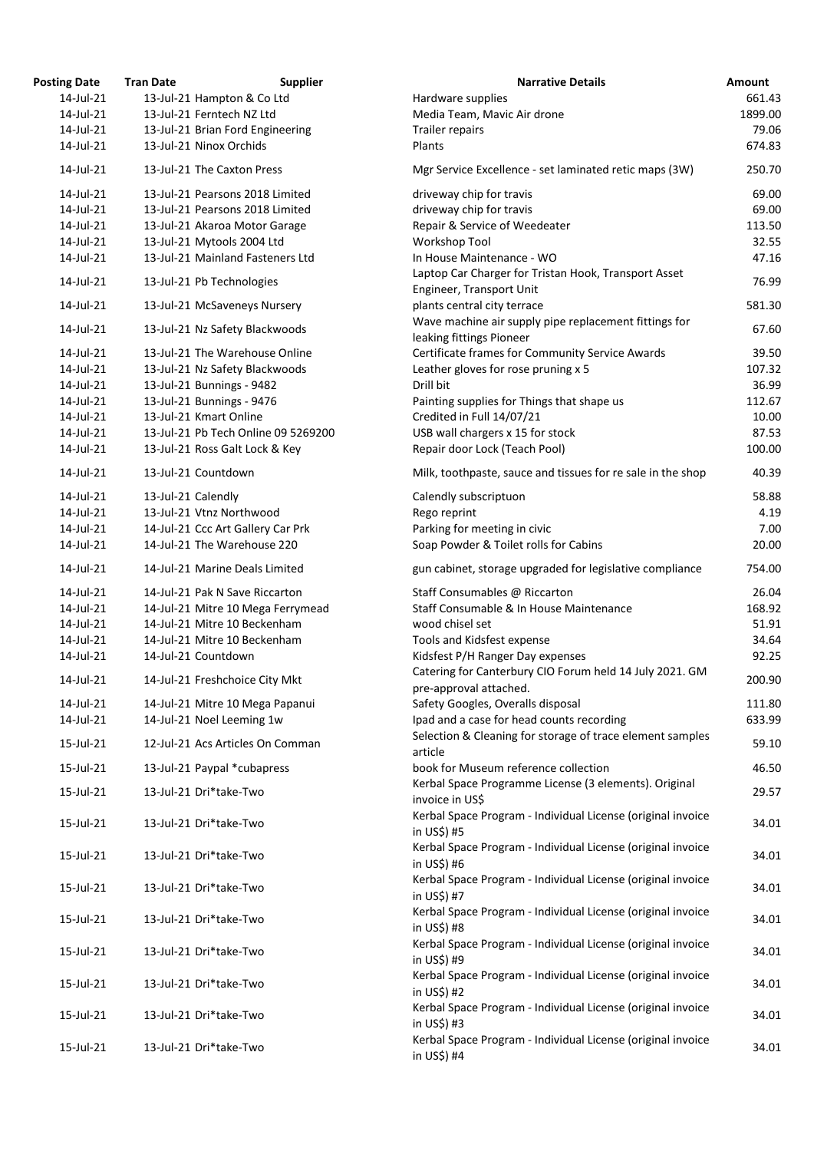| <b>Posting Date</b> | <b>Tran Date</b>                  | <b>Supplier</b>                     | <b>Narrative Details</b>                                                          | Amount  |
|---------------------|-----------------------------------|-------------------------------------|-----------------------------------------------------------------------------------|---------|
| 14-Jul-21           | 13-Jul-21 Hampton & Co Ltd        |                                     | Hardware supplies                                                                 | 661.43  |
| 14-Jul-21           | 13-Jul-21 Ferntech NZ Ltd         |                                     | Media Team, Mavic Air drone                                                       | 1899.00 |
| 14-Jul-21           | 13-Jul-21 Brian Ford Engineering  |                                     | Trailer repairs                                                                   | 79.06   |
| 14-Jul-21           | 13-Jul-21 Ninox Orchids           |                                     | Plants                                                                            | 674.83  |
| 14-Jul-21           | 13-Jul-21 The Caxton Press        |                                     | Mgr Service Excellence - set laminated retic maps (3W)                            | 250.70  |
| 14-Jul-21           | 13-Jul-21 Pearsons 2018 Limited   |                                     | driveway chip for travis                                                          | 69.00   |
| 14-Jul-21           | 13-Jul-21 Pearsons 2018 Limited   |                                     | driveway chip for travis                                                          | 69.00   |
| 14-Jul-21           | 13-Jul-21 Akaroa Motor Garage     |                                     | Repair & Service of Weedeater                                                     | 113.50  |
| 14-Jul-21           | 13-Jul-21 Mytools 2004 Ltd        |                                     | <b>Workshop Tool</b>                                                              | 32.55   |
| 14-Jul-21           | 13-Jul-21 Mainland Fasteners Ltd  |                                     | In House Maintenance - WO                                                         | 47.16   |
| 14-Jul-21           | 13-Jul-21 Pb Technologies         |                                     | Laptop Car Charger for Tristan Hook, Transport Asset<br>Engineer, Transport Unit  | 76.99   |
| 14-Jul-21           | 13-Jul-21 McSaveneys Nursery      |                                     | plants central city terrace                                                       | 581.30  |
| 14-Jul-21           | 13-Jul-21 Nz Safety Blackwoods    |                                     | Wave machine air supply pipe replacement fittings for<br>leaking fittings Pioneer | 67.60   |
| 14-Jul-21           | 13-Jul-21 The Warehouse Online    |                                     | Certificate frames for Community Service Awards                                   | 39.50   |
| 14-Jul-21           | 13-Jul-21 Nz Safety Blackwoods    |                                     | Leather gloves for rose pruning x 5                                               | 107.32  |
| 14-Jul-21           | 13-Jul-21 Bunnings - 9482         |                                     | Drill bit                                                                         | 36.99   |
| 14-Jul-21           | 13-Jul-21 Bunnings - 9476         |                                     | Painting supplies for Things that shape us                                        | 112.67  |
| 14-Jul-21           | 13-Jul-21 Kmart Online            |                                     | Credited in Full 14/07/21                                                         | 10.00   |
| 14-Jul-21           |                                   | 13-Jul-21 Pb Tech Online 09 5269200 | USB wall chargers x 15 for stock                                                  | 87.53   |
| 14-Jul-21           | 13-Jul-21 Ross Galt Lock & Key    |                                     | Repair door Lock (Teach Pool)                                                     | 100.00  |
| 14-Jul-21           | 13-Jul-21 Countdown               |                                     | Milk, toothpaste, sauce and tissues for re sale in the shop                       | 40.39   |
| 14-Jul-21           | 13-Jul-21 Calendly                |                                     | Calendly subscriptuon                                                             | 58.88   |
| 14-Jul-21           | 13-Jul-21 Vtnz Northwood          |                                     | Rego reprint                                                                      | 4.19    |
| 14-Jul-21           | 14-Jul-21 Ccc Art Gallery Car Prk |                                     | Parking for meeting in civic                                                      | 7.00    |
| 14-Jul-21           | 14-Jul-21 The Warehouse 220       |                                     | Soap Powder & Toilet rolls for Cabins                                             | 20.00   |
| 14-Jul-21           | 14-Jul-21 Marine Deals Limited    |                                     | gun cabinet, storage upgraded for legislative compliance                          | 754.00  |
| 14-Jul-21           | 14-Jul-21 Pak N Save Riccarton    |                                     | Staff Consumables @ Riccarton                                                     | 26.04   |
| 14-Jul-21           |                                   | 14-Jul-21 Mitre 10 Mega Ferrymead   | Staff Consumable & In House Maintenance                                           | 168.92  |
| 14-Jul-21           | 14-Jul-21 Mitre 10 Beckenham      |                                     | wood chisel set                                                                   | 51.91   |
| 14-Jul-21           | 14-Jul-21 Mitre 10 Beckenham      |                                     | Tools and Kidsfest expense                                                        | 34.64   |
| 14-Jul-21           | 14-Jul-21 Countdown               |                                     | Kidsfest P/H Ranger Day expenses                                                  | 92.25   |
|                     |                                   |                                     | Catering for Canterbury CIO Forum held 14 July 2021. GM                           |         |
| 14-Jul-21           | 14-Jul-21 Freshchoice City Mkt    |                                     | pre-approval attached.                                                            | 200.90  |
| 14-Jul-21           | 14-Jul-21 Mitre 10 Mega Papanui   |                                     | Safety Googles, Overalls disposal                                                 | 111.80  |
| 14-Jul-21           | 14-Jul-21 Noel Leeming 1w         |                                     | Ipad and a case for head counts recording                                         | 633.99  |
| 15-Jul-21           | 12-Jul-21 Acs Articles On Comman  |                                     | Selection & Cleaning for storage of trace element samples                         | 59.10   |
| 15-Jul-21           | 13-Jul-21 Paypal *cubapress       |                                     | article<br>book for Museum reference collection                                   | 46.50   |
|                     |                                   |                                     | Kerbal Space Programme License (3 elements). Original                             |         |
| 15-Jul-21           | 13-Jul-21 Dri*take-Two            |                                     | invoice in US\$                                                                   | 29.57   |
| 15-Jul-21           | 13-Jul-21 Dri*take-Two            |                                     | Kerbal Space Program - Individual License (original invoice<br>in US\$) #5        | 34.01   |
| 15-Jul-21           | 13-Jul-21 Dri*take-Two            |                                     | Kerbal Space Program - Individual License (original invoice<br>in US\$)#6         | 34.01   |
| 15-Jul-21           | 13-Jul-21 Dri*take-Two            |                                     | Kerbal Space Program - Individual License (original invoice                       | 34.01   |
| 15-Jul-21           | 13-Jul-21 Dri*take-Two            |                                     | in US\$) #7<br>Kerbal Space Program - Individual License (original invoice        | 34.01   |
|                     |                                   |                                     | in US\$) #8                                                                       |         |
| 15-Jul-21           | 13-Jul-21 Dri*take-Two            |                                     | Kerbal Space Program - Individual License (original invoice<br>in US\$) #9        | 34.01   |
| 15-Jul-21           | 13-Jul-21 Dri*take-Two            |                                     | Kerbal Space Program - Individual License (original invoice<br>in US\$) #2        | 34.01   |
| 15-Jul-21           | 13-Jul-21 Dri*take-Two            |                                     | Kerbal Space Program - Individual License (original invoice<br>in US\$) #3        | 34.01   |
| 15-Jul-21           | 13-Jul-21 Dri*take-Two            |                                     | Kerbal Space Program - Individual License (original invoice<br>in US\$) #4        | 34.01   |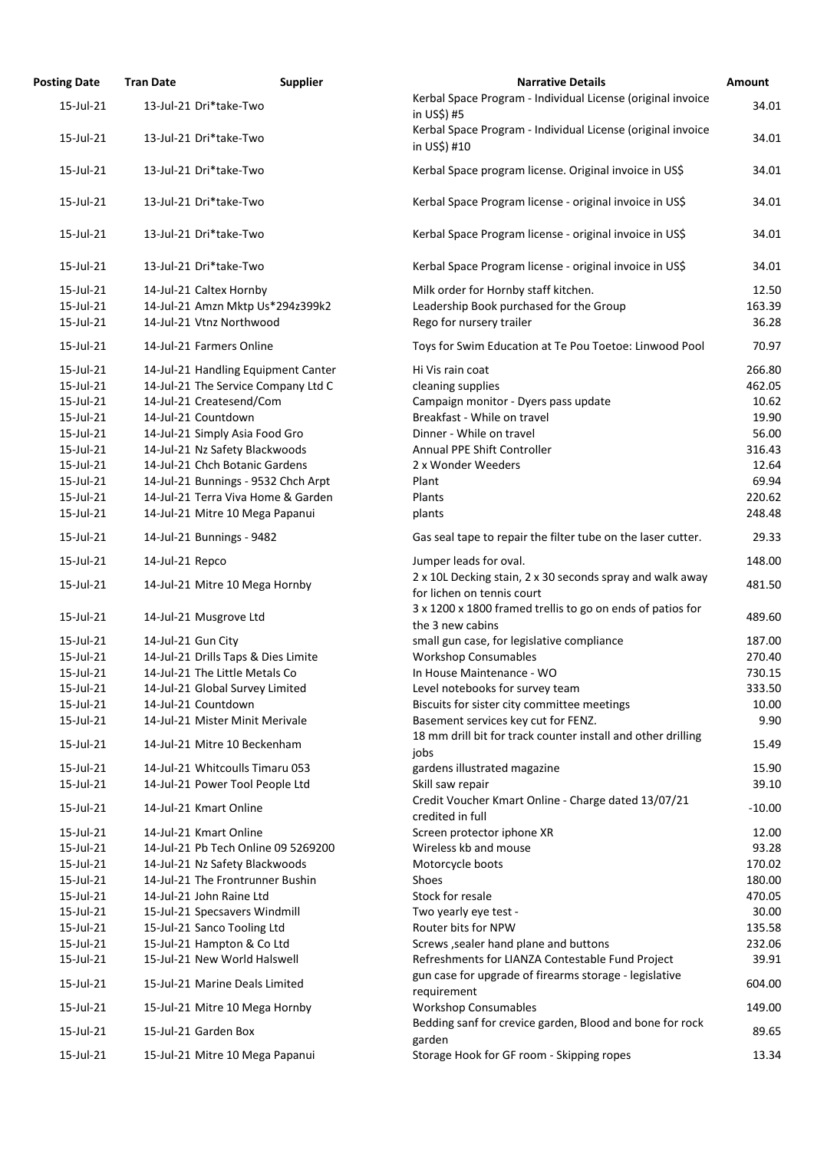| <b>Posting Date</b> | <b>Tran Date</b>                    | <b>Supplier</b>                     | <b>Narrative Details</b>                                                                | Amount   |
|---------------------|-------------------------------------|-------------------------------------|-----------------------------------------------------------------------------------------|----------|
| 15-Jul-21           | 13-Jul-21 Dri*take-Two              |                                     | Kerbal Space Program - Individual License (original invoice<br>in US\$) #5              | 34.01    |
| 15-Jul-21           | 13-Jul-21 Dri*take-Two              |                                     | Kerbal Space Program - Individual License (original invoice<br>in US\$) #10             | 34.01    |
| 15-Jul-21           | 13-Jul-21 Dri*take-Two              |                                     | Kerbal Space program license. Original invoice in US\$                                  | 34.01    |
| 15-Jul-21           | 13-Jul-21 Dri*take-Two              |                                     | Kerbal Space Program license - original invoice in US\$                                 | 34.01    |
| 15-Jul-21           | 13-Jul-21 Dri*take-Two              |                                     | Kerbal Space Program license - original invoice in US\$                                 | 34.01    |
| 15-Jul-21           | 13-Jul-21 Dri*take-Two              |                                     | Kerbal Space Program license - original invoice in US\$                                 | 34.01    |
| 15-Jul-21           | 14-Jul-21 Caltex Hornby             |                                     | Milk order for Hornby staff kitchen.                                                    | 12.50    |
| 15-Jul-21           |                                     | 14-Jul-21 Amzn Mktp Us*294z399k2    | Leadership Book purchased for the Group                                                 | 163.39   |
| 15-Jul-21           | 14-Jul-21 Vtnz Northwood            |                                     | Rego for nursery trailer                                                                | 36.28    |
| 15-Jul-21           | 14-Jul-21 Farmers Online            |                                     | Toys for Swim Education at Te Pou Toetoe: Linwood Pool                                  | 70.97    |
| 15-Jul-21           |                                     | 14-Jul-21 Handling Equipment Canter | Hi Vis rain coat                                                                        | 266.80   |
| 15-Jul-21           |                                     | 14-Jul-21 The Service Company Ltd C | cleaning supplies                                                                       | 462.05   |
| 15-Jul-21           | 14-Jul-21 Createsend/Com            |                                     | Campaign monitor - Dyers pass update                                                    | 10.62    |
| 15-Jul-21           | 14-Jul-21 Countdown                 |                                     | Breakfast - While on travel                                                             | 19.90    |
| 15-Jul-21           | 14-Jul-21 Simply Asia Food Gro      |                                     | Dinner - While on travel                                                                | 56.00    |
| 15-Jul-21           | 14-Jul-21 Nz Safety Blackwoods      |                                     | Annual PPE Shift Controller                                                             | 316.43   |
| 15-Jul-21           | 14-Jul-21 Chch Botanic Gardens      |                                     | 2 x Wonder Weeders                                                                      | 12.64    |
| 15-Jul-21           |                                     | 14-Jul-21 Bunnings - 9532 Chch Arpt | Plant                                                                                   | 69.94    |
| 15-Jul-21           |                                     | 14-Jul-21 Terra Viva Home & Garden  | Plants                                                                                  | 220.62   |
| 15-Jul-21           | 14-Jul-21 Mitre 10 Mega Papanui     |                                     | plants                                                                                  | 248.48   |
| 15-Jul-21           | 14-Jul-21 Bunnings - 9482           |                                     | Gas seal tape to repair the filter tube on the laser cutter.                            | 29.33    |
| 15-Jul-21           | 14-Jul-21 Repco                     |                                     | Jumper leads for oval.                                                                  | 148.00   |
| 15-Jul-21           | 14-Jul-21 Mitre 10 Mega Hornby      |                                     | 2 x 10L Decking stain, 2 x 30 seconds spray and walk away<br>for lichen on tennis court | 481.50   |
|                     |                                     |                                     | 3 x 1200 x 1800 framed trellis to go on ends of patios for                              |          |
| 15-Jul-21           | 14-Jul-21 Musgrove Ltd              |                                     | the 3 new cabins                                                                        | 489.60   |
| 15-Jul-21           | 14-Jul-21 Gun City                  |                                     | small gun case, for legislative compliance                                              | 187.00   |
| 15-Jul-21           | 14-Jul-21 Drills Taps & Dies Limite |                                     | <b>Workshop Consumables</b>                                                             | 270.40   |
| 15-Jul-21           | 14-Jul-21 The Little Metals Co      |                                     | In House Maintenance - WO                                                               | 730.15   |
| 15-Jul-21           | 14-Jul-21 Global Survey Limited     |                                     | Level notebooks for survey team                                                         | 333.50   |
| 15-Jul-21           | 14-Jul-21 Countdown                 |                                     | Biscuits for sister city committee meetings                                             | 10.00    |
| 15-Jul-21           | 14-Jul-21 Mister Minit Merivale     |                                     | Basement services key cut for FENZ.                                                     | 9.90     |
| 15-Jul-21           | 14-Jul-21 Mitre 10 Beckenham        |                                     | 18 mm drill bit for track counter install and other drilling<br>jobs                    | 15.49    |
| 15-Jul-21           | 14-Jul-21 Whitcoulls Timaru 053     |                                     | gardens illustrated magazine                                                            | 15.90    |
| 15-Jul-21           | 14-Jul-21 Power Tool People Ltd     |                                     | Skill saw repair                                                                        | 39.10    |
| 15-Jul-21           | 14-Jul-21 Kmart Online              |                                     | Credit Voucher Kmart Online - Charge dated 13/07/21<br>credited in full                 | $-10.00$ |
| 15-Jul-21           | 14-Jul-21 Kmart Online              |                                     | Screen protector iphone XR                                                              | 12.00    |
| 15-Jul-21           |                                     | 14-Jul-21 Pb Tech Online 09 5269200 | Wireless kb and mouse                                                                   | 93.28    |
| 15-Jul-21           | 14-Jul-21 Nz Safety Blackwoods      |                                     | Motorcycle boots                                                                        | 170.02   |
| 15-Jul-21           | 14-Jul-21 The Frontrunner Bushin    |                                     | Shoes                                                                                   | 180.00   |
| 15-Jul-21           | 14-Jul-21 John Raine Ltd            |                                     | Stock for resale                                                                        | 470.05   |
| 15-Jul-21           | 15-Jul-21 Specsavers Windmill       |                                     | Two yearly eye test -                                                                   | 30.00    |
| 15-Jul-21           | 15-Jul-21 Sanco Tooling Ltd         |                                     | Router bits for NPW                                                                     | 135.58   |
| 15-Jul-21           | 15-Jul-21 Hampton & Co Ltd          |                                     | Screws , sealer hand plane and buttons                                                  | 232.06   |
| 15-Jul-21           | 15-Jul-21 New World Halswell        |                                     | Refreshments for LIANZA Contestable Fund Project                                        | 39.91    |
| 15-Jul-21           | 15-Jul-21 Marine Deals Limited      |                                     | gun case for upgrade of firearms storage - legislative                                  | 604.00   |
| 15-Jul-21           | 15-Jul-21 Mitre 10 Mega Hornby      |                                     | requirement<br><b>Workshop Consumables</b>                                              | 149.00   |
| 15-Jul-21           | 15-Jul-21 Garden Box                |                                     | Bedding sanf for crevice garden, Blood and bone for rock                                | 89.65    |
| 15-Jul-21           | 15-Jul-21 Mitre 10 Mega Papanui     |                                     | garden<br>Storage Hook for GF room - Skipping ropes                                     | 13.34    |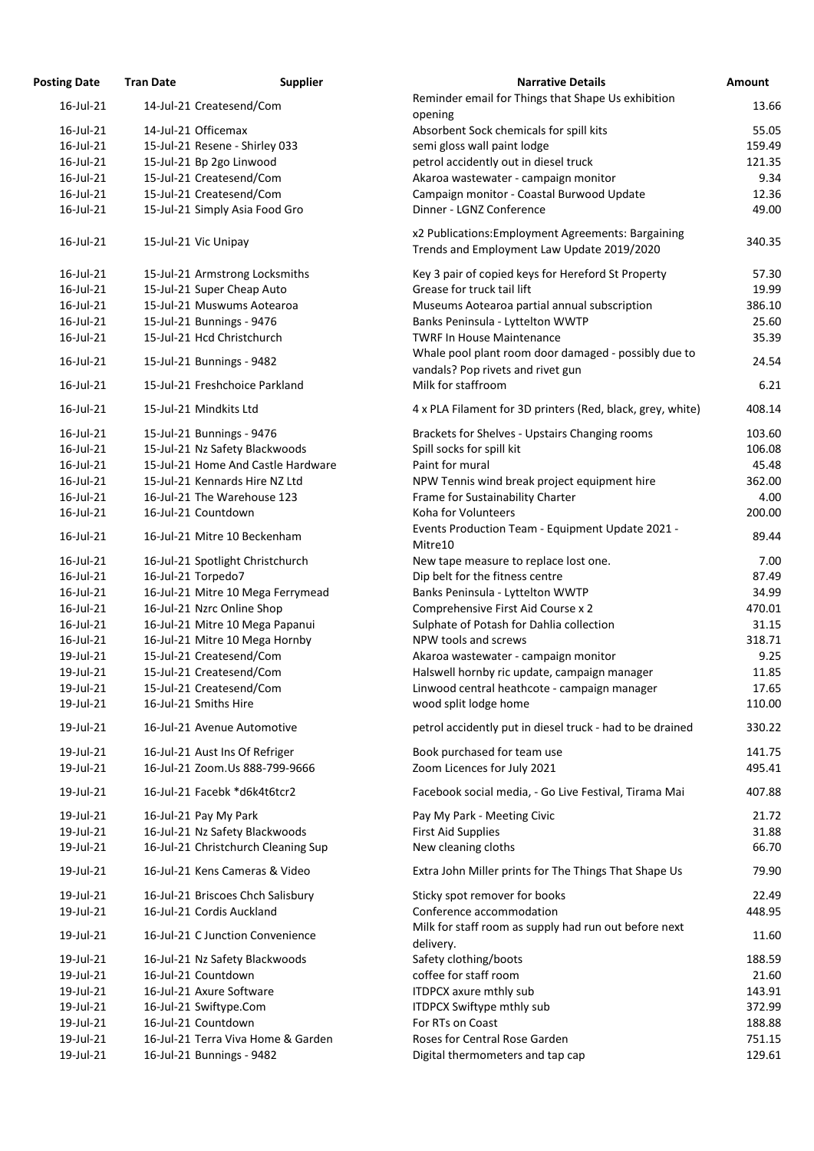| <b>Osting Date</b> | <b>Tran Date</b>               | <b>Supplier</b>                     | <b>Narrative Details</b>                                                                         |
|--------------------|--------------------------------|-------------------------------------|--------------------------------------------------------------------------------------------------|
| 16-Jul-21          | 14-Jul-21 Createsend/Com       |                                     | Reminder email for Things that Shape Us exhibition<br>opening                                    |
| 16-Jul-21          | 14-Jul-21 Officemax            |                                     | Absorbent Sock chemicals for spill kits                                                          |
| 16-Jul-21          | 15-Jul-21 Resene - Shirley 033 |                                     | semi gloss wall paint lodge                                                                      |
| 16-Jul-21          | 15-Jul-21 Bp 2go Linwood       |                                     | petrol accidently out in diesel truck                                                            |
| 16-Jul-21          | 15-Jul-21 Createsend/Com       |                                     | Akaroa wastewater - campaign monitor                                                             |
| 16-Jul-21          | 15-Jul-21 Createsend/Com       |                                     | Campaign monitor - Coastal Burwood Update                                                        |
| 16-Jul-21          | 15-Jul-21 Simply Asia Food Gro |                                     | Dinner - LGNZ Conference                                                                         |
| 16-Jul-21          | 15-Jul-21 Vic Unipay           |                                     | x2 Publications: Employment Agreements: Bargaining<br>Trends and Employment Law Update 2019/2020 |
| 16-Jul-21          |                                | 15-Jul-21 Armstrong Locksmiths      | Key 3 pair of copied keys for Hereford St Property                                               |
| 16-Jul-21          | 15-Jul-21 Super Cheap Auto     |                                     | Grease for truck tail lift                                                                       |
| 16-Jul-21          | 15-Jul-21 Muswums Aotearoa     |                                     | Museums Aotearoa partial annual subscription                                                     |
| 16-Jul-21          | 15-Jul-21 Bunnings - 9476      |                                     | Banks Peninsula - Lyttelton WWTP                                                                 |
| 16-Jul-21          | 15-Jul-21 Hcd Christchurch     |                                     | <b>TWRF In House Maintenance</b><br>Whale pool plant room door damaged - possibly due            |
| 16-Jul-21          | 15-Jul-21 Bunnings - 9482      |                                     | vandals? Pop rivets and rivet gun                                                                |
| 16-Jul-21          | 15-Jul-21 Freshchoice Parkland |                                     | Milk for staffroom                                                                               |
| 16-Jul-21          | 15-Jul-21 Mindkits Ltd         |                                     | 4 x PLA Filament for 3D printers (Red, black, grey, wh                                           |
| 16-Jul-21          | 15-Jul-21 Bunnings - 9476      |                                     | Brackets for Shelves - Upstairs Changing rooms                                                   |
| 16-Jul-21          |                                | 15-Jul-21 Nz Safety Blackwoods      | Spill socks for spill kit                                                                        |
| 16-Jul-21          |                                | 15-Jul-21 Home And Castle Hardware  | Paint for mural                                                                                  |
| 16-Jul-21          | 15-Jul-21 Kennards Hire NZ Ltd |                                     | NPW Tennis wind break project equipment hire                                                     |
| 16-Jul-21          | 16-Jul-21 The Warehouse 123    |                                     | Frame for Sustainability Charter                                                                 |
| 16-Jul-21          | 16-Jul-21 Countdown            |                                     | Koha for Volunteers                                                                              |
| 16-Jul-21          | 16-Jul-21 Mitre 10 Beckenham   |                                     | Events Production Team - Equipment Update 2021 -<br>Mitre10                                      |
| 16-Jul-21          |                                | 16-Jul-21 Spotlight Christchurch    | New tape measure to replace lost one.                                                            |
| 16-Jul-21          | 16-Jul-21 Torpedo7             |                                     | Dip belt for the fitness centre                                                                  |
| 16-Jul-21          |                                | 16-Jul-21 Mitre 10 Mega Ferrymead   | Banks Peninsula - Lyttelton WWTP                                                                 |
| 16-Jul-21          | 16-Jul-21 Nzrc Online Shop     |                                     | Comprehensive First Aid Course x 2                                                               |
| 16-Jul-21          |                                | 16-Jul-21 Mitre 10 Mega Papanui     | Sulphate of Potash for Dahlia collection                                                         |
| 16-Jul-21          |                                | 16-Jul-21 Mitre 10 Mega Hornby      | NPW tools and screws                                                                             |
| 19-Jul-21          | 15-Jul-21 Createsend/Com       |                                     | Akaroa wastewater - campaign monitor                                                             |
| 19-Jul-21          | 15-Jul-21 Createsend/Com       |                                     | Halswell hornby ric update, campaign manager                                                     |
| 19-Jul-21          | 15-Jul-21 Createsend/Com       |                                     | Linwood central heathcote - campaign manager                                                     |
| 19-Jul-21          | 16-Jul-21 Smiths Hire          |                                     | wood split lodge home                                                                            |
| 19-Jul-21          | 16-Jul-21 Avenue Automotive    |                                     | petrol accidently put in diesel truck - had to be drain                                          |
| 19-Jul-21          | 16-Jul-21 Aust Ins Of Refriger |                                     | Book purchased for team use                                                                      |
| 19-Jul-21          |                                | 16-Jul-21 Zoom.Us 888-799-9666      | Zoom Licences for July 2021                                                                      |
| 19-Jul-21          | 16-Jul-21 Facebk *d6k4t6tcr2   |                                     | Facebook social media, - Go Live Festival, Tirama Ma                                             |
| 19-Jul-21          | 16-Jul-21 Pay My Park          |                                     | Pay My Park - Meeting Civic                                                                      |
| 19-Jul-21          |                                | 16-Jul-21 Nz Safety Blackwoods      | <b>First Aid Supplies</b>                                                                        |
| 19-Jul-21          |                                | 16-Jul-21 Christchurch Cleaning Sup | New cleaning cloths                                                                              |
| 19-Jul-21          |                                | 16-Jul-21 Kens Cameras & Video      | Extra John Miller prints for The Things That Shape Us                                            |
| 19-Jul-21          |                                | 16-Jul-21 Briscoes Chch Salisbury   | Sticky spot remover for books                                                                    |
| 19-Jul-21          | 16-Jul-21 Cordis Auckland      |                                     | Conference accommodation                                                                         |
| 19-Jul-21          |                                | 16-Jul-21 C Junction Convenience    | Milk for staff room as supply had run out before nex<br>delivery.                                |
| 19-Jul-21          |                                | 16-Jul-21 Nz Safety Blackwoods      | Safety clothing/boots                                                                            |
| 19-Jul-21          | 16-Jul-21 Countdown            |                                     | coffee for staff room                                                                            |
| 19-Jul-21          | 16-Jul-21 Axure Software       |                                     | <b>ITDPCX axure mthly sub</b>                                                                    |
| 19-Jul-21          | 16-Jul-21 Swiftype.Com         |                                     | <b>ITDPCX Swiftype mthly sub</b>                                                                 |
| 19-Jul-21          | 16-Jul-21 Countdown            |                                     | For RTs on Coast                                                                                 |
| 19-Jul-21          |                                | 16-Jul-21 Terra Viva Home & Garden  | Roses for Central Rose Garden                                                                    |
| 19-Jul-21          | 16-Jul-21 Bunnings - 9482      |                                     | Digital thermometers and tap cap                                                                 |
|                    |                                |                                     |                                                                                                  |

| <b>Posting Date</b> | <b>Tran Date</b> | <b>Supplier</b>                     | <b>Narrative Details</b>                                                                         | <b>Amount</b> |
|---------------------|------------------|-------------------------------------|--------------------------------------------------------------------------------------------------|---------------|
| $16$ -Jul-21        |                  | 14-Jul-21 Createsend/Com            | Reminder email for Things that Shape Us exhibition                                               | 13.66         |
|                     |                  |                                     | opening                                                                                          |               |
| 16-Jul-21           |                  | 14-Jul-21 Officemax                 | Absorbent Sock chemicals for spill kits                                                          | 55.05         |
| 16-Jul-21           |                  | 15-Jul-21 Resene - Shirley 033      | semi gloss wall paint lodge                                                                      | 159.49        |
| 16-Jul-21           |                  | 15-Jul-21 Bp 2go Linwood            | petrol accidently out in diesel truck                                                            | 121.35        |
| 16-Jul-21           |                  | 15-Jul-21 Createsend/Com            | Akaroa wastewater - campaign monitor                                                             | 9.34          |
| 16-Jul-21           |                  | 15-Jul-21 Createsend/Com            | Campaign monitor - Coastal Burwood Update                                                        | 12.36         |
| 16-Jul-21           |                  | 15-Jul-21 Simply Asia Food Gro      | Dinner - LGNZ Conference                                                                         | 49.00         |
| 16-Jul-21           |                  | 15-Jul-21 Vic Unipay                | x2 Publications: Employment Agreements: Bargaining<br>Trends and Employment Law Update 2019/2020 | 340.35        |
| 16-Jul-21           |                  | 15-Jul-21 Armstrong Locksmiths      | Key 3 pair of copied keys for Hereford St Property                                               | 57.30         |
| 16-Jul-21           |                  | 15-Jul-21 Super Cheap Auto          | Grease for truck tail lift                                                                       | 19.99         |
| 16-Jul-21           |                  | 15-Jul-21 Muswums Aotearoa          | Museums Aotearoa partial annual subscription                                                     | 386.10        |
| 16-Jul-21           |                  | 15-Jul-21 Bunnings - 9476           | Banks Peninsula - Lyttelton WWTP                                                                 | 25.60         |
| 16-Jul-21           |                  | 15-Jul-21 Hcd Christchurch          | <b>TWRF In House Maintenance</b>                                                                 | 35.39         |
| 16-Jul-21           |                  | 15-Jul-21 Bunnings - 9482           | Whale pool plant room door damaged - possibly due to<br>vandals? Pop rivets and rivet gun        | 24.54         |
| 16-Jul-21           |                  | 15-Jul-21 Freshchoice Parkland      | Milk for staffroom                                                                               | 6.21          |
| 16-Jul-21           |                  | 15-Jul-21 Mindkits Ltd              | 4 x PLA Filament for 3D printers (Red, black, grey, white)                                       | 408.14        |
| 16-Jul-21           |                  | 15-Jul-21 Bunnings - 9476           | Brackets for Shelves - Upstairs Changing rooms                                                   | 103.60        |
| 16-Jul-21           |                  | 15-Jul-21 Nz Safety Blackwoods      | Spill socks for spill kit                                                                        | 106.08        |
| 16-Jul-21           |                  | 15-Jul-21 Home And Castle Hardware  | Paint for mural                                                                                  | 45.48         |
| 16-Jul-21           |                  | 15-Jul-21 Kennards Hire NZ Ltd      | NPW Tennis wind break project equipment hire                                                     | 362.00        |
| 16-Jul-21           |                  | 16-Jul-21 The Warehouse 123         | Frame for Sustainability Charter                                                                 | 4.00          |
| 16-Jul-21           |                  | 16-Jul-21 Countdown                 | Koha for Volunteers                                                                              | 200.00        |
| 16-Jul-21           |                  | 16-Jul-21 Mitre 10 Beckenham        | Events Production Team - Equipment Update 2021 -<br>Mitre10                                      | 89.44         |
| 16-Jul-21           |                  | 16-Jul-21 Spotlight Christchurch    | New tape measure to replace lost one.                                                            | 7.00          |
| 16-Jul-21           |                  | 16-Jul-21 Torpedo7                  | Dip belt for the fitness centre                                                                  | 87.49         |
| 16-Jul-21           |                  | 16-Jul-21 Mitre 10 Mega Ferrymead   | Banks Peninsula - Lyttelton WWTP                                                                 | 34.99         |
| 16-Jul-21           |                  | 16-Jul-21 Nzrc Online Shop          | Comprehensive First Aid Course x 2                                                               | 470.01        |
| 16-Jul-21           |                  | 16-Jul-21 Mitre 10 Mega Papanui     | Sulphate of Potash for Dahlia collection                                                         | 31.15         |
| 16-Jul-21           |                  | 16-Jul-21 Mitre 10 Mega Hornby      | NPW tools and screws                                                                             | 318.71        |
| 19-Jul-21           |                  | 15-Jul-21 Createsend/Com            | Akaroa wastewater - campaign monitor                                                             | 9.25          |
| 19-Jul-21           |                  | 15-Jul-21 Createsend/Com            | Halswell hornby ric update, campaign manager                                                     | 11.85         |
| 19-Jul-21           |                  | 15-Jul-21 Createsend/Com            | Linwood central heathcote - campaign manager                                                     | 17.65         |
| 19-Jul-21           |                  | 16-Jul-21 Smiths Hire               | wood split lodge home                                                                            | 110.00        |
| 19-Jul-21           |                  | 16-Jul-21 Avenue Automotive         | petrol accidently put in diesel truck - had to be drained                                        | 330.22        |
| 19-Jul-21           |                  | 16-Jul-21 Aust Ins Of Refriger      | Book purchased for team use                                                                      | 141.75        |
| 19-Jul-21           |                  | 16-Jul-21 Zoom.Us 888-799-9666      | Zoom Licences for July 2021                                                                      | 495.41        |
|                     |                  |                                     |                                                                                                  |               |
| 19-Jul-21           |                  | 16-Jul-21 Facebk *d6k4t6tcr2        | Facebook social media, - Go Live Festival, Tirama Mai                                            | 407.88        |
| 19-Jul-21           |                  | 16-Jul-21 Pay My Park               | Pay My Park - Meeting Civic                                                                      | 21.72         |
| 19-Jul-21           |                  | 16-Jul-21 Nz Safety Blackwoods      | <b>First Aid Supplies</b>                                                                        | 31.88         |
| 19-Jul-21           |                  | 16-Jul-21 Christchurch Cleaning Sup | New cleaning cloths                                                                              | 66.70         |
| 19-Jul-21           |                  | 16-Jul-21 Kens Cameras & Video      | Extra John Miller prints for The Things That Shape Us                                            | 79.90         |
| 19-Jul-21           |                  | 16-Jul-21 Briscoes Chch Salisbury   | Sticky spot remover for books                                                                    | 22.49         |
| 19-Jul-21           |                  | 16-Jul-21 Cordis Auckland           | Conference accommodation                                                                         | 448.95        |
| 19-Jul-21           |                  | 16-Jul-21 C Junction Convenience    | Milk for staff room as supply had run out before next<br>delivery.                               | 11.60         |
| 19-Jul-21           |                  | 16-Jul-21 Nz Safety Blackwoods      | Safety clothing/boots                                                                            | 188.59        |
| 19-Jul-21           |                  | 16-Jul-21 Countdown                 | coffee for staff room                                                                            | 21.60         |
| 19-Jul-21           |                  | 16-Jul-21 Axure Software            | <b>ITDPCX axure mthly sub</b>                                                                    | 143.91        |
| 19-Jul-21           |                  | 16-Jul-21 Swiftype.Com              | ITDPCX Swiftype mthly sub                                                                        | 372.99        |
| 19-Jul-21           |                  | 16-Jul-21 Countdown                 | For RTs on Coast                                                                                 | 188.88        |
| 19-Jul-21           |                  | 16-Jul-21 Terra Viva Home & Garden  | Roses for Central Rose Garden                                                                    | 751.15        |
| 19-Jul-21           |                  | 16-Jul-21 Bunnings - 9482           | Digital thermometers and tap cap                                                                 | 129.61        |
|                     |                  |                                     |                                                                                                  |               |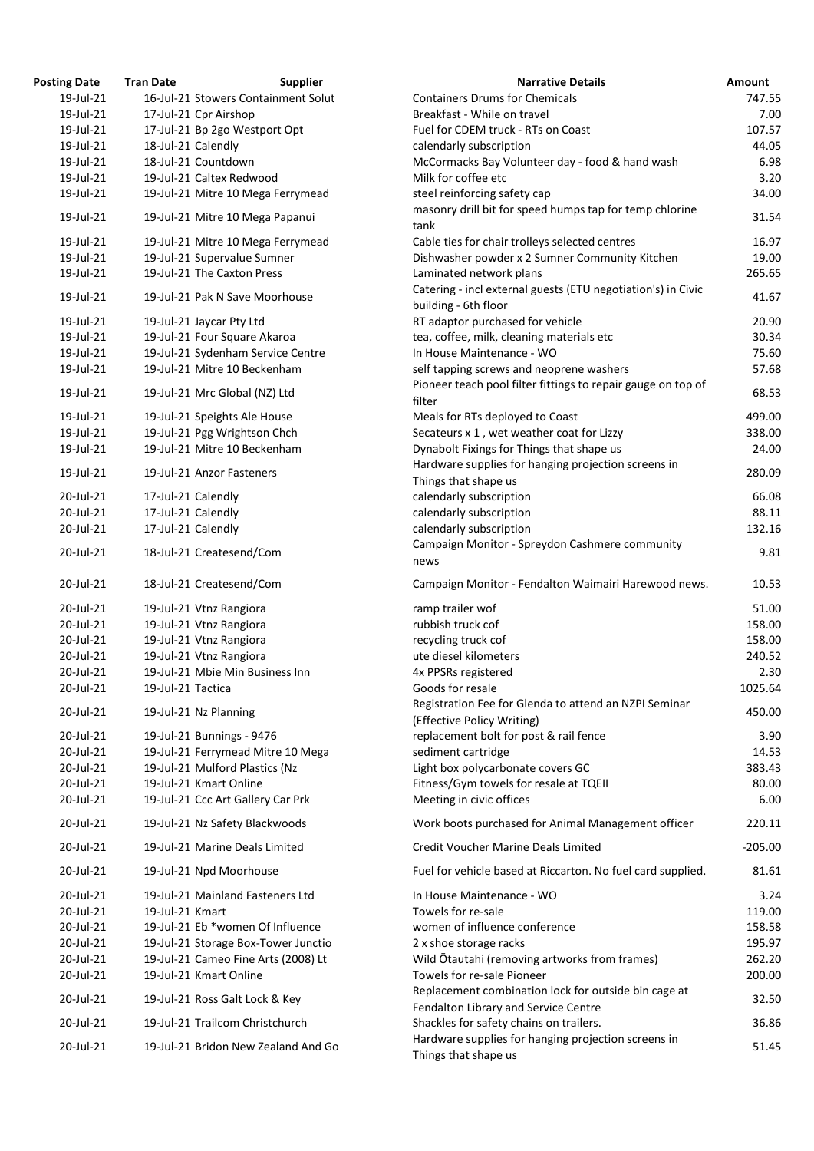| osting Date | <b>Tran Date</b>   | <b>Supplier</b>                     | <b>Narrative Details</b>                                                                                                                      |
|-------------|--------------------|-------------------------------------|-----------------------------------------------------------------------------------------------------------------------------------------------|
| 19-Jul-21   |                    | 16-Jul-21 Stowers Containment Solut | <b>Containers Drums for Chemicals</b>                                                                                                         |
| 19-Jul-21   |                    | 17-Jul-21 Cpr Airshop               | Breakfast - While on travel                                                                                                                   |
| 19-Jul-21   |                    | 17-Jul-21 Bp 2go Westport Opt       | Fuel for CDEM truck - RTs on Coast                                                                                                            |
| 19-Jul-21   |                    | 18-Jul-21 Calendly                  | calendarly subscription                                                                                                                       |
| 19-Jul-21   |                    | 18-Jul-21 Countdown                 | McCormacks Bay Volunteer day - food & hand wash                                                                                               |
| 19-Jul-21   |                    | 19-Jul-21 Caltex Redwood            | Milk for coffee etc                                                                                                                           |
| 19-Jul-21   |                    | 19-Jul-21 Mitre 10 Mega Ferrymead   | steel reinforcing safety cap                                                                                                                  |
|             |                    |                                     | masonry drill bit for speed humps tap for temp chlorine                                                                                       |
| 19-Jul-21   |                    | 19-Jul-21 Mitre 10 Mega Papanui     | tank                                                                                                                                          |
| 19-Jul-21   |                    | 19-Jul-21 Mitre 10 Mega Ferrymead   | Cable ties for chair trolleys selected centres                                                                                                |
| 19-Jul-21   |                    | 19-Jul-21 Supervalue Sumner         | Dishwasher powder x 2 Sumner Community Kitchen                                                                                                |
| 19-Jul-21   |                    | 19-Jul-21 The Caxton Press          | Laminated network plans                                                                                                                       |
|             |                    |                                     | Catering - incl external guests (ETU negotiation's) in Civic                                                                                  |
| 19-Jul-21   |                    | 19-Jul-21 Pak N Save Moorhouse      | building - 6th floor                                                                                                                          |
| 19-Jul-21   |                    | 19-Jul-21 Jaycar Pty Ltd            | RT adaptor purchased for vehicle                                                                                                              |
| 19-Jul-21   |                    | 19-Jul-21 Four Square Akaroa        | tea, coffee, milk, cleaning materials etc                                                                                                     |
| 19-Jul-21   |                    | 19-Jul-21 Sydenham Service Centre   | In House Maintenance - WO                                                                                                                     |
| 19-Jul-21   |                    | 19-Jul-21 Mitre 10 Beckenham        | self tapping screws and neoprene washers                                                                                                      |
|             |                    |                                     | Pioneer teach pool filter fittings to repair gauge on top of                                                                                  |
| 19-Jul-21   |                    | 19-Jul-21 Mrc Global (NZ) Ltd       | filter                                                                                                                                        |
| 19-Jul-21   |                    | 19-Jul-21 Speights Ale House        | Meals for RTs deployed to Coast                                                                                                               |
| 19-Jul-21   |                    | 19-Jul-21 Pgg Wrightson Chch        | Secateurs x 1, wet weather coat for Lizzy                                                                                                     |
| 19-Jul-21   |                    | 19-Jul-21 Mitre 10 Beckenham        | Dynabolt Fixings for Things that shape us                                                                                                     |
|             |                    |                                     | Hardware supplies for hanging projection screens in                                                                                           |
| 19-Jul-21   |                    | 19-Jul-21 Anzor Fasteners           |                                                                                                                                               |
| 20-Jul-21   |                    |                                     | Things that shape us                                                                                                                          |
| 20-Jul-21   | 17-Jul-21 Calendly | 17-Jul-21 Calendly                  | calendarly subscription<br>calendarly subscription                                                                                            |
| 20-Jul-21   |                    |                                     | calendarly subscription                                                                                                                       |
|             | 17-Jul-21 Calendly |                                     |                                                                                                                                               |
| 20-Jul-21   |                    | 18-Jul-21 Createsend/Com            | Campaign Monitor - Spreydon Cashmere community<br>news                                                                                        |
| 20-Jul-21   |                    | 18-Jul-21 Createsend/Com            | Campaign Monitor - Fendalton Waimairi Harewood news.                                                                                          |
| 20-Jul-21   |                    | 19-Jul-21 Vtnz Rangiora             | ramp trailer wof                                                                                                                              |
| 20-Jul-21   |                    | 19-Jul-21 Vtnz Rangiora             | rubbish truck cof                                                                                                                             |
| 20-Jul-21   |                    | 19-Jul-21 Vtnz Rangiora             | recycling truck cof                                                                                                                           |
| 20-Jul-21   |                    | 19-Jul-21 Vtnz Rangiora             | ute diesel kilometers                                                                                                                         |
| 20-Jul-21   |                    | 19-Jul-21 Mbie Min Business Inn     | 4x PPSRs registered                                                                                                                           |
| 20-Jul-21   | 19-Jul-21 Tactica  |                                     | Goods for resale                                                                                                                              |
|             |                    |                                     | Registration Fee for Glenda to attend an NZPI Seminar                                                                                         |
| 20-Jul-21   |                    | 19-Jul-21 Nz Planning               | (Effective Policy Writing)                                                                                                                    |
| 20-Jul-21   |                    | 19-Jul-21 Bunnings - 9476           | replacement bolt for post & rail fence                                                                                                        |
| 20-Jul-21   |                    | 19-Jul-21 Ferrymead Mitre 10 Mega   | sediment cartridge                                                                                                                            |
| 20-Jul-21   |                    | 19-Jul-21 Mulford Plastics (Nz      | Light box polycarbonate covers GC                                                                                                             |
| 20-Jul-21   |                    | 19-Jul-21 Kmart Online              | Fitness/Gym towels for resale at TQEII                                                                                                        |
| 20-Jul-21   |                    | 19-Jul-21 Ccc Art Gallery Car Prk   | Meeting in civic offices                                                                                                                      |
|             |                    |                                     |                                                                                                                                               |
| 20-Jul-21   |                    | 19-Jul-21 Nz Safety Blackwoods      | Work boots purchased for Animal Management officer                                                                                            |
| 20-Jul-21   |                    | 19-Jul-21 Marine Deals Limited      | <b>Credit Voucher Marine Deals Limited</b>                                                                                                    |
| 20-Jul-21   |                    | 19-Jul-21 Npd Moorhouse             | Fuel for vehicle based at Riccarton. No fuel card supplied.                                                                                   |
| 20-Jul-21   |                    | 19-Jul-21 Mainland Fasteners Ltd    | In House Maintenance - WO                                                                                                                     |
| 20-Jul-21   | 19-Jul-21 Kmart    |                                     | Towels for re-sale                                                                                                                            |
| 20-Jul-21   |                    | 19-Jul-21 Eb *women Of Influence    | women of influence conference                                                                                                                 |
| 20-Jul-21   |                    | 19-Jul-21 Storage Box-Tower Junctio | 2 x shoe storage racks                                                                                                                        |
| 20-Jul-21   |                    | 19-Jul-21 Cameo Fine Arts (2008) Lt | Wild Otautahi (removing artworks from frames)                                                                                                 |
| 20-Jul-21   |                    | 19-Jul-21 Kmart Online              | Towels for re-sale Pioneer                                                                                                                    |
| 20-Jul-21   |                    | 19-Jul-21 Ross Galt Lock & Key      | Replacement combination lock for outside bin cage at                                                                                          |
|             |                    |                                     | Fendalton Library and Service Centre                                                                                                          |
| 20-Jul-21   |                    | 19-Jul-21 Trailcom Christchurch     | Shackles for safety chains on trailers.                                                                                                       |
| 20-Jul-21   |                    | 19-Jul-21 Bridon New Zealand And Go | Hardware supplies for hanging projection screens in                                                                                           |
|             |                    |                                     | $\mathsf{Th}^{\star} \mathsf{in} \mathsf{in} \mathsf{in} \mathsf{in} \mathsf{in} \mathsf{in} \mathsf{in} \mathsf{in} \mathsf{in} \mathsf{in}$ |

| <b>Posting Date</b> | <b>Tran Date</b>  | <b>Supplier</b>                     | <b>Narrative Details</b>                                                                     | <b>Amount</b> |
|---------------------|-------------------|-------------------------------------|----------------------------------------------------------------------------------------------|---------------|
| 19-Jul-21           |                   | 16-Jul-21 Stowers Containment Solut | <b>Containers Drums for Chemicals</b>                                                        | 747.55        |
| 19-Jul-21           |                   | 17-Jul-21 Cpr Airshop               | Breakfast - While on travel                                                                  | 7.00          |
| 19-Jul-21           |                   | 17-Jul-21 Bp 2go Westport Opt       | Fuel for CDEM truck - RTs on Coast                                                           | 107.57        |
| 19-Jul-21           |                   | 18-Jul-21 Calendly                  | calendarly subscription                                                                      | 44.05         |
| 19-Jul-21           |                   | 18-Jul-21 Countdown                 | McCormacks Bay Volunteer day - food & hand wash                                              | 6.98          |
| 19-Jul-21           |                   | 19-Jul-21 Caltex Redwood            | Milk for coffee etc                                                                          | 3.20          |
| 19-Jul-21           |                   | 19-Jul-21 Mitre 10 Mega Ferrymead   | steel reinforcing safety cap                                                                 | 34.00         |
|                     |                   |                                     | masonry drill bit for speed humps tap for temp chlorine                                      |               |
| 19-Jul-21           |                   | 19-Jul-21 Mitre 10 Mega Papanui     | tank                                                                                         | 31.54         |
| 19-Jul-21           |                   | 19-Jul-21 Mitre 10 Mega Ferrymead   | Cable ties for chair trolleys selected centres                                               | 16.97         |
| 19-Jul-21           |                   | 19-Jul-21 Supervalue Sumner         | Dishwasher powder x 2 Sumner Community Kitchen                                               | 19.00         |
| 19-Jul-21           |                   | 19-Jul-21 The Caxton Press          | Laminated network plans                                                                      | 265.65        |
|                     |                   |                                     | Catering - incl external guests (ETU negotiation's) in Civic                                 |               |
| 19-Jul-21           |                   | 19-Jul-21 Pak N Save Moorhouse      | building - 6th floor                                                                         | 41.67         |
| 19-Jul-21           |                   | 19-Jul-21 Jaycar Pty Ltd            | RT adaptor purchased for vehicle                                                             | 20.90         |
| 19-Jul-21           |                   | 19-Jul-21 Four Square Akaroa        | tea, coffee, milk, cleaning materials etc                                                    | 30.34         |
| 19-Jul-21           |                   | 19-Jul-21 Sydenham Service Centre   | In House Maintenance - WO                                                                    | 75.60         |
| 19-Jul-21           |                   | 19-Jul-21 Mitre 10 Beckenham        | self tapping screws and neoprene washers                                                     | 57.68         |
|                     |                   |                                     | Pioneer teach pool filter fittings to repair gauge on top of                                 |               |
| 19-Jul-21           |                   | 19-Jul-21 Mrc Global (NZ) Ltd       | filter                                                                                       | 68.53         |
| 19-Jul-21           |                   | 19-Jul-21 Speights Ale House        | Meals for RTs deployed to Coast                                                              | 499.00        |
| 19-Jul-21           |                   | 19-Jul-21 Pgg Wrightson Chch        | Secateurs x 1, wet weather coat for Lizzy                                                    | 338.00        |
| 19-Jul-21           |                   | 19-Jul-21 Mitre 10 Beckenham        | Dynabolt Fixings for Things that shape us                                                    | 24.00         |
|                     |                   |                                     | Hardware supplies for hanging projection screens in                                          |               |
| 19-Jul-21           |                   | 19-Jul-21 Anzor Fasteners           | Things that shape us                                                                         | 280.09        |
| 20-Jul-21           |                   | 17-Jul-21 Calendly                  | calendarly subscription                                                                      | 66.08         |
| 20-Jul-21           |                   | 17-Jul-21 Calendly                  | calendarly subscription                                                                      | 88.11         |
| 20-Jul-21           |                   | 17-Jul-21 Calendly                  | calendarly subscription                                                                      | 132.16        |
|                     |                   |                                     |                                                                                              |               |
| 20-Jul-21           |                   | 18-Jul-21 Createsend/Com            | Campaign Monitor - Spreydon Cashmere community<br>news                                       | 9.81          |
| 20-Jul-21           |                   | 18-Jul-21 Createsend/Com            | Campaign Monitor - Fendalton Waimairi Harewood news.                                         | 10.53         |
| 20-Jul-21           |                   | 19-Jul-21 Vtnz Rangiora             | ramp trailer wof                                                                             | 51.00         |
| 20-Jul-21           |                   | 19-Jul-21 Vtnz Rangiora             | rubbish truck cof                                                                            | 158.00        |
| 20-Jul-21           |                   | 19-Jul-21 Vtnz Rangiora             | recycling truck cof                                                                          | 158.00        |
| 20-Jul-21           |                   | 19-Jul-21 Vtnz Rangiora             | ute diesel kilometers                                                                        | 240.52        |
| 20-Jul-21           |                   | 19-Jul-21 Mbie Min Business Inn     | 4x PPSRs registered                                                                          | 2.30          |
| 20-Jul-21           | 19-Jul-21 Tactica |                                     | Goods for resale                                                                             | 1025.64       |
| 20-Jul-21           |                   | 19-Jul-21 Nz Planning               | Registration Fee for Glenda to attend an NZPI Seminar<br>(Effective Policy Writing)          | 450.00        |
| 20-Jul-21           |                   | 19-Jul-21 Bunnings - 9476           | replacement bolt for post & rail fence                                                       | 3.90          |
| 20-Jul-21           |                   | 19-Jul-21 Ferrymead Mitre 10 Mega   | sediment cartridge                                                                           | 14.53         |
| 20-Jul-21           |                   | 19-Jul-21 Mulford Plastics (Nz      | Light box polycarbonate covers GC                                                            | 383.43        |
| 20-Jul-21           |                   | 19-Jul-21 Kmart Online              | Fitness/Gym towels for resale at TQEII                                                       | 80.00         |
| 20-Jul-21           |                   | 19-Jul-21 Ccc Art Gallery Car Prk   | Meeting in civic offices                                                                     | 6.00          |
| 20-Jul-21           |                   | 19-Jul-21 Nz Safety Blackwoods      | Work boots purchased for Animal Management officer                                           | 220.11        |
| 20-Jul-21           |                   | 19-Jul-21 Marine Deals Limited      | Credit Voucher Marine Deals Limited                                                          | $-205.00$     |
| 20-Jul-21           |                   | 19-Jul-21 Npd Moorhouse             | Fuel for vehicle based at Riccarton. No fuel card supplied.                                  | 81.61         |
| 20-Jul-21           |                   | 19-Jul-21 Mainland Fasteners Ltd    | In House Maintenance - WO                                                                    | 3.24          |
| 20-Jul-21           | 19-Jul-21 Kmart   |                                     | Towels for re-sale                                                                           | 119.00        |
| 20-Jul-21           |                   | 19-Jul-21 Eb *women Of Influence    | women of influence conference                                                                | 158.58        |
| 20-Jul-21           |                   | 19-Jul-21 Storage Box-Tower Junctio | 2 x shoe storage racks                                                                       | 195.97        |
| 20-Jul-21           |                   | 19-Jul-21 Cameo Fine Arts (2008) Lt | Wild Otautahi (removing artworks from frames)                                                | 262.20        |
| 20-Jul-21           |                   | 19-Jul-21 Kmart Online              | Towels for re-sale Pioneer                                                                   | 200.00        |
| 20-Jul-21           |                   | 19-Jul-21 Ross Galt Lock & Key      | Replacement combination lock for outside bin cage at<br>Fendalton Library and Service Centre | 32.50         |
| 20-Jul-21           |                   | 19-Jul-21 Trailcom Christchurch     | Shackles for safety chains on trailers.                                                      | 36.86         |
| 20-Jul-21           |                   | 19-Jul-21 Bridon New Zealand And Go | Hardware supplies for hanging projection screens in<br>Things that shape us                  | 51.45         |
|                     |                   |                                     |                                                                                              |               |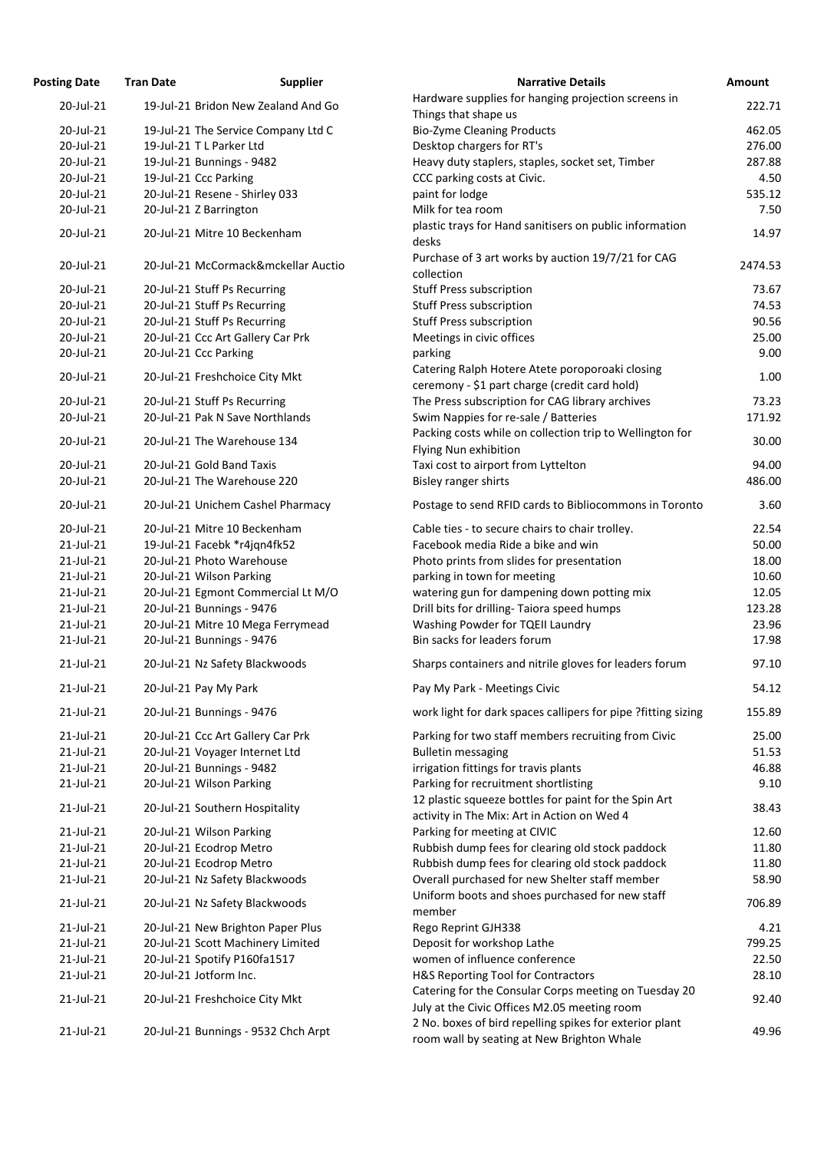| <b>Posting Date</b> | <b>Tran Date</b> | <b>Supplier</b>                     | <b>Narrative Details</b>                                                                              | Amount  |
|---------------------|------------------|-------------------------------------|-------------------------------------------------------------------------------------------------------|---------|
| 20-Jul-21           |                  | 19-Jul-21 Bridon New Zealand And Go | Hardware supplies for hanging projection screens in                                                   | 222.71  |
|                     |                  |                                     | Things that shape us                                                                                  |         |
| 20-Jul-21           |                  | 19-Jul-21 The Service Company Ltd C | <b>Bio-Zyme Cleaning Products</b>                                                                     | 462.05  |
| 20-Jul-21           |                  | 19-Jul-21 T L Parker Ltd            | Desktop chargers for RT's                                                                             | 276.00  |
| 20-Jul-21           |                  | 19-Jul-21 Bunnings - 9482           | Heavy duty staplers, staples, socket set, Timber                                                      | 287.88  |
| 20-Jul-21           |                  | 19-Jul-21 Ccc Parking               | CCC parking costs at Civic.                                                                           | 4.50    |
| 20-Jul-21           |                  | 20-Jul-21 Resene - Shirley 033      | paint for lodge                                                                                       | 535.12  |
| 20-Jul-21           |                  | 20-Jul-21 Z Barrington              | Milk for tea room                                                                                     | 7.50    |
| 20-Jul-21           |                  | 20-Jul-21 Mitre 10 Beckenham        | plastic trays for Hand sanitisers on public information<br>desks                                      | 14.97   |
| 20-Jul-21           |                  | 20-Jul-21 McCormack&mckellar Auctio | Purchase of 3 art works by auction 19/7/21 for CAG<br>collection                                      | 2474.53 |
| 20-Jul-21           |                  | 20-Jul-21 Stuff Ps Recurring        | <b>Stuff Press subscription</b>                                                                       | 73.67   |
| 20-Jul-21           |                  | 20-Jul-21 Stuff Ps Recurring        | <b>Stuff Press subscription</b>                                                                       | 74.53   |
| 20-Jul-21           |                  | 20-Jul-21 Stuff Ps Recurring        | <b>Stuff Press subscription</b>                                                                       | 90.56   |
| 20-Jul-21           |                  | 20-Jul-21 Ccc Art Gallery Car Prk   | Meetings in civic offices                                                                             | 25.00   |
| 20-Jul-21           |                  | 20-Jul-21 Ccc Parking               | parking                                                                                               | 9.00    |
| 20-Jul-21           |                  | 20-Jul-21 Freshchoice City Mkt      | Catering Ralph Hotere Atete poroporoaki closing<br>ceremony - \$1 part charge (credit card hold)      | 1.00    |
| 20-Jul-21           |                  | 20-Jul-21 Stuff Ps Recurring        | The Press subscription for CAG library archives                                                       | 73.23   |
| 20-Jul-21           |                  | 20-Jul-21 Pak N Save Northlands     | Swim Nappies for re-sale / Batteries                                                                  | 171.92  |
|                     |                  |                                     | Packing costs while on collection trip to Wellington for                                              |         |
| 20-Jul-21           |                  | 20-Jul-21 The Warehouse 134         | Flying Nun exhibition                                                                                 | 30.00   |
| 20-Jul-21           |                  | 20-Jul-21 Gold Band Taxis           | Taxi cost to airport from Lyttelton                                                                   | 94.00   |
| 20-Jul-21           |                  | 20-Jul-21 The Warehouse 220         | <b>Bisley ranger shirts</b>                                                                           | 486.00  |
| 20-Jul-21           |                  | 20-Jul-21 Unichem Cashel Pharmacy   | Postage to send RFID cards to Bibliocommons in Toronto                                                | 3.60    |
| 20-Jul-21           |                  | 20-Jul-21 Mitre 10 Beckenham        | Cable ties - to secure chairs to chair trolley.                                                       | 22.54   |
| 21-Jul-21           |                  | 19-Jul-21 Facebk *r4jqn4fk52        | Facebook media Ride a bike and win                                                                    | 50.00   |
| $21$ -Jul-21        |                  | 20-Jul-21 Photo Warehouse           | Photo prints from slides for presentation                                                             | 18.00   |
| $21$ -Jul-21        |                  | 20-Jul-21 Wilson Parking            | parking in town for meeting                                                                           | 10.60   |
| $21$ -Jul-21        |                  | 20-Jul-21 Egmont Commercial Lt M/O  | watering gun for dampening down potting mix                                                           | 12.05   |
| 21-Jul-21           |                  | 20-Jul-21 Bunnings - 9476           | Drill bits for drilling- Taiora speed humps                                                           | 123.28  |
| 21-Jul-21           |                  | 20-Jul-21 Mitre 10 Mega Ferrymead   | Washing Powder for TQEII Laundry                                                                      | 23.96   |
| 21-Jul-21           |                  | 20-Jul-21 Bunnings - 9476           | Bin sacks for leaders forum                                                                           | 17.98   |
| $21$ -Jul-21        |                  | 20-Jul-21 Nz Safety Blackwoods      | Sharps containers and nitrile gloves for leaders forum                                                | 97.10   |
| 21-Jul-21           |                  | 20-Jul-21 Pay My Park               | Pay My Park - Meetings Civic                                                                          | 54.12   |
| 21-Jul-21           |                  | 20-Jul-21 Bunnings - 9476           | work light for dark spaces callipers for pipe ?fitting sizing                                         | 155.89  |
|                     |                  |                                     |                                                                                                       |         |
| 21-Jul-21           |                  | 20-Jul-21 Ccc Art Gallery Car Prk   | Parking for two staff members recruiting from Civic                                                   | 25.00   |
| $21$ -Jul-21        |                  | 20-Jul-21 Voyager Internet Ltd      | <b>Bulletin messaging</b>                                                                             | 51.53   |
| $21$ -Jul-21        |                  | 20-Jul-21 Bunnings - 9482           | irrigation fittings for travis plants                                                                 | 46.88   |
| 21-Jul-21           |                  | 20-Jul-21 Wilson Parking            | Parking for recruitment shortlisting                                                                  | 9.10    |
| 21-Jul-21           |                  | 20-Jul-21 Southern Hospitality      | 12 plastic squeeze bottles for paint for the Spin Art<br>activity in The Mix: Art in Action on Wed 4  | 38.43   |
| 21-Jul-21           |                  | 20-Jul-21 Wilson Parking            | Parking for meeting at CIVIC                                                                          | 12.60   |
| 21-Jul-21           |                  | 20-Jul-21 Ecodrop Metro             | Rubbish dump fees for clearing old stock paddock                                                      | 11.80   |
| $21$ -Jul-21        |                  | 20-Jul-21 Ecodrop Metro             | Rubbish dump fees for clearing old stock paddock                                                      | 11.80   |
| $21$ -Jul-21        |                  | 20-Jul-21 Nz Safety Blackwoods      | Overall purchased for new Shelter staff member                                                        | 58.90   |
| $21$ -Jul-21        |                  | 20-Jul-21 Nz Safety Blackwoods      | Uniform boots and shoes purchased for new staff<br>member                                             | 706.89  |
| $21$ -Jul-21        |                  | 20-Jul-21 New Brighton Paper Plus   | Rego Reprint GJH338                                                                                   | 4.21    |
| $21$ -Jul-21        |                  | 20-Jul-21 Scott Machinery Limited   | Deposit for workshop Lathe                                                                            | 799.25  |
| $21$ -Jul-21        |                  | 20-Jul-21 Spotify P160fa1517        | women of influence conference                                                                         | 22.50   |
| 21-Jul-21           |                  | 20-Jul-21 Jotform Inc.              | H&S Reporting Tool for Contractors                                                                    | 28.10   |
|                     |                  |                                     | Catering for the Consular Corps meeting on Tuesday 20                                                 |         |
| 21-Jul-21           |                  | 20-Jul-21 Freshchoice City Mkt      | July at the Civic Offices M2.05 meeting room                                                          | 92.40   |
| 21-Jul-21           |                  | 20-Jul-21 Bunnings - 9532 Chch Arpt | 2 No. boxes of bird repelling spikes for exterior plant<br>room wall by seating at New Brighton Whale | 49.96   |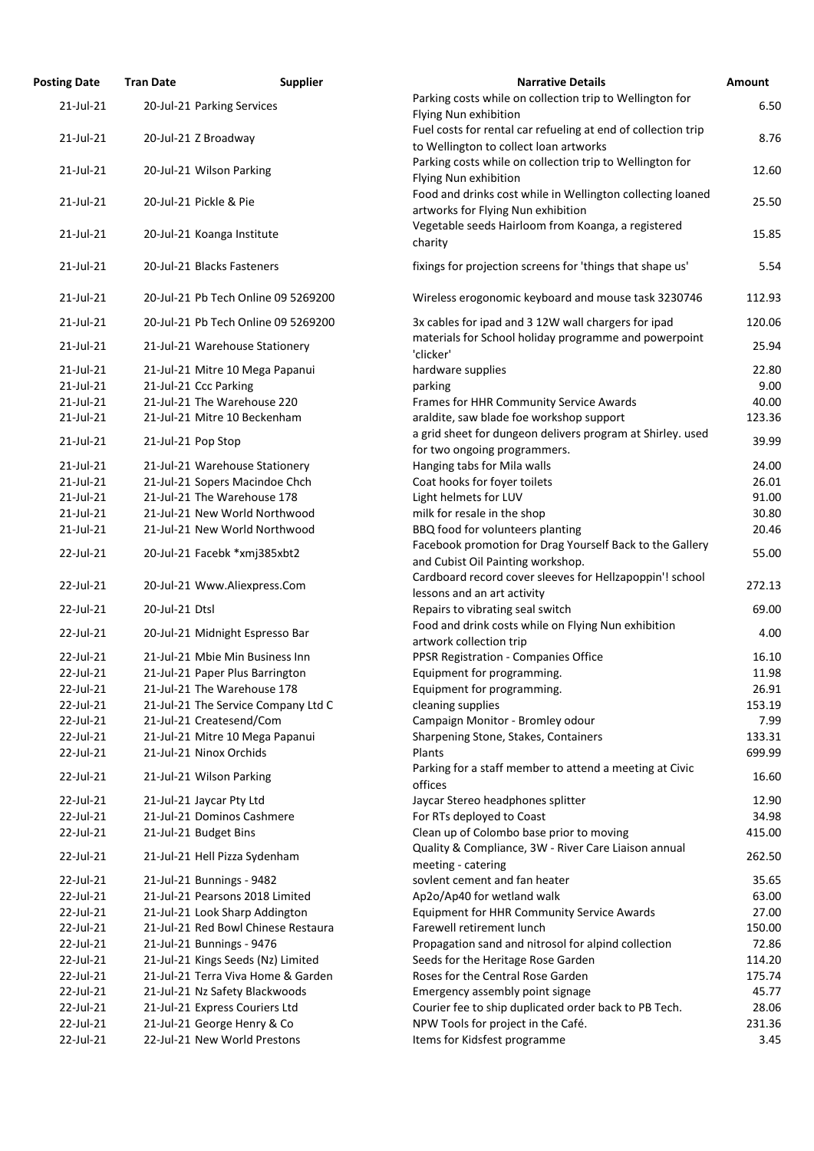| <b>Posting Date</b> | <b>Tran Date</b>               | <b>Supplier</b>                     | <b>Narrative Details</b>                                                                                | <b>Amount</b> |
|---------------------|--------------------------------|-------------------------------------|---------------------------------------------------------------------------------------------------------|---------------|
| $21$ -Jul-21        | 20-Jul-21 Parking Services     |                                     | Parking costs while on collection trip to Wellington for<br>Flying Nun exhibition                       | 6.50          |
| $21$ -Jul-21        | 20-Jul-21 Z Broadway           |                                     | Fuel costs for rental car refueling at end of collection trip<br>to Wellington to collect loan artworks | 8.76          |
| 21-Jul-21           | 20-Jul-21 Wilson Parking       |                                     | Parking costs while on collection trip to Wellington for<br>Flying Nun exhibition                       | 12.60         |
| 21-Jul-21           | 20-Jul-21 Pickle & Pie         |                                     | Food and drinks cost while in Wellington collecting loaned<br>artworks for Flying Nun exhibition        | 25.50         |
| 21-Jul-21           | 20-Jul-21 Koanga Institute     |                                     | Vegetable seeds Hairloom from Koanga, a registered<br>charity                                           | 15.85         |
| 21-Jul-21           | 20-Jul-21 Blacks Fasteners     |                                     | fixings for projection screens for 'things that shape us'                                               | 5.54          |
| 21-Jul-21           |                                | 20-Jul-21 Pb Tech Online 09 5269200 | Wireless erogonomic keyboard and mouse task 3230746                                                     | 112.93        |
| $21$ -Jul-21        |                                | 20-Jul-21 Pb Tech Online 09 5269200 | 3x cables for ipad and 3 12W wall chargers for ipad                                                     | 120.06        |
| 21-Jul-21           |                                | 21-Jul-21 Warehouse Stationery      | materials for School holiday programme and powerpoint<br>'clicker'                                      | 25.94         |
| $21$ -Jul-21        |                                | 21-Jul-21 Mitre 10 Mega Papanui     | hardware supplies                                                                                       | 22.80         |
| 21-Jul-21           | 21-Jul-21 Ccc Parking          |                                     | parking                                                                                                 | 9.00          |
| 21-Jul-21           | 21-Jul-21 The Warehouse 220    |                                     | Frames for HHR Community Service Awards                                                                 | 40.00         |
| $21$ -Jul-21        |                                | 21-Jul-21 Mitre 10 Beckenham        | araldite, saw blade foe workshop support                                                                | 123.36        |
| 21-Jul-21           | 21-Jul-21 Pop Stop             |                                     | a grid sheet for dungeon delivers program at Shirley. used<br>for two ongoing programmers.              | 39.99         |
| $21$ -Jul-21        |                                | 21-Jul-21 Warehouse Stationery      | Hanging tabs for Mila walls                                                                             | 24.00         |
| $21$ -Jul-21        |                                | 21-Jul-21 Sopers Macindoe Chch      | Coat hooks for foyer toilets                                                                            | 26.01         |
| 21-Jul-21           | 21-Jul-21 The Warehouse 178    |                                     | Light helmets for LUV                                                                                   | 91.00         |
| 21-Jul-21           |                                | 21-Jul-21 New World Northwood       | milk for resale in the shop                                                                             | 30.80         |
| $21$ -Jul-21        |                                | 21-Jul-21 New World Northwood       | BBQ food for volunteers planting                                                                        | 20.46         |
|                     |                                |                                     | Facebook promotion for Drag Yourself Back to the Gallery                                                |               |
| 22-Jul-21           | 20-Jul-21 Facebk *xmj385xbt2   |                                     | and Cubist Oil Painting workshop.                                                                       | 55.00         |
| 22-Jul-21           |                                | 20-Jul-21 Www.Aliexpress.Com        | Cardboard record cover sleeves for Hellzapoppin'! school<br>lessons and an art activity                 | 272.13        |
| 22-Jul-21           | 20-Jul-21 Dtsl                 |                                     | Repairs to vibrating seal switch<br>Food and drink costs while on Flying Nun exhibition                 | 69.00         |
| 22-Jul-21           |                                | 20-Jul-21 Midnight Espresso Bar     | artwork collection trip                                                                                 | 4.00          |
| 22-Jul-21           |                                | 21-Jul-21 Mbie Min Business Inn     | PPSR Registration - Companies Office                                                                    | 16.10         |
| 22-Jul-21           |                                | 21-Jul-21 Paper Plus Barrington     | Equipment for programming.                                                                              | 11.98         |
| 22-Jul-21           | 21-Jul-21 The Warehouse 178    |                                     | Equipment for programming.                                                                              | 26.91         |
| 22-Jul-21           |                                | 21-Jul-21 The Service Company Ltd C | cleaning supplies                                                                                       | 153.19        |
| 22-Jul-21           | 21-Jul-21 Createsend/Com       |                                     | Campaign Monitor - Bromley odour                                                                        | 7.99          |
| 22-Jul-21           |                                | 21-Jul-21 Mitre 10 Mega Papanui     | Sharpening Stone, Stakes, Containers                                                                    | 133.31        |
| 22-Jul-21           | 21-Jul-21 Ninox Orchids        |                                     | Plants                                                                                                  | 699.99        |
| 22-Jul-21           | 21-Jul-21 Wilson Parking       |                                     | Parking for a staff member to attend a meeting at Civic<br>offices                                      | 16.60         |
| 22-Jul-21           | 21-Jul-21 Jaycar Pty Ltd       |                                     | Jaycar Stereo headphones splitter                                                                       | 12.90         |
| 22-Jul-21           | 21-Jul-21 Dominos Cashmere     |                                     | For RTs deployed to Coast                                                                               | 34.98         |
| 22-Jul-21           | 21-Jul-21 Budget Bins          |                                     | Clean up of Colombo base prior to moving                                                                | 415.00        |
| 22-Jul-21           | 21-Jul-21 Hell Pizza Sydenham  |                                     | Quality & Compliance, 3W - River Care Liaison annual<br>meeting - catering                              | 262.50        |
| 22-Jul-21           | 21-Jul-21 Bunnings - 9482      |                                     | sovient cement and fan heater                                                                           | 35.65         |
| 22-Jul-21           |                                | 21-Jul-21 Pearsons 2018 Limited     | Ap2o/Ap40 for wetland walk                                                                              | 63.00         |
| 22-Jul-21           |                                | 21-Jul-21 Look Sharp Addington      | <b>Equipment for HHR Community Service Awards</b>                                                       | 27.00         |
| 22-Jul-21           |                                | 21-Jul-21 Red Bowl Chinese Restaura | Farewell retirement lunch                                                                               | 150.00        |
| 22-Jul-21           | 21-Jul-21 Bunnings - 9476      |                                     | Propagation sand and nitrosol for alpind collection                                                     | 72.86         |
|                     |                                |                                     |                                                                                                         |               |
| 22-Jul-21           |                                | 21-Jul-21 Kings Seeds (Nz) Limited  | Seeds for the Heritage Rose Garden                                                                      | 114.20        |
| 22-Jul-21           |                                | 21-Jul-21 Terra Viva Home & Garden  | Roses for the Central Rose Garden                                                                       | 175.74        |
| 22-Jul-21           |                                | 21-Jul-21 Nz Safety Blackwoods      | Emergency assembly point signage                                                                        | 45.77         |
| 22-Jul-21           | 21-Jul-21 Express Couriers Ltd |                                     | Courier fee to ship duplicated order back to PB Tech.                                                   | 28.06         |
| 22-Jul-21           | 21-Jul-21 George Henry & Co    |                                     | NPW Tools for project in the Café.                                                                      | 231.36        |
| 22-Jul-21           | 22-Jul-21 New World Prestons   |                                     | Items for Kidsfest programme                                                                            | 3.45          |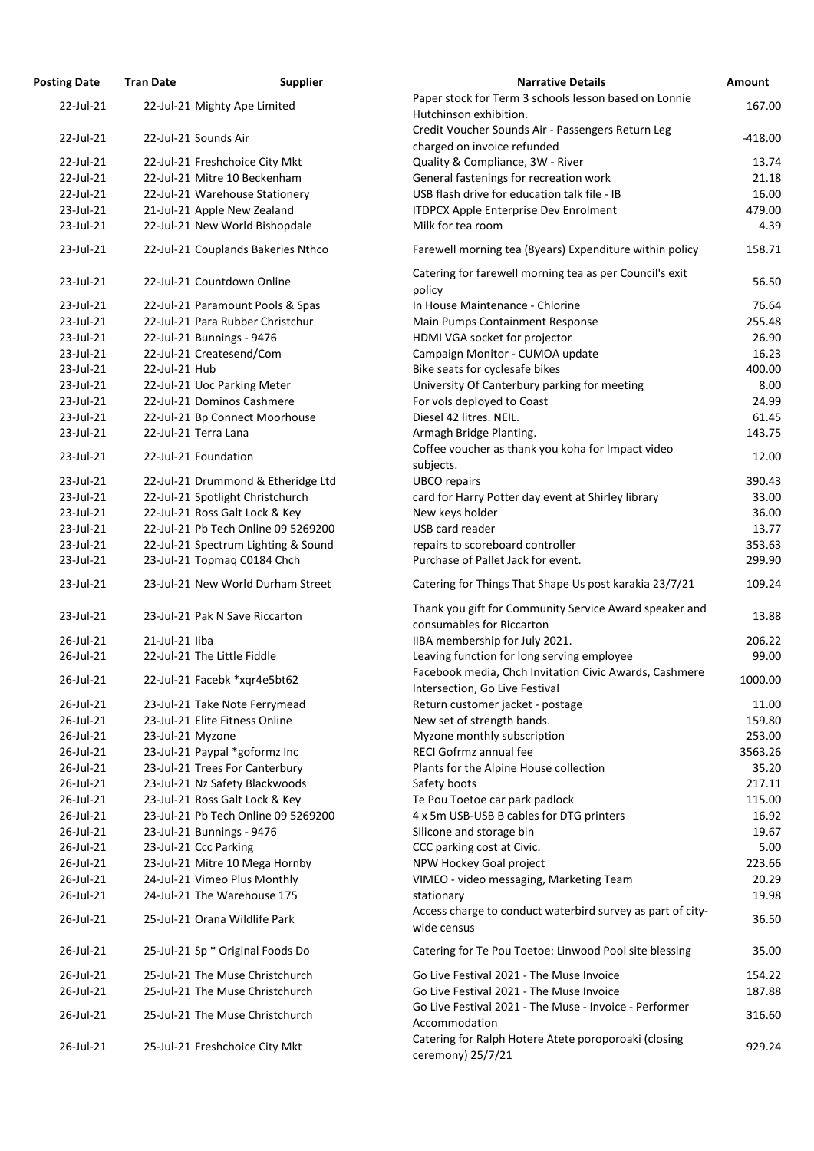| <b>Posting Date</b> | <b>Tran Date</b>               | <b>Supplier</b>                     | <b>Narrative Details</b>                                                                 | Amount    |
|---------------------|--------------------------------|-------------------------------------|------------------------------------------------------------------------------------------|-----------|
| 22-Jul-21           | 22-Jul-21 Mighty Ape Limited   |                                     | Paper stock for Term 3 schools lesson based on Lonnie                                    | 167.00    |
|                     |                                |                                     | Hutchinson exhibition.                                                                   |           |
| 22-Jul-21           | 22-Jul-21 Sounds Air           |                                     | Credit Voucher Sounds Air - Passengers Return Leg                                        | $-418.00$ |
|                     |                                |                                     | charged on invoice refunded                                                              |           |
| 22-Jul-21           | 22-Jul-21 Freshchoice City Mkt |                                     | Quality & Compliance, 3W - River                                                         | 13.74     |
| 22-Jul-21           | 22-Jul-21 Mitre 10 Beckenham   |                                     | General fastenings for recreation work                                                   | 21.18     |
| 22-Jul-21           |                                | 22-Jul-21 Warehouse Stationery      | USB flash drive for education talk file - IB                                             | 16.00     |
| 23-Jul-21           | 21-Jul-21 Apple New Zealand    |                                     | <b>ITDPCX Apple Enterprise Dev Enrolment</b>                                             | 479.00    |
| 23-Jul-21           |                                | 22-Jul-21 New World Bishopdale      | Milk for tea room                                                                        | 4.39      |
| 23-Jul-21           |                                | 22-Jul-21 Couplands Bakeries Nthco  | Farewell morning tea (8years) Expenditure within policy                                  | 158.71    |
| 23-Jul-21           | 22-Jul-21 Countdown Online     |                                     | Catering for farewell morning tea as per Council's exit<br>policy                        | 56.50     |
| 23-Jul-21           |                                | 22-Jul-21 Paramount Pools & Spas    | In House Maintenance - Chlorine                                                          | 76.64     |
| 23-Jul-21           |                                | 22-Jul-21 Para Rubber Christchur    | Main Pumps Containment Response                                                          | 255.48    |
| 23-Jul-21           | 22-Jul-21 Bunnings - 9476      |                                     | HDMI VGA socket for projector                                                            | 26.90     |
| 23-Jul-21           | 22-Jul-21 Createsend/Com       |                                     | Campaign Monitor - CUMOA update                                                          | 16.23     |
| 23-Jul-21           | 22-Jul-21 Hub                  |                                     | Bike seats for cyclesafe bikes                                                           | 400.00    |
| 23-Jul-21           | 22-Jul-21 Uoc Parking Meter    |                                     | University Of Canterbury parking for meeting                                             | 8.00      |
| 23-Jul-21           | 22-Jul-21 Dominos Cashmere     |                                     | For vols deployed to Coast                                                               | 24.99     |
| 23-Jul-21           |                                | 22-Jul-21 Bp Connect Moorhouse      | Diesel 42 litres. NEIL.                                                                  | 61.45     |
| 23-Jul-21           | 22-Jul-21 Terra Lana           |                                     | Armagh Bridge Planting.                                                                  | 143.75    |
|                     |                                |                                     | Coffee voucher as thank you koha for Impact video                                        |           |
| 23-Jul-21           | 22-Jul-21 Foundation           |                                     | subjects.                                                                                | 12.00     |
| 23-Jul-21           |                                | 22-Jul-21 Drummond & Etheridge Ltd  | <b>UBCO</b> repairs                                                                      | 390.43    |
| 23-Jul-21           |                                | 22-Jul-21 Spotlight Christchurch    | card for Harry Potter day event at Shirley library                                       | 33.00     |
| 23-Jul-21           | 22-Jul-21 Ross Galt Lock & Key |                                     |                                                                                          | 36.00     |
| 23-Jul-21           |                                | 22-Jul-21 Pb Tech Online 09 5269200 | New keys holder<br>USB card reader                                                       | 13.77     |
|                     |                                |                                     |                                                                                          |           |
| 23-Jul-21           |                                | 22-Jul-21 Spectrum Lighting & Sound | repairs to scoreboard controller                                                         | 353.63    |
| 23-Jul-21           | 23-Jul-21 Topmag C0184 Chch    |                                     | Purchase of Pallet Jack for event.                                                       | 299.90    |
| 23-Jul-21           |                                | 23-Jul-21 New World Durham Street   | Catering for Things That Shape Us post karakia 23/7/21                                   | 109.24    |
| 23-Jul-21           | 23-Jul-21 Pak N Save Riccarton |                                     | Thank you gift for Community Service Award speaker and<br>consumables for Riccarton      | 13.88     |
|                     |                                |                                     |                                                                                          |           |
| 26-Jul-21           | 21-Jul-21 liba                 |                                     | IIBA membership for July 2021.                                                           | 206.22    |
| 26-Jul-21           | 22-Jul-21 The Little Fiddle    |                                     | Leaving function for long serving employee                                               | 99.00     |
| 26-Jul-21           | 22-Jul-21 Facebk *xqr4e5bt62   |                                     | Facebook media, Chch Invitation Civic Awards, Cashmere<br>Intersection, Go Live Festival | 1000.00   |
| 26-Jul-21           |                                | 23-Jul-21 Take Note Ferrymead       | Return customer jacket - postage                                                         | 11.00     |
| 26-Jul-21           | 23-Jul-21 Elite Fitness Online |                                     | New set of strength bands.                                                               | 159.80    |
| 26-Jul-21           | 23-Jul-21 Myzone               |                                     | Myzone monthly subscription                                                              | 253.00    |
| 26-Jul-21           | 23-Jul-21 Paypal *goformz Inc  |                                     | RECI Gofrmz annual fee                                                                   | 3563.26   |
| 26-Jul-21           | 23-Jul-21 Trees For Canterbury |                                     | Plants for the Alpine House collection                                                   | 35.20     |
| 26-Jul-21           |                                | 23-Jul-21 Nz Safety Blackwoods      | Safety boots                                                                             | 217.11    |
| 26-Jul-21           | 23-Jul-21 Ross Galt Lock & Key |                                     | Te Pou Toetoe car park padlock                                                           | 115.00    |
| 26-Jul-21           |                                | 23-Jul-21 Pb Tech Online 09 5269200 | 4 x 5m USB-USB B cables for DTG printers                                                 | 16.92     |
| 26-Jul-21           | 23-Jul-21 Bunnings - 9476      |                                     | Silicone and storage bin                                                                 | 19.67     |
| 26-Jul-21           |                                |                                     |                                                                                          |           |
| 26-Jul-21           | 23-Jul-21 Ccc Parking          |                                     | CCC parking cost at Civic.                                                               | 5.00      |
|                     |                                | 23-Jul-21 Mitre 10 Mega Hornby      | NPW Hockey Goal project                                                                  | 223.66    |
| 26-Jul-21           | 24-Jul-21 Vimeo Plus Monthly   |                                     | VIMEO - video messaging, Marketing Team                                                  | 20.29     |
| 26-Jul-21           | 24-Jul-21 The Warehouse 175    |                                     | stationary                                                                               | 19.98     |
| 26-Jul-21           | 25-Jul-21 Orana Wildlife Park  |                                     | Access charge to conduct waterbird survey as part of city-<br>wide census                | 36.50     |
| 26-Jul-21           |                                | 25-Jul-21 Sp * Original Foods Do    | Catering for Te Pou Toetoe: Linwood Pool site blessing                                   | 35.00     |
| 26-Jul-21           |                                | 25-Jul-21 The Muse Christchurch     | Go Live Festival 2021 - The Muse Invoice                                                 | 154.22    |
| 26-Jul-21           |                                | 25-Jul-21 The Muse Christchurch     | Go Live Festival 2021 - The Muse Invoice                                                 | 187.88    |
| 26-Jul-21           |                                | 25-Jul-21 The Muse Christchurch     | Go Live Festival 2021 - The Muse - Invoice - Performer<br>Accommodation                  | 316.60    |
| 26-Jul-21           | 25-Jul-21 Freshchoice City Mkt |                                     | Catering for Ralph Hotere Atete poroporoaki (closing<br>ceremony) 25/7/21                | 929.24    |